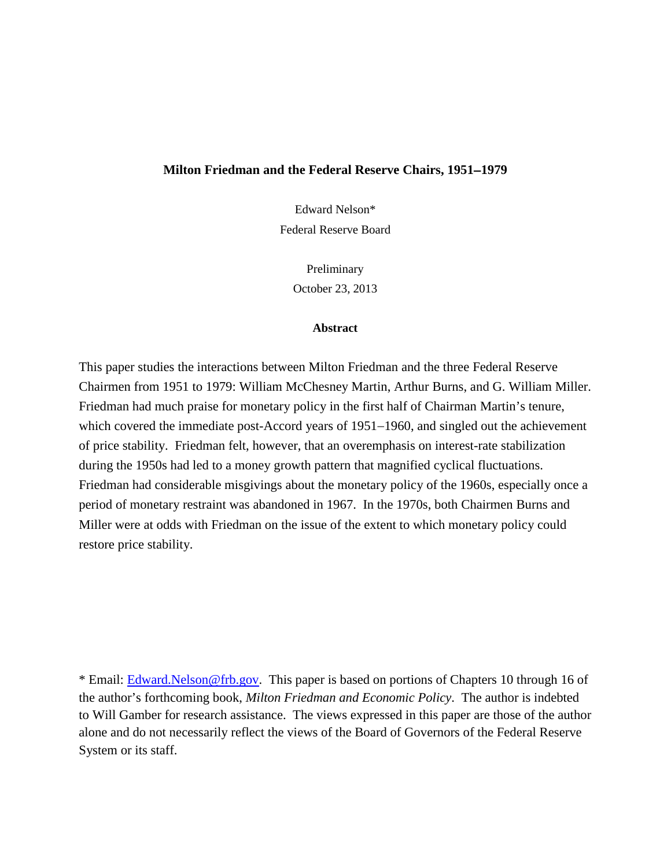#### **Milton Friedman and the Federal Reserve Chairs, 1951**−**1979**

Edward Nelson\* Federal Reserve Board

> Preliminary October 23, 2013

#### **Abstract**

This paper studies the interactions between Milton Friedman and the three Federal Reserve Chairmen from 1951 to 1979: William McChesney Martin, Arthur Burns, and G. William Miller. Friedman had much praise for monetary policy in the first half of Chairman Martin's tenure, which covered the immediate post-Accord years of 1951–1960, and singled out the achievement of price stability. Friedman felt, however, that an overemphasis on interest-rate stabilization during the 1950s had led to a money growth pattern that magnified cyclical fluctuations. Friedman had considerable misgivings about the monetary policy of the 1960s, especially once a period of monetary restraint was abandoned in 1967. In the 1970s, both Chairmen Burns and Miller were at odds with Friedman on the issue of the extent to which monetary policy could restore price stability.

\* Email: [Edward.Nelson@frb.gov.](mailto:Edward.Nelson@frb.gov) This paper is based on portions of Chapters 10 through 16 of the author's forthcoming book, *Milton Friedman and Economic Policy*. The author is indebted to Will Gamber for research assistance. The views expressed in this paper are those of the author alone and do not necessarily reflect the views of the Board of Governors of the Federal Reserve System or its staff.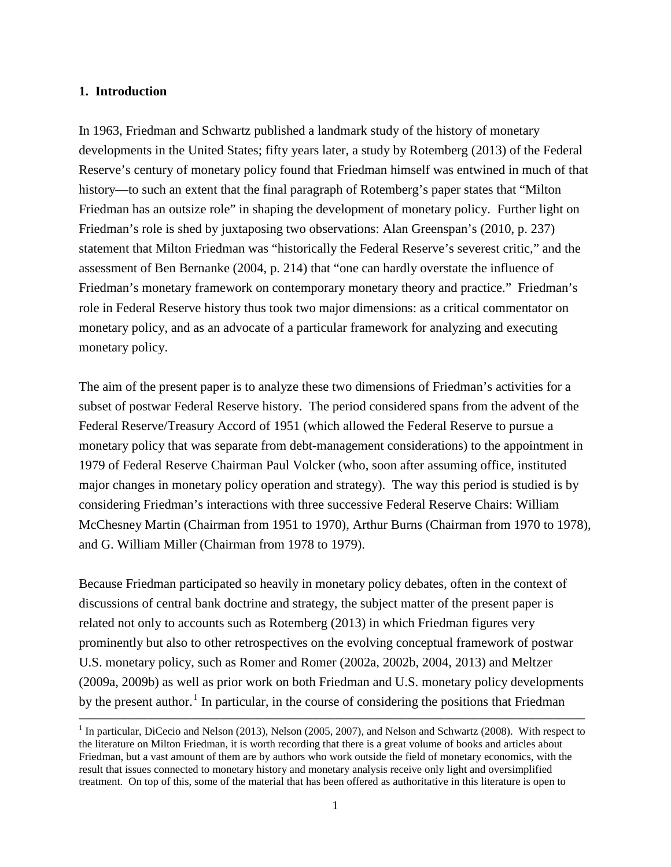## **1. Introduction**

In 1963, Friedman and Schwartz published a landmark study of the history of monetary developments in the United States; fifty years later, a study by Rotemberg (2013) of the Federal Reserve's century of monetary policy found that Friedman himself was entwined in much of that history—to such an extent that the final paragraph of Rotemberg's paper states that "Milton Friedman has an outsize role" in shaping the development of monetary policy. Further light on Friedman's role is shed by juxtaposing two observations: Alan Greenspan's (2010, p. 237) statement that Milton Friedman was "historically the Federal Reserve's severest critic," and the assessment of Ben Bernanke (2004, p. 214) that "one can hardly overstate the influence of Friedman's monetary framework on contemporary monetary theory and practice." Friedman's role in Federal Reserve history thus took two major dimensions: as a critical commentator on monetary policy, and as an advocate of a particular framework for analyzing and executing monetary policy.

The aim of the present paper is to analyze these two dimensions of Friedman's activities for a subset of postwar Federal Reserve history. The period considered spans from the advent of the Federal Reserve/Treasury Accord of 1951 (which allowed the Federal Reserve to pursue a monetary policy that was separate from debt-management considerations) to the appointment in 1979 of Federal Reserve Chairman Paul Volcker (who, soon after assuming office, instituted major changes in monetary policy operation and strategy). The way this period is studied is by considering Friedman's interactions with three successive Federal Reserve Chairs: William McChesney Martin (Chairman from 1951 to 1970), Arthur Burns (Chairman from 1970 to 1978), and G. William Miller (Chairman from 1978 to 1979).

Because Friedman participated so heavily in monetary policy debates, often in the context of discussions of central bank doctrine and strategy, the subject matter of the present paper is related not only to accounts such as Rotemberg (2013) in which Friedman figures very prominently but also to other retrospectives on the evolving conceptual framework of postwar U.S. monetary policy, such as Romer and Romer (2002a, 2002b, 2004, 2013) and Meltzer (2009a, 2009b) as well as prior work on both Friedman and U.S. monetary policy developments by the present author.<sup>[1](#page-1-0)</sup> In particular, in the course of considering the positions that Friedman

<span id="page-1-0"></span><sup>&</sup>lt;sup>1</sup> In particular, DiCecio and Nelson (2013), Nelson (2005, 2007), and Nelson and Schwartz (2008). With respect to the literature on Milton Friedman, it is worth recording that there is a great volume of books and articles about Friedman, but a vast amount of them are by authors who work outside the field of monetary economics, with the result that issues connected to monetary history and monetary analysis receive only light and oversimplified treatment. On top of this, some of the material that has been offered as authoritative in this literature is open to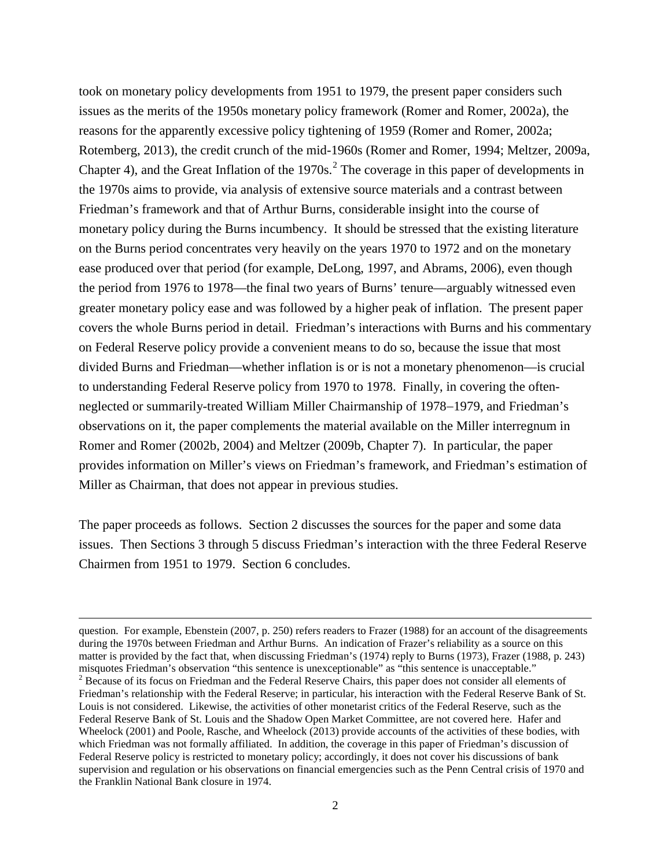took on monetary policy developments from 1951 to 1979, the present paper considers such issues as the merits of the 1950s monetary policy framework (Romer and Romer, 2002a), the reasons for the apparently excessive policy tightening of 1959 (Romer and Romer, 2002a; Rotemberg, 2013), the credit crunch of the mid-1960s (Romer and Romer, 1994; Meltzer, 2009a, Chapter 4), and the Great Inflation of the  $1970s<sup>2</sup>$  $1970s<sup>2</sup>$  $1970s<sup>2</sup>$ . The coverage in this paper of developments in the 1970s aims to provide, via analysis of extensive source materials and a contrast between Friedman's framework and that of Arthur Burns, considerable insight into the course of monetary policy during the Burns incumbency. It should be stressed that the existing literature on the Burns period concentrates very heavily on the years 1970 to 1972 and on the monetary ease produced over that period (for example, DeLong, 1997, and Abrams, 2006), even though the period from 1976 to 1978—the final two years of Burns' tenure—arguably witnessed even greater monetary policy ease and was followed by a higher peak of inflation. The present paper covers the whole Burns period in detail. Friedman's interactions with Burns and his commentary on Federal Reserve policy provide a convenient means to do so, because the issue that most divided Burns and Friedman—whether inflation is or is not a monetary phenomenon—is crucial to understanding Federal Reserve policy from 1970 to 1978. Finally, in covering the oftenneglected or summarily-treated William Miller Chairmanship of 1978−1979, and Friedman's observations on it, the paper complements the material available on the Miller interregnum in Romer and Romer (2002b, 2004) and Meltzer (2009b, Chapter 7). In particular, the paper provides information on Miller's views on Friedman's framework, and Friedman's estimation of Miller as Chairman, that does not appear in previous studies.

The paper proceeds as follows. Section 2 discusses the sources for the paper and some data issues. Then Sections 3 through 5 discuss Friedman's interaction with the three Federal Reserve Chairmen from 1951 to 1979. Section 6 concludes.

<span id="page-2-0"></span>question. For example, Ebenstein (2007, p. 250) refers readers to Frazer (1988) for an account of the disagreements during the 1970s between Friedman and Arthur Burns. An indication of Frazer's reliability as a source on this matter is provided by the fact that, when discussing Friedman's (1974) reply to Burns (1973), Frazer (1988, p. 243) misquotes Friedman's observation "this sentence is unexceptionable" as "this sentence is unacceptable." <sup>2</sup> Because of its focus on Friedman and the Federal Reserve Chairs, this paper does not consider all elements of Friedman's relationship with the Federal Reserve; in particular, his interaction with the Federal Reserve Bank of St. Louis is not considered. Likewise, the activities of other monetarist critics of the Federal Reserve, such as the Federal Reserve Bank of St. Louis and the Shadow Open Market Committee, are not covered here. Hafer and Wheelock (2001) and Poole, Rasche, and Wheelock (2013) provide accounts of the activities of these bodies, with which Friedman was not formally affiliated. In addition, the coverage in this paper of Friedman's discussion of Federal Reserve policy is restricted to monetary policy; accordingly, it does not cover his discussions of bank supervision and regulation or his observations on financial emergencies such as the Penn Central crisis of 1970 and the Franklin National Bank closure in 1974.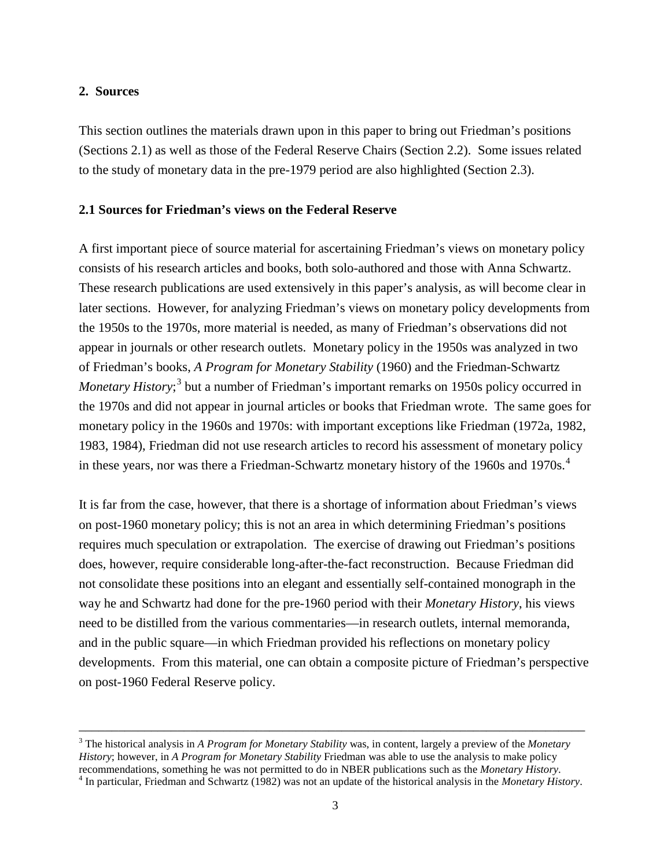### **2. Sources**

This section outlines the materials drawn upon in this paper to bring out Friedman's positions (Sections 2.1) as well as those of the Federal Reserve Chairs (Section 2.2). Some issues related to the study of monetary data in the pre-1979 period are also highlighted (Section 2.3).

### **2.1 Sources for Friedman's views on the Federal Reserve**

A first important piece of source material for ascertaining Friedman's views on monetary policy consists of his research articles and books, both solo-authored and those with Anna Schwartz. These research publications are used extensively in this paper's analysis, as will become clear in later sections. However, for analyzing Friedman's views on monetary policy developments from the 1950s to the 1970s, more material is needed, as many of Friedman's observations did not appear in journals or other research outlets. Monetary policy in the 1950s was analyzed in two of Friedman's books, *A Program for Monetary Stability* (1960) and the Friedman-Schwartz *Monetary History*; [3](#page-3-0) but a number of Friedman's important remarks on 1950s policy occurred in the 1970s and did not appear in journal articles or books that Friedman wrote. The same goes for monetary policy in the 1960s and 1970s: with important exceptions like Friedman (1972a, 1982, 1983, 1984), Friedman did not use research articles to record his assessment of monetary policy in these years, nor was there a Friedman-Schwartz monetary history of the 1960s and 1970s.<sup>[4](#page-3-1)</sup>

It is far from the case, however, that there is a shortage of information about Friedman's views on post-1960 monetary policy; this is not an area in which determining Friedman's positions requires much speculation or extrapolation. The exercise of drawing out Friedman's positions does, however, require considerable long-after-the-fact reconstruction. Because Friedman did not consolidate these positions into an elegant and essentially self-contained monograph in the way he and Schwartz had done for the pre-1960 period with their *Monetary History*, his views need to be distilled from the various commentaries—in research outlets, internal memoranda, and in the public square—in which Friedman provided his reflections on monetary policy developments. From this material, one can obtain a composite picture of Friedman's perspective on post-1960 Federal Reserve policy.

<span id="page-3-1"></span><span id="page-3-0"></span><sup>3</sup> The historical analysis in *A Program for Monetary Stability* was, in content, largely a preview of the *Monetary History*; however, in *A Program for Monetary Stability* Friedman was able to use the analysis to make policy recommendations, something he was not permitted to do in NBER publications such as the *Monetary History*.<br><sup>4</sup> In particular, Friedman and Schwartz (1982) was not an update of the historical analysis in the *Monetary Histo*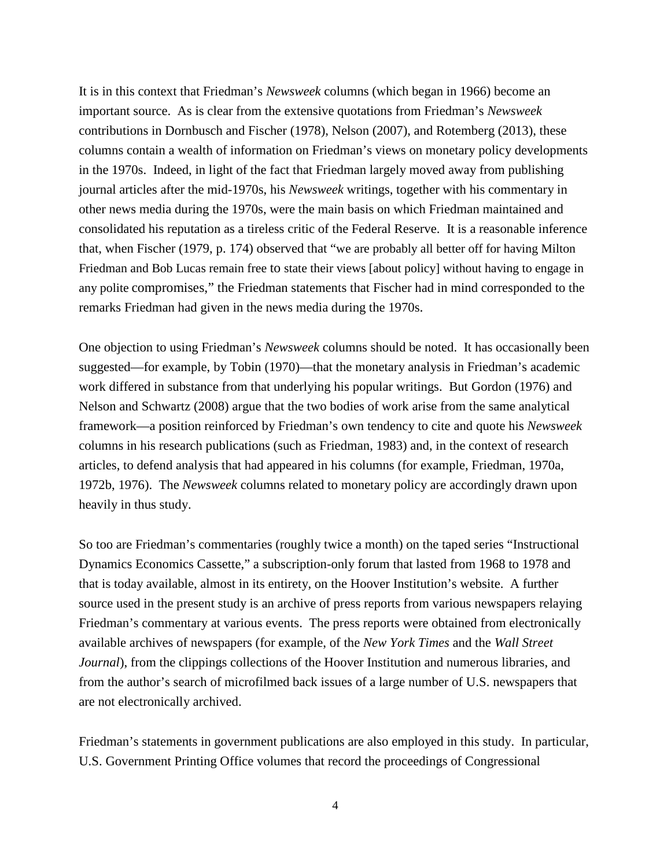It is in this context that Friedman's *Newsweek* columns (which began in 1966) become an important source. As is clear from the extensive quotations from Friedman's *Newsweek* contributions in Dornbusch and Fischer (1978), Nelson (2007), and Rotemberg (2013), these columns contain a wealth of information on Friedman's views on monetary policy developments in the 1970s. Indeed, in light of the fact that Friedman largely moved away from publishing journal articles after the mid-1970s, his *Newsweek* writings, together with his commentary in other news media during the 1970s, were the main basis on which Friedman maintained and consolidated his reputation as a tireless critic of the Federal Reserve. It is a reasonable inference that, when Fischer (1979, p. 174) observed that "we are probably all better off for having Milton Friedman and Bob Lucas remain free to state their views [about policy] without having to engage in any polite compromises," the Friedman statements that Fischer had in mind corresponded to the remarks Friedman had given in the news media during the 1970s.

One objection to using Friedman's *Newsweek* columns should be noted. It has occasionally been suggested—for example, by Tobin (1970)—that the monetary analysis in Friedman's academic work differed in substance from that underlying his popular writings. But Gordon (1976) and Nelson and Schwartz (2008) argue that the two bodies of work arise from the same analytical framework—a position reinforced by Friedman's own tendency to cite and quote his *Newsweek* columns in his research publications (such as Friedman, 1983) and, in the context of research articles, to defend analysis that had appeared in his columns (for example, Friedman, 1970a, 1972b, 1976). The *Newsweek* columns related to monetary policy are accordingly drawn upon heavily in thus study.

So too are Friedman's commentaries (roughly twice a month) on the taped series "Instructional Dynamics Economics Cassette," a subscription-only forum that lasted from 1968 to 1978 and that is today available, almost in its entirety, on the Hoover Institution's website. A further source used in the present study is an archive of press reports from various newspapers relaying Friedman's commentary at various events. The press reports were obtained from electronically available archives of newspapers (for example, of the *New York Times* and the *Wall Street Journal*), from the clippings collections of the Hoover Institution and numerous libraries, and from the author's search of microfilmed back issues of a large number of U.S. newspapers that are not electronically archived.

Friedman's statements in government publications are also employed in this study. In particular, U.S. Government Printing Office volumes that record the proceedings of Congressional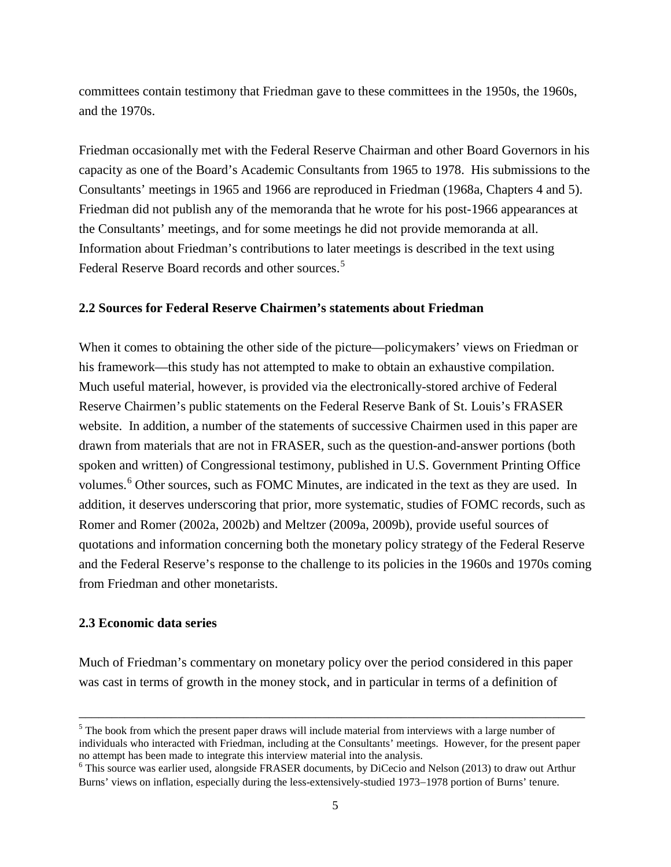committees contain testimony that Friedman gave to these committees in the 1950s, the 1960s, and the 1970s.

Friedman occasionally met with the Federal Reserve Chairman and other Board Governors in his capacity as one of the Board's Academic Consultants from 1965 to 1978. His submissions to the Consultants' meetings in 1965 and 1966 are reproduced in Friedman (1968a, Chapters 4 and 5). Friedman did not publish any of the memoranda that he wrote for his post-1966 appearances at the Consultants' meetings, and for some meetings he did not provide memoranda at all. Information about Friedman's contributions to later meetings is described in the text using Federal Reserve Board records and other sources.<sup>[5](#page-5-0)</sup>

# **2.2 Sources for Federal Reserve Chairmen's statements about Friedman**

When it comes to obtaining the other side of the picture—policymakers' views on Friedman or his framework—this study has not attempted to make to obtain an exhaustive compilation. Much useful material, however, is provided via the electronically-stored archive of Federal Reserve Chairmen's public statements on the Federal Reserve Bank of St. Louis's FRASER website. In addition, a number of the statements of successive Chairmen used in this paper are drawn from materials that are not in FRASER, such as the question-and-answer portions (both spoken and written) of Congressional testimony, published in U.S. Government Printing Office volumes.<sup>[6](#page-5-1)</sup> Other sources, such as FOMC Minutes, are indicated in the text as they are used. In addition, it deserves underscoring that prior, more systematic, studies of FOMC records, such as Romer and Romer (2002a, 2002b) and Meltzer (2009a, 2009b), provide useful sources of quotations and information concerning both the monetary policy strategy of the Federal Reserve and the Federal Reserve's response to the challenge to its policies in the 1960s and 1970s coming from Friedman and other monetarists.

# **2.3 Economic data series**

Much of Friedman's commentary on monetary policy over the period considered in this paper was cast in terms of growth in the money stock, and in particular in terms of a definition of

<span id="page-5-0"></span> $<sup>5</sup>$  The book from which the present paper draws will include material from interviews with a large number of</sup> individuals who interacted with Friedman, including at the Consultants' meetings. However, for the present paper no attempt has been made to integrate this interview material into the analysis.<br><sup>6</sup> This source was earlier used, alongside FRASER documents, by DiCecio and Nelson (2013) to draw out Arthur

<span id="page-5-1"></span>Burns' views on inflation, especially during the less-extensively-studied 1973−1978 portion of Burns' tenure.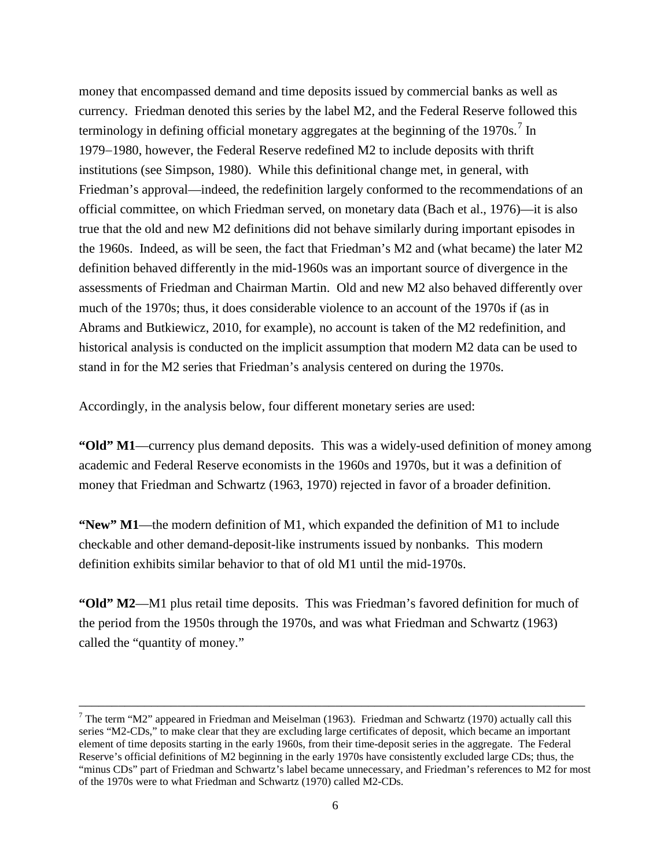money that encompassed demand and time deposits issued by commercial banks as well as currency. Friedman denoted this series by the label M2, and the Federal Reserve followed this terminology in defining official monetary aggregates at the beginning of the  $1970s$  $1970s$  $1970s$ .<sup>7</sup> In 1979−1980, however, the Federal Reserve redefined M2 to include deposits with thrift institutions (see Simpson, 1980). While this definitional change met, in general, with Friedman's approval—indeed, the redefinition largely conformed to the recommendations of an official committee, on which Friedman served, on monetary data (Bach et al., 1976)—it is also true that the old and new M2 definitions did not behave similarly during important episodes in the 1960s. Indeed, as will be seen, the fact that Friedman's M2 and (what became) the later M2 definition behaved differently in the mid-1960s was an important source of divergence in the assessments of Friedman and Chairman Martin. Old and new M2 also behaved differently over much of the 1970s; thus, it does considerable violence to an account of the 1970s if (as in Abrams and Butkiewicz, 2010, for example), no account is taken of the M2 redefinition, and historical analysis is conducted on the implicit assumption that modern M2 data can be used to stand in for the M2 series that Friedman's analysis centered on during the 1970s.

Accordingly, in the analysis below, four different monetary series are used:

**"Old" M1**—currency plus demand deposits. This was a widely-used definition of money among academic and Federal Reserve economists in the 1960s and 1970s, but it was a definition of money that Friedman and Schwartz (1963, 1970) rejected in favor of a broader definition.

**"New" M1**—the modern definition of M1, which expanded the definition of M1 to include checkable and other demand-deposit-like instruments issued by nonbanks. This modern definition exhibits similar behavior to that of old M1 until the mid-1970s.

**"Old" M2**—M1 plus retail time deposits. This was Friedman's favored definition for much of the period from the 1950s through the 1970s, and was what Friedman and Schwartz (1963) called the "quantity of money."

<span id="page-6-0"></span><sup>&</sup>lt;sup>7</sup> The term "M2" appeared in Friedman and Meiselman (1963). Friedman and Schwartz (1970) actually call this series "M2-CDs," to make clear that they are excluding large certificates of deposit, which became an important element of time deposits starting in the early 1960s, from their time-deposit series in the aggregate. The Federal Reserve's official definitions of M2 beginning in the early 1970s have consistently excluded large CDs; thus, the "minus CDs" part of Friedman and Schwartz's label became unnecessary, and Friedman's references to M2 for most of the 1970s were to what Friedman and Schwartz (1970) called M2-CDs.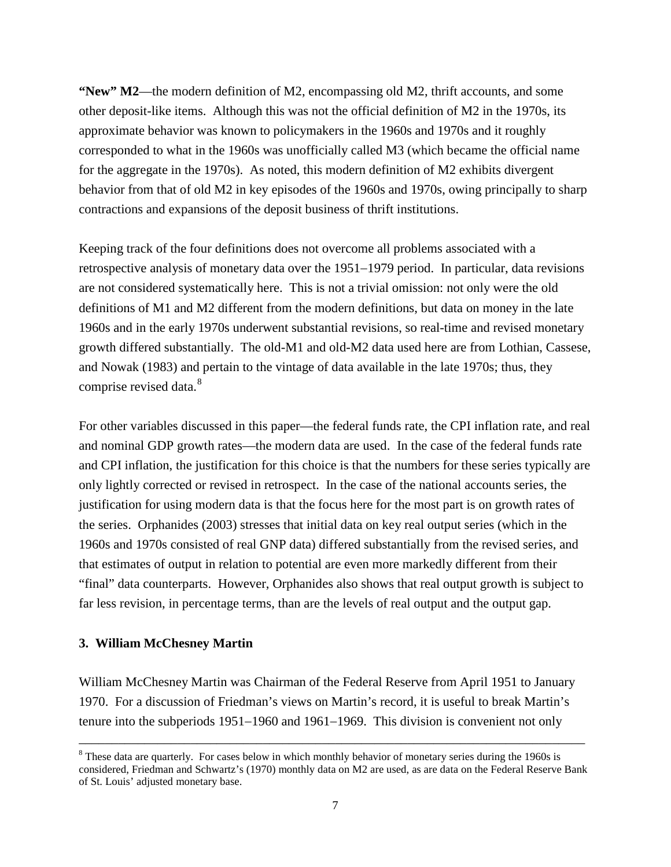**"New" M2**—the modern definition of M2, encompassing old M2, thrift accounts, and some other deposit-like items. Although this was not the official definition of M2 in the 1970s, its approximate behavior was known to policymakers in the 1960s and 1970s and it roughly corresponded to what in the 1960s was unofficially called M3 (which became the official name for the aggregate in the 1970s). As noted, this modern definition of M2 exhibits divergent behavior from that of old M2 in key episodes of the 1960s and 1970s, owing principally to sharp contractions and expansions of the deposit business of thrift institutions.

Keeping track of the four definitions does not overcome all problems associated with a retrospective analysis of monetary data over the 1951−1979 period. In particular, data revisions are not considered systematically here. This is not a trivial omission: not only were the old definitions of M1 and M2 different from the modern definitions, but data on money in the late 1960s and in the early 1970s underwent substantial revisions, so real-time and revised monetary growth differed substantially. The old-M1 and old-M2 data used here are from Lothian, Cassese, and Nowak (1983) and pertain to the vintage of data available in the late 1970s; thus, they comprise revised data.<sup>[8](#page-7-0)</sup>

For other variables discussed in this paper—the federal funds rate, the CPI inflation rate, and real and nominal GDP growth rates—the modern data are used. In the case of the federal funds rate and CPI inflation, the justification for this choice is that the numbers for these series typically are only lightly corrected or revised in retrospect. In the case of the national accounts series, the justification for using modern data is that the focus here for the most part is on growth rates of the series. Orphanides (2003) stresses that initial data on key real output series (which in the 1960s and 1970s consisted of real GNP data) differed substantially from the revised series, and that estimates of output in relation to potential are even more markedly different from their "final" data counterparts. However, Orphanides also shows that real output growth is subject to far less revision, in percentage terms, than are the levels of real output and the output gap.

## **3. William McChesney Martin**

William McChesney Martin was Chairman of the Federal Reserve from April 1951 to January 1970. For a discussion of Friedman's views on Martin's record, it is useful to break Martin's tenure into the subperiods 1951−1960 and 1961−1969. This division is convenient not only

<span id="page-7-0"></span><sup>&</sup>lt;sup>8</sup> These data are quarterly. For cases below in which monthly behavior of monetary series during the 1960s is considered, Friedman and Schwartz's (1970) monthly data on M2 are used, as are data on the Federal Reserve Bank of St. Louis' adjusted monetary base.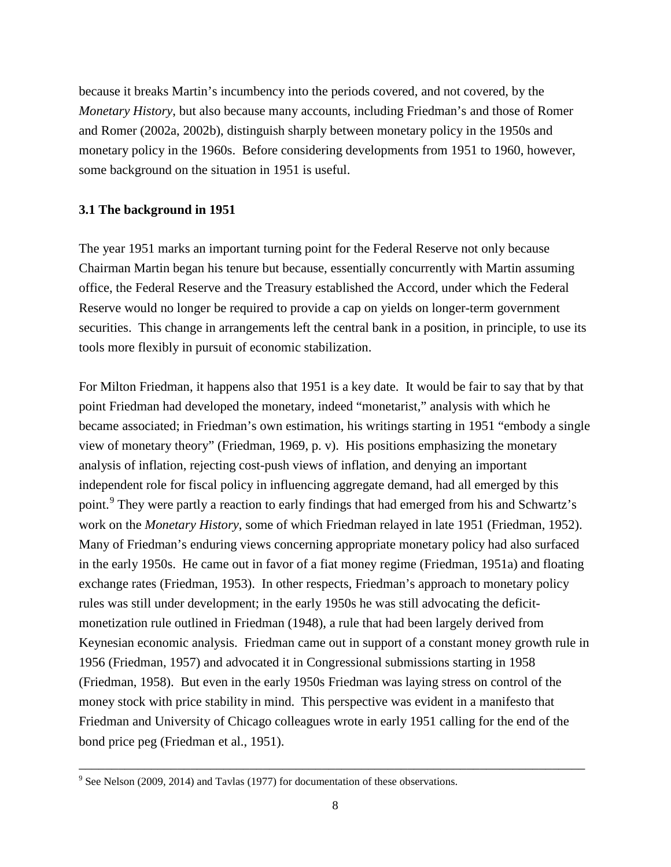because it breaks Martin's incumbency into the periods covered, and not covered, by the *Monetary History*, but also because many accounts, including Friedman's and those of Romer and Romer (2002a, 2002b), distinguish sharply between monetary policy in the 1950s and monetary policy in the 1960s. Before considering developments from 1951 to 1960, however, some background on the situation in 1951 is useful.

## **3.1 The background in 1951**

The year 1951 marks an important turning point for the Federal Reserve not only because Chairman Martin began his tenure but because, essentially concurrently with Martin assuming office, the Federal Reserve and the Treasury established the Accord, under which the Federal Reserve would no longer be required to provide a cap on yields on longer-term government securities. This change in arrangements left the central bank in a position, in principle, to use its tools more flexibly in pursuit of economic stabilization.

For Milton Friedman, it happens also that 1951 is a key date. It would be fair to say that by that point Friedman had developed the monetary, indeed "monetarist," analysis with which he became associated; in Friedman's own estimation, his writings starting in 1951 "embody a single view of monetary theory" (Friedman, 1969, p. v). His positions emphasizing the monetary analysis of inflation, rejecting cost-push views of inflation, and denying an important independent role for fiscal policy in influencing aggregate demand, had all emerged by this point.<sup>[9](#page-8-0)</sup> They were partly a reaction to early findings that had emerged from his and Schwartz's work on the *Monetary History*, some of which Friedman relayed in late 1951 (Friedman, 1952). Many of Friedman's enduring views concerning appropriate monetary policy had also surfaced in the early 1950s. He came out in favor of a fiat money regime (Friedman, 1951a) and floating exchange rates (Friedman, 1953). In other respects, Friedman's approach to monetary policy rules was still under development; in the early 1950s he was still advocating the deficitmonetization rule outlined in Friedman (1948), a rule that had been largely derived from Keynesian economic analysis. Friedman came out in support of a constant money growth rule in 1956 (Friedman, 1957) and advocated it in Congressional submissions starting in 1958 (Friedman, 1958). But even in the early 1950s Friedman was laying stress on control of the money stock with price stability in mind. This perspective was evident in a manifesto that Friedman and University of Chicago colleagues wrote in early 1951 calling for the end of the bond price peg (Friedman et al., 1951).

<span id="page-8-0"></span><sup>&</sup>lt;sup>9</sup> See Nelson (2009, 2014) and Tavlas (1977) for documentation of these observations.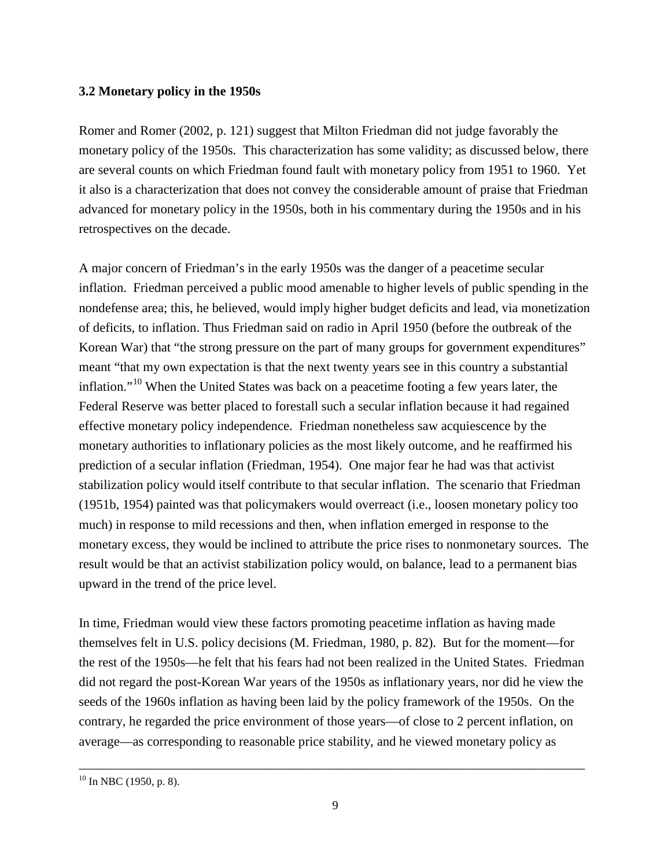# **3.2 Monetary policy in the 1950s**

Romer and Romer (2002, p. 121) suggest that Milton Friedman did not judge favorably the monetary policy of the 1950s. This characterization has some validity; as discussed below, there are several counts on which Friedman found fault with monetary policy from 1951 to 1960. Yet it also is a characterization that does not convey the considerable amount of praise that Friedman advanced for monetary policy in the 1950s, both in his commentary during the 1950s and in his retrospectives on the decade.

A major concern of Friedman's in the early 1950s was the danger of a peacetime secular inflation. Friedman perceived a public mood amenable to higher levels of public spending in the nondefense area; this, he believed, would imply higher budget deficits and lead, via monetization of deficits, to inflation. Thus Friedman said on radio in April 1950 (before the outbreak of the Korean War) that "the strong pressure on the part of many groups for government expenditures" meant "that my own expectation is that the next twenty years see in this country a substantial inflation."<sup>[10](#page-9-0)</sup> When the United States was back on a peacetime footing a few years later, the Federal Reserve was better placed to forestall such a secular inflation because it had regained effective monetary policy independence. Friedman nonetheless saw acquiescence by the monetary authorities to inflationary policies as the most likely outcome, and he reaffirmed his prediction of a secular inflation (Friedman, 1954). One major fear he had was that activist stabilization policy would itself contribute to that secular inflation. The scenario that Friedman (1951b, 1954) painted was that policymakers would overreact (i.e., loosen monetary policy too much) in response to mild recessions and then, when inflation emerged in response to the monetary excess, they would be inclined to attribute the price rises to nonmonetary sources. The result would be that an activist stabilization policy would, on balance, lead to a permanent bias upward in the trend of the price level.

In time, Friedman would view these factors promoting peacetime inflation as having made themselves felt in U.S. policy decisions (M. Friedman, 1980, p. 82). But for the moment—for the rest of the 1950s—he felt that his fears had not been realized in the United States. Friedman did not regard the post-Korean War years of the 1950s as inflationary years, nor did he view the seeds of the 1960s inflation as having been laid by the policy framework of the 1950s. On the contrary, he regarded the price environment of those years—of close to 2 percent inflation, on average—as corresponding to reasonable price stability, and he viewed monetary policy as

<span id="page-9-0"></span> $10 \text{ In } \text{NBC } (1950, \text{ p. } 8).$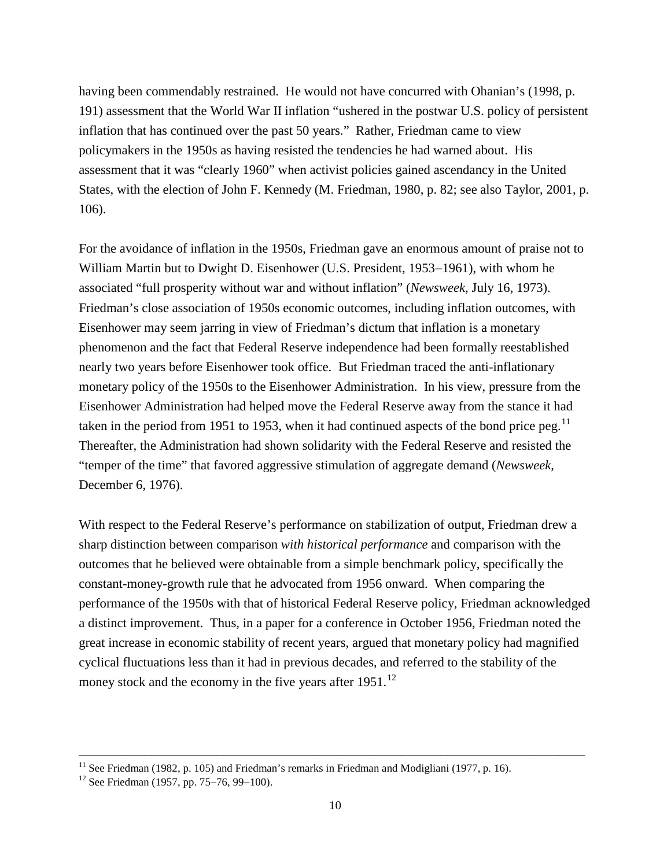having been commendably restrained. He would not have concurred with Ohanian's (1998, p. 191) assessment that the World War II inflation "ushered in the postwar U.S. policy of persistent inflation that has continued over the past 50 years." Rather, Friedman came to view policymakers in the 1950s as having resisted the tendencies he had warned about. His assessment that it was "clearly 1960" when activist policies gained ascendancy in the United States, with the election of John F. Kennedy (M. Friedman, 1980, p. 82; see also Taylor, 2001, p. 106).

For the avoidance of inflation in the 1950s, Friedman gave an enormous amount of praise not to William Martin but to Dwight D. Eisenhower (U.S. President, 1953−1961), with whom he associated "full prosperity without war and without inflation" (*Newsweek*, July 16, 1973). Friedman's close association of 1950s economic outcomes, including inflation outcomes, with Eisenhower may seem jarring in view of Friedman's dictum that inflation is a monetary phenomenon and the fact that Federal Reserve independence had been formally reestablished nearly two years before Eisenhower took office. But Friedman traced the anti-inflationary monetary policy of the 1950s to the Eisenhower Administration. In his view, pressure from the Eisenhower Administration had helped move the Federal Reserve away from the stance it had taken in the period from 1951 to 1953, when it had continued aspects of the bond price peg.<sup>[11](#page-10-0)</sup> Thereafter, the Administration had shown solidarity with the Federal Reserve and resisted the "temper of the time" that favored aggressive stimulation of aggregate demand (*Newsweek*, December 6, 1976).

With respect to the Federal Reserve's performance on stabilization of output, Friedman drew a sharp distinction between comparison *with historical performance* and comparison with the outcomes that he believed were obtainable from a simple benchmark policy, specifically the constant-money-growth rule that he advocated from 1956 onward. When comparing the performance of the 1950s with that of historical Federal Reserve policy, Friedman acknowledged a distinct improvement. Thus, in a paper for a conference in October 1956, Friedman noted the great increase in economic stability of recent years, argued that monetary policy had magnified cyclical fluctuations less than it had in previous decades, and referred to the stability of the money stock and the economy in the five years after 1951.<sup>[12](#page-10-1)</sup>

<span id="page-10-0"></span><sup>&</sup>lt;sup>11</sup> See Friedman (1982, p. 105) and Friedman's remarks in Friedman and Modigliani (1977, p. 16). <sup>12</sup> See Friedman (1957, pp. 75–76, 99–100).

<span id="page-10-1"></span>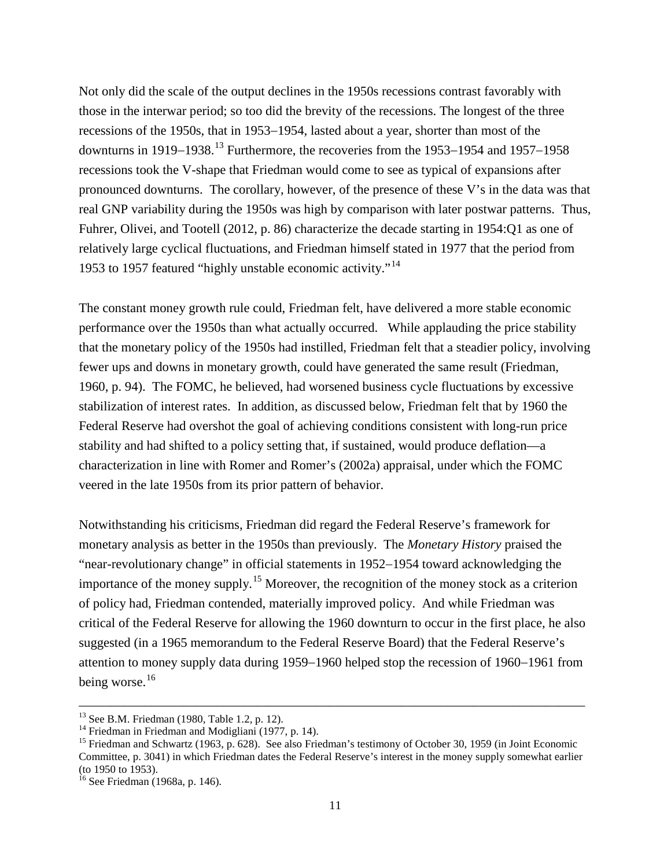Not only did the scale of the output declines in the 1950s recessions contrast favorably with those in the interwar period; so too did the brevity of the recessions. The longest of the three recessions of the 1950s, that in 1953−1954, lasted about a year, shorter than most of the downturns in 1919−1938.[13](#page-11-0) Furthermore, the recoveries from the 1953−1954 and 1957−1958 recessions took the V-shape that Friedman would come to see as typical of expansions after pronounced downturns. The corollary, however, of the presence of these V's in the data was that real GNP variability during the 1950s was high by comparison with later postwar patterns. Thus, Fuhrer, Olivei, and Tootell (2012, p. 86) characterize the decade starting in 1954:Q1 as one of relatively large cyclical fluctuations, and Friedman himself stated in 1977 that the period from 1953 to 1957 featured "highly unstable economic activity."<sup>[14](#page-11-1)</sup>

The constant money growth rule could, Friedman felt, have delivered a more stable economic performance over the 1950s than what actually occurred. While applauding the price stability that the monetary policy of the 1950s had instilled, Friedman felt that a steadier policy, involving fewer ups and downs in monetary growth, could have generated the same result (Friedman, 1960, p. 94). The FOMC, he believed, had worsened business cycle fluctuations by excessive stabilization of interest rates. In addition, as discussed below, Friedman felt that by 1960 the Federal Reserve had overshot the goal of achieving conditions consistent with long-run price stability and had shifted to a policy setting that, if sustained, would produce deflation—a characterization in line with Romer and Romer's (2002a) appraisal, under which the FOMC veered in the late 1950s from its prior pattern of behavior.

Notwithstanding his criticisms, Friedman did regard the Federal Reserve's framework for monetary analysis as better in the 1950s than previously. The *Monetary History* praised the "near-revolutionary change" in official statements in 1952−1954 toward acknowledging the importance of the money supply.<sup>[15](#page-11-2)</sup> Moreover, the recognition of the money stock as a criterion of policy had, Friedman contended, materially improved policy. And while Friedman was critical of the Federal Reserve for allowing the 1960 downturn to occur in the first place, he also suggested (in a 1965 memorandum to the Federal Reserve Board) that the Federal Reserve's attention to money supply data during 1959−1960 helped stop the recession of 1960−1961 from being worse.<sup>16</sup>

<span id="page-11-2"></span><span id="page-11-1"></span>

<span id="page-11-0"></span><sup>&</sup>lt;sup>13</sup> See B.M. Friedman (1980, Table 1.2, p. 12).<br><sup>14</sup> Friedman in Friedman and Modigliani (1977, p. 14).<br><sup>15</sup> Friedman and Schwartz (1963, p. 628). See also Friedman's testimony of October 30, 1959 (in Joint Economic Committee, p. 3041) in which Friedman dates the Federal Reserve's interest in the money supply somewhat earlier (to 1950 to 1953).

<span id="page-11-3"></span> $16$  See Friedman (1968a, p. 146).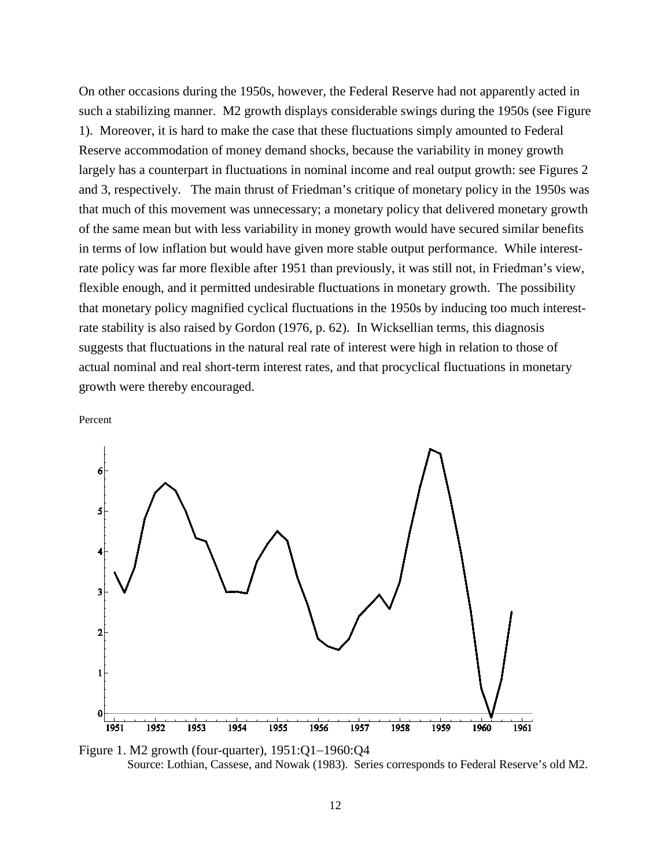On other occasions during the 1950s, however, the Federal Reserve had not apparently acted in such a stabilizing manner. M2 growth displays considerable swings during the 1950s (see Figure 1). Moreover, it is hard to make the case that these fluctuations simply amounted to Federal Reserve accommodation of money demand shocks, because the variability in money growth largely has a counterpart in fluctuations in nominal income and real output growth: see Figures 2 and 3, respectively. The main thrust of Friedman's critique of monetary policy in the 1950s was that much of this movement was unnecessary; a monetary policy that delivered monetary growth of the same mean but with less variability in money growth would have secured similar benefits in terms of low inflation but would have given more stable output performance. While interestrate policy was far more flexible after 1951 than previously, it was still not, in Friedman's view, flexible enough, and it permitted undesirable fluctuations in monetary growth. The possibility that monetary policy magnified cyclical fluctuations in the 1950s by inducing too much interestrate stability is also raised by Gordon (1976, p. 62). In Wicksellian terms, this diagnosis suggests that fluctuations in the natural real rate of interest were high in relation to those of actual nominal and real short-term interest rates, and that procyclical fluctuations in monetary growth were thereby encouraged.





Figure 1. M2 growth (four-quarter), 1951:Q1−1960:Q4 Source: Lothian, Cassese, and Nowak (1983). Series corresponds to Federal Reserve's old M2.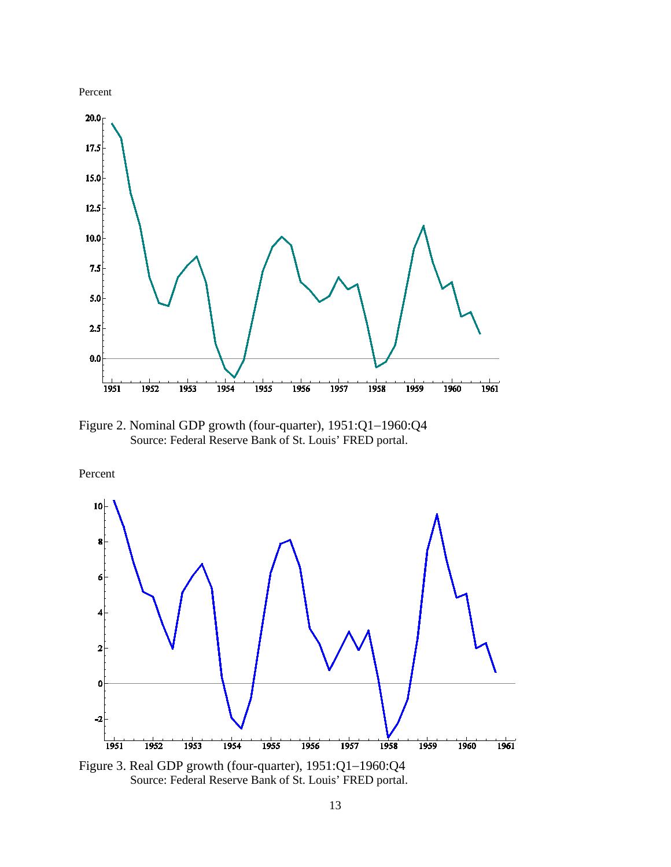

Figure 2. Nominal GDP growth (four-quarter), 1951:Q1−1960:Q4 Source: Federal Reserve Bank of St. Louis' FRED portal.

Percent



Figure 3. Real GDP growth (four-quarter), 1951:Q1−1960:Q4 Source: Federal Reserve Bank of St. Louis' FRED portal.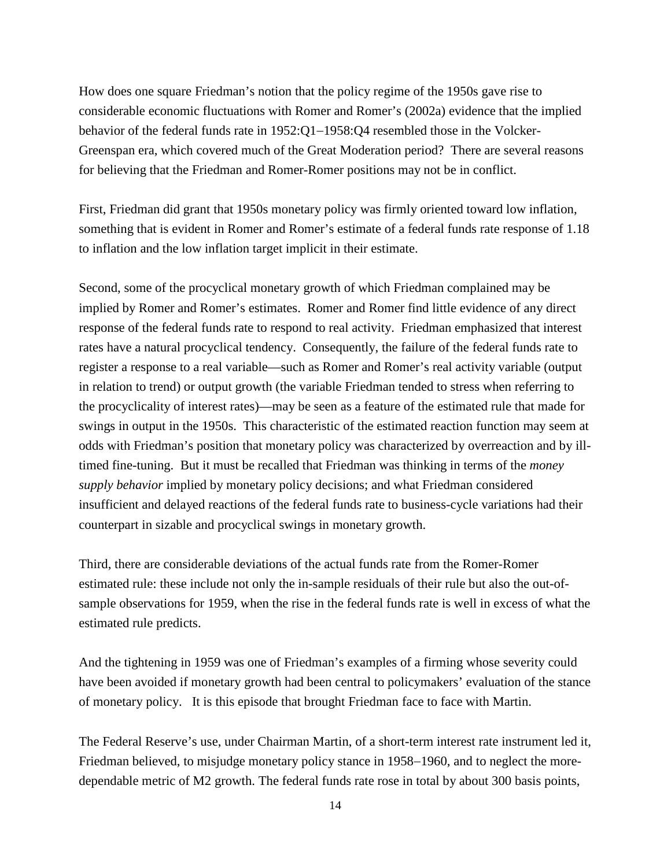How does one square Friedman's notion that the policy regime of the 1950s gave rise to considerable economic fluctuations with Romer and Romer's (2002a) evidence that the implied behavior of the federal funds rate in 1952:Q1−1958:Q4 resembled those in the Volcker-Greenspan era, which covered much of the Great Moderation period? There are several reasons for believing that the Friedman and Romer-Romer positions may not be in conflict.

First, Friedman did grant that 1950s monetary policy was firmly oriented toward low inflation, something that is evident in Romer and Romer's estimate of a federal funds rate response of 1.18 to inflation and the low inflation target implicit in their estimate.

Second, some of the procyclical monetary growth of which Friedman complained may be implied by Romer and Romer's estimates. Romer and Romer find little evidence of any direct response of the federal funds rate to respond to real activity. Friedman emphasized that interest rates have a natural procyclical tendency. Consequently, the failure of the federal funds rate to register a response to a real variable—such as Romer and Romer's real activity variable (output in relation to trend) or output growth (the variable Friedman tended to stress when referring to the procyclicality of interest rates)—may be seen as a feature of the estimated rule that made for swings in output in the 1950s. This characteristic of the estimated reaction function may seem at odds with Friedman's position that monetary policy was characterized by overreaction and by illtimed fine-tuning. But it must be recalled that Friedman was thinking in terms of the *money supply behavior* implied by monetary policy decisions; and what Friedman considered insufficient and delayed reactions of the federal funds rate to business-cycle variations had their counterpart in sizable and procyclical swings in monetary growth.

Third, there are considerable deviations of the actual funds rate from the Romer-Romer estimated rule: these include not only the in-sample residuals of their rule but also the out-ofsample observations for 1959, when the rise in the federal funds rate is well in excess of what the estimated rule predicts.

And the tightening in 1959 was one of Friedman's examples of a firming whose severity could have been avoided if monetary growth had been central to policymakers' evaluation of the stance of monetary policy. It is this episode that brought Friedman face to face with Martin.

The Federal Reserve's use, under Chairman Martin, of a short-term interest rate instrument led it, Friedman believed, to misjudge monetary policy stance in 1958−1960, and to neglect the moredependable metric of M2 growth. The federal funds rate rose in total by about 300 basis points,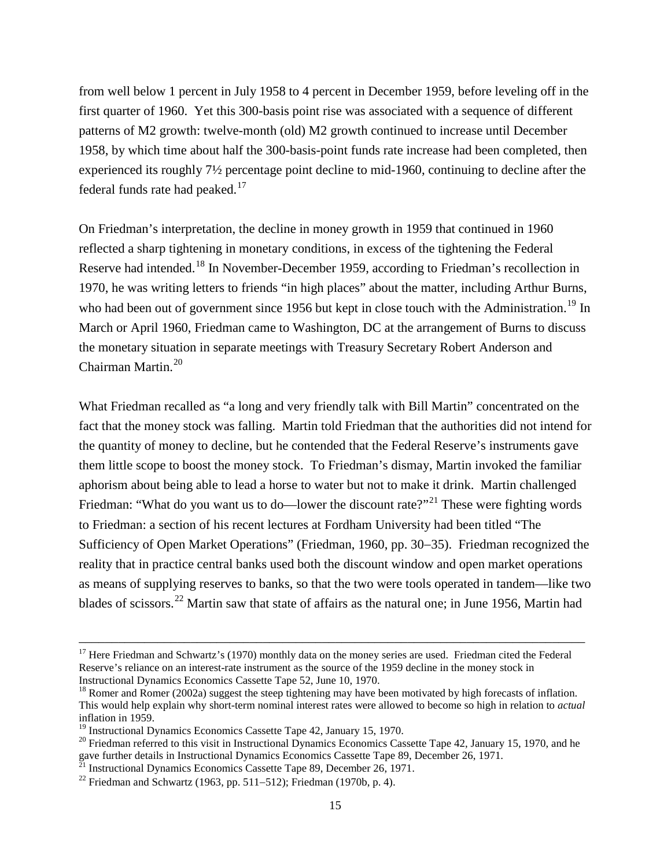from well below 1 percent in July 1958 to 4 percent in December 1959, before leveling off in the first quarter of 1960. Yet this 300-basis point rise was associated with a sequence of different patterns of M2 growth: twelve-month (old) M2 growth continued to increase until December 1958, by which time about half the 300-basis-point funds rate increase had been completed, then experienced its roughly 7½ percentage point decline to mid-1960, continuing to decline after the federal funds rate had peaked. $17$ 

On Friedman's interpretation, the decline in money growth in 1959 that continued in 1960 reflected a sharp tightening in monetary conditions, in excess of the tightening the Federal Reserve had intended.<sup>[18](#page-15-1)</sup> In November-December 1959, according to Friedman's recollection in 1970, he was writing letters to friends "in high places" about the matter, including Arthur Burns, who had been out of government since [19](#page-15-2)56 but kept in close touch with the Administration.<sup>19</sup> In March or April 1960, Friedman came to Washington, DC at the arrangement of Burns to discuss the monetary situation in separate meetings with Treasury Secretary Robert Anderson and Chairman Martin.<sup>[20](#page-15-3)</sup>

What Friedman recalled as "a long and very friendly talk with Bill Martin" concentrated on the fact that the money stock was falling. Martin told Friedman that the authorities did not intend for the quantity of money to decline, but he contended that the Federal Reserve's instruments gave them little scope to boost the money stock. To Friedman's dismay, Martin invoked the familiar aphorism about being able to lead a horse to water but not to make it drink. Martin challenged Friedman: "What do you want us to do—lower the discount rate?"<sup>[21](#page-15-4)</sup> These were fighting words to Friedman: a section of his recent lectures at Fordham University had been titled "The Sufficiency of Open Market Operations" (Friedman, 1960, pp. 30−35). Friedman recognized the reality that in practice central banks used both the discount window and open market operations as means of supplying reserves to banks, so that the two were tools operated in tandem—like two blades of scissors.<sup>[22](#page-15-5)</sup> Martin saw that state of affairs as the natural one; in June 1956, Martin had

<span id="page-15-0"></span><sup>&</sup>lt;sup>17</sup> Here Friedman and Schwartz's (1970) monthly data on the money series are used. Friedman cited the Federal Reserve's reliance on an interest-rate instrument as the source of the 1959 decline in the money stock in Instructional Dynamics Economics Cassette Tape 52, June 10, 1970.

<span id="page-15-1"></span> $^{18}$  Romer and Romer (2002a) suggest the steep tightening may have been motivated by high forecasts of inflation. This would help explain why short-term nominal interest rates were allowed to become so high in relation to *actual* inflation in 1959.<br><sup>19</sup> Instructional Dynamics Economics Cassette Tape 42, January 15, 1970.

<span id="page-15-3"></span><span id="page-15-2"></span><sup>&</sup>lt;sup>20</sup> Friedman referred to this visit in Instructional Dynamics Economics Cassette Tape 42, January 15, 1970, and he gave further details in Instructional Dynamics Economics Cassette Tape 89, December 26, 1971.<br><sup>21</sup> Instructional Dynamics Economics Cassette Tape 89, December 26, 1971.

<span id="page-15-4"></span>

<span id="page-15-5"></span><sup>&</sup>lt;sup>22</sup> Friedman and Schwartz (1963, pp. 511–512); Friedman (1970b, p. 4).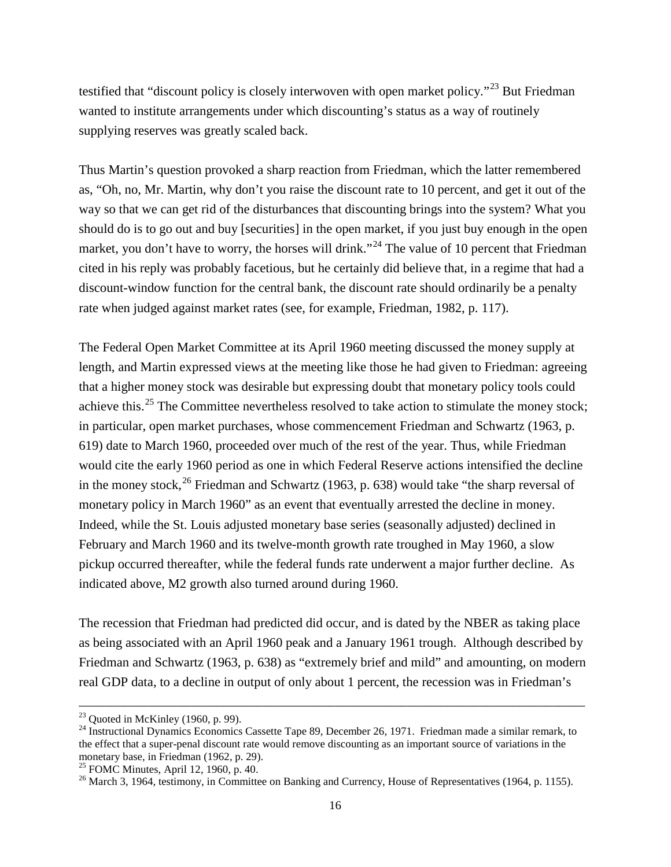testified that "discount policy is closely interwoven with open market policy."<sup>[23](#page-16-0)</sup> But Friedman wanted to institute arrangements under which discounting's status as a way of routinely supplying reserves was greatly scaled back.

Thus Martin's question provoked a sharp reaction from Friedman, which the latter remembered as, "Oh, no, Mr. Martin, why don't you raise the discount rate to 10 percent, and get it out of the way so that we can get rid of the disturbances that discounting brings into the system? What you should do is to go out and buy [securities] in the open market, if you just buy enough in the open market, you don't have to worry, the horses will drink."<sup>[24](#page-16-1)</sup> The value of 10 percent that Friedman cited in his reply was probably facetious, but he certainly did believe that, in a regime that had a discount-window function for the central bank, the discount rate should ordinarily be a penalty rate when judged against market rates (see, for example, Friedman, 1982, p. 117).

The Federal Open Market Committee at its April 1960 meeting discussed the money supply at length, and Martin expressed views at the meeting like those he had given to Friedman: agreeing that a higher money stock was desirable but expressing doubt that monetary policy tools could achieve this.<sup>[25](#page-16-2)</sup> The Committee nevertheless resolved to take action to stimulate the money stock; in particular, open market purchases, whose commencement Friedman and Schwartz (1963, p. 619) date to March 1960, proceeded over much of the rest of the year. Thus, while Friedman would cite the early 1960 period as one in which Federal Reserve actions intensified the decline in the money stock,  $^{26}$  $^{26}$  $^{26}$  Friedman and Schwartz (1963, p. 638) would take "the sharp reversal of monetary policy in March 1960" as an event that eventually arrested the decline in money. Indeed, while the St. Louis adjusted monetary base series (seasonally adjusted) declined in February and March 1960 and its twelve-month growth rate troughed in May 1960, a slow pickup occurred thereafter, while the federal funds rate underwent a major further decline. As indicated above, M2 growth also turned around during 1960.

The recession that Friedman had predicted did occur, and is dated by the NBER as taking place as being associated with an April 1960 peak and a January 1961 trough. Although described by Friedman and Schwartz (1963, p. 638) as "extremely brief and mild" and amounting, on modern real GDP data, to a decline in output of only about 1 percent, the recession was in Friedman's

<span id="page-16-1"></span>

<span id="page-16-0"></span><sup>&</sup>lt;sup>23</sup> Quoted in McKinley (1960, p. 99).<br><sup>24</sup> Instructional Dynamics Economics Cassette Tape 89, December 26, 1971. Friedman made a similar remark, to the effect that a super-penal discount rate would remove discounting as an important source of variations in the monetary base, in Friedman (1962, p. 29).<br><sup>25</sup> FOMC Minutes, April 12, 1960, p. 40.

<span id="page-16-2"></span>

<span id="page-16-3"></span><sup>&</sup>lt;sup>26</sup> March 3, 1964, testimony, in Committee on Banking and Currency, House of Representatives (1964, p. 1155).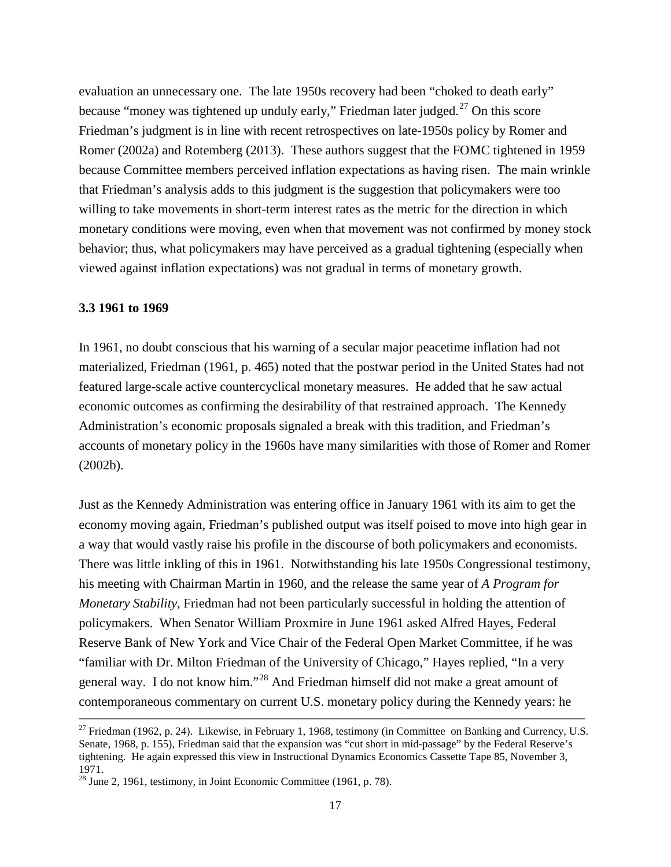evaluation an unnecessary one. The late 1950s recovery had been "choked to death early" because "money was tightened up unduly early," Friedman later judged.<sup>[27](#page-17-0)</sup> On this score Friedman's judgment is in line with recent retrospectives on late-1950s policy by Romer and Romer (2002a) and Rotemberg (2013). These authors suggest that the FOMC tightened in 1959 because Committee members perceived inflation expectations as having risen. The main wrinkle that Friedman's analysis adds to this judgment is the suggestion that policymakers were too willing to take movements in short-term interest rates as the metric for the direction in which monetary conditions were moving, even when that movement was not confirmed by money stock behavior; thus, what policymakers may have perceived as a gradual tightening (especially when viewed against inflation expectations) was not gradual in terms of monetary growth.

# **3.3 1961 to 1969**

In 1961, no doubt conscious that his warning of a secular major peacetime inflation had not materialized, Friedman (1961, p. 465) noted that the postwar period in the United States had not featured large-scale active countercyclical monetary measures. He added that he saw actual economic outcomes as confirming the desirability of that restrained approach. The Kennedy Administration's economic proposals signaled a break with this tradition, and Friedman's accounts of monetary policy in the 1960s have many similarities with those of Romer and Romer (2002b).

Just as the Kennedy Administration was entering office in January 1961 with its aim to get the economy moving again, Friedman's published output was itself poised to move into high gear in a way that would vastly raise his profile in the discourse of both policymakers and economists. There was little inkling of this in 1961. Notwithstanding his late 1950s Congressional testimony, his meeting with Chairman Martin in 1960, and the release the same year of *A Program for Monetary Stability*, Friedman had not been particularly successful in holding the attention of policymakers. When Senator William Proxmire in June 1961 asked Alfred Hayes, Federal Reserve Bank of New York and Vice Chair of the Federal Open Market Committee, if he was "familiar with Dr. Milton Friedman of the University of Chicago," Hayes replied, "In a very general way. I do not know him."[28](#page-17-1) And Friedman himself did not make a great amount of contemporaneous commentary on current U.S. monetary policy during the Kennedy years: he

<span id="page-17-0"></span><sup>&</sup>lt;sup>27</sup> Friedman (1962, p. 24). Likewise, in February 1, 1968, testimony (in Committee on Banking and Currency, U.S. Senate, 1968, p. 155), Friedman said that the expansion was "cut short in mid-passage" by the Federal Reserve's tightening. He again expressed this view in Instructional Dynamics Economics Cassette Tape 85, November 3, 1971.

<span id="page-17-1"></span> $^{28}$  June 2, 1961, testimony, in Joint Economic Committee (1961, p. 78).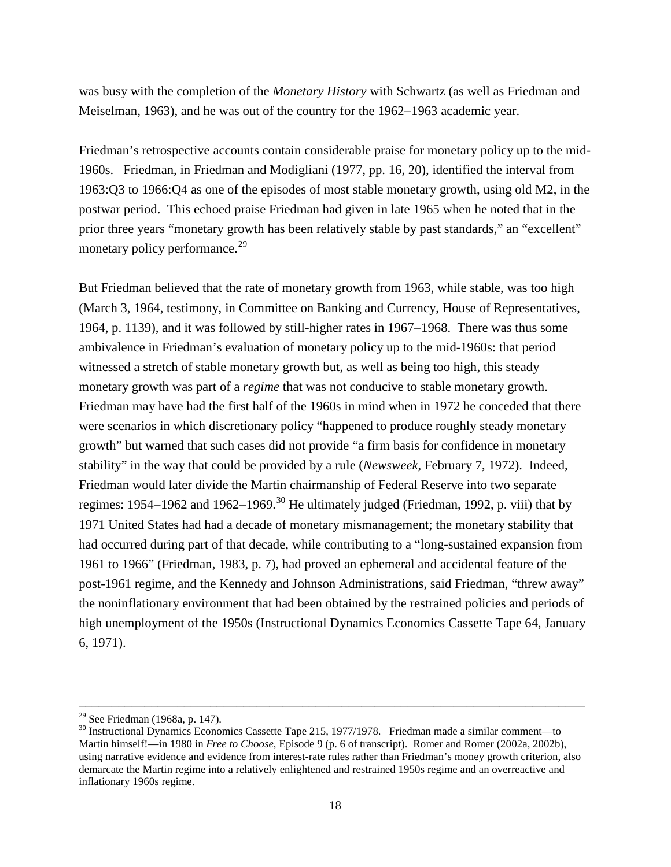was busy with the completion of the *Monetary History* with Schwartz (as well as Friedman and Meiselman, 1963), and he was out of the country for the 1962−1963 academic year.

Friedman's retrospective accounts contain considerable praise for monetary policy up to the mid-1960s. Friedman, in Friedman and Modigliani (1977, pp. 16, 20), identified the interval from 1963:Q3 to 1966:Q4 as one of the episodes of most stable monetary growth, using old M2, in the postwar period. This echoed praise Friedman had given in late 1965 when he noted that in the prior three years "monetary growth has been relatively stable by past standards," an "excellent" monetary policy performance.<sup>[29](#page-18-0)</sup>

But Friedman believed that the rate of monetary growth from 1963, while stable, was too high (March 3, 1964, testimony, in Committee on Banking and Currency, House of Representatives, 1964, p. 1139), and it was followed by still-higher rates in 1967−1968. There was thus some ambivalence in Friedman's evaluation of monetary policy up to the mid-1960s: that period witnessed a stretch of stable monetary growth but, as well as being too high, this steady monetary growth was part of a *regime* that was not conducive to stable monetary growth. Friedman may have had the first half of the 1960s in mind when in 1972 he conceded that there were scenarios in which discretionary policy "happened to produce roughly steady monetary growth" but warned that such cases did not provide "a firm basis for confidence in monetary stability" in the way that could be provided by a rule (*Newsweek*, February 7, 1972). Indeed, Friedman would later divide the Martin chairmanship of Federal Reserve into two separate regimes: 1954−1962 and 1962−1969.<sup>[30](#page-18-1)</sup> He ultimately judged (Friedman, 1992, p. viii) that by 1971 United States had had a decade of monetary mismanagement; the monetary stability that had occurred during part of that decade, while contributing to a "long-sustained expansion from 1961 to 1966" (Friedman, 1983, p. 7), had proved an ephemeral and accidental feature of the post-1961 regime, and the Kennedy and Johnson Administrations, said Friedman, "threw away" the noninflationary environment that had been obtained by the restrained policies and periods of high unemployment of the 1950s (Instructional Dynamics Economics Cassette Tape 64, January 6, 1971).

<span id="page-18-1"></span>

<span id="page-18-0"></span><sup>&</sup>lt;sup>29</sup> See Friedman (1968a, p. 147).<br><sup>30</sup> Instructional Dynamics Economics Cassette Tape 215, 1977/1978. Friedman made a similar comment—to Martin himself!—in 1980 in *Free to Choose*, Episode 9 (p. 6 of transcript). Romer and Romer (2002a, 2002b), using narrative evidence and evidence from interest-rate rules rather than Friedman's money growth criterion, also demarcate the Martin regime into a relatively enlightened and restrained 1950s regime and an overreactive and inflationary 1960s regime.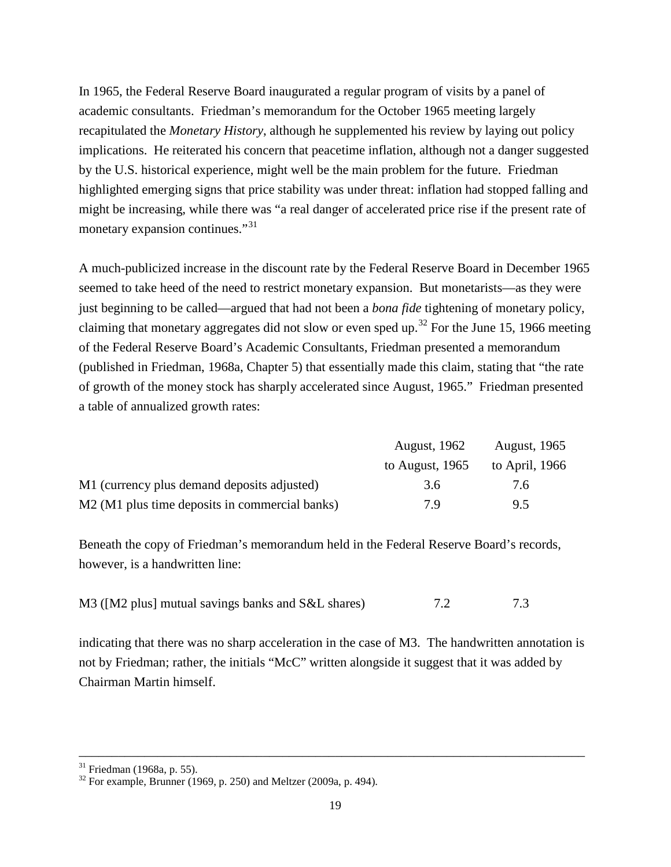In 1965, the Federal Reserve Board inaugurated a regular program of visits by a panel of academic consultants. Friedman's memorandum for the October 1965 meeting largely recapitulated the *Monetary History*, although he supplemented his review by laying out policy implications. He reiterated his concern that peacetime inflation, although not a danger suggested by the U.S. historical experience, might well be the main problem for the future. Friedman highlighted emerging signs that price stability was under threat: inflation had stopped falling and might be increasing, while there was "a real danger of accelerated price rise if the present rate of monetary expansion continues."<sup>[31](#page-19-0)</sup>

A much-publicized increase in the discount rate by the Federal Reserve Board in December 1965 seemed to take heed of the need to restrict monetary expansion. But monetarists—as they were just beginning to be called—argued that had not been a *bona fide* tightening of monetary policy, claiming that monetary aggregates did not slow or even sped up.<sup>[32](#page-19-1)</sup> For the June 15, 1966 meeting of the Federal Reserve Board's Academic Consultants, Friedman presented a memorandum (published in Friedman, 1968a, Chapter 5) that essentially made this claim, stating that "the rate of growth of the money stock has sharply accelerated since August, 1965." Friedman presented a table of annualized growth rates:

|                                                | <b>August, 1962</b> | <b>August, 1965</b> |
|------------------------------------------------|---------------------|---------------------|
|                                                | to August, $1965$   | to April, 1966      |
| M1 (currency plus demand deposits adjusted)    | 3.6                 | 7.6                 |
| M2 (M1 plus time deposits in commercial banks) | 7 9                 | 95                  |

Beneath the copy of Friedman's memorandum held in the Federal Reserve Board's records, however, is a handwritten line:

| M3 ([M2 plus] mutual savings banks and S&L shares) | 7.2 | 7.3 |
|----------------------------------------------------|-----|-----|
|----------------------------------------------------|-----|-----|

indicating that there was no sharp acceleration in the case of M3. The handwritten annotation is not by Friedman; rather, the initials "McC" written alongside it suggest that it was added by Chairman Martin himself.

<span id="page-19-1"></span><span id="page-19-0"></span><sup>&</sup>lt;sup>31</sup> Friedman (1968a, p. 55).<br><sup>32</sup> For example, Brunner (1969, p. 250) and Meltzer (2009a, p. 494).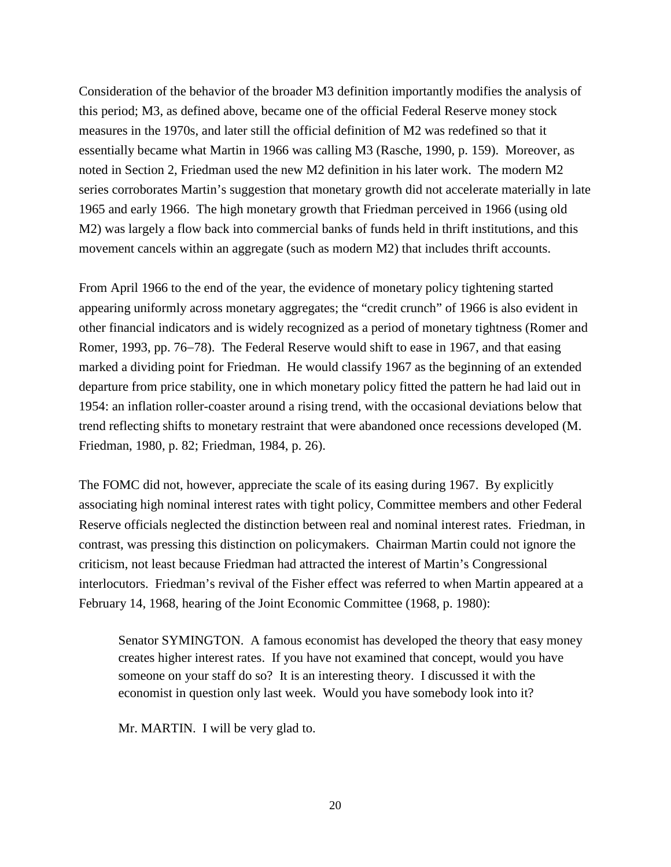Consideration of the behavior of the broader M3 definition importantly modifies the analysis of this period; M3, as defined above, became one of the official Federal Reserve money stock measures in the 1970s, and later still the official definition of M2 was redefined so that it essentially became what Martin in 1966 was calling M3 (Rasche, 1990, p. 159). Moreover, as noted in Section 2, Friedman used the new M2 definition in his later work. The modern M2 series corroborates Martin's suggestion that monetary growth did not accelerate materially in late 1965 and early 1966. The high monetary growth that Friedman perceived in 1966 (using old M2) was largely a flow back into commercial banks of funds held in thrift institutions, and this movement cancels within an aggregate (such as modern M2) that includes thrift accounts.

From April 1966 to the end of the year, the evidence of monetary policy tightening started appearing uniformly across monetary aggregates; the "credit crunch" of 1966 is also evident in other financial indicators and is widely recognized as a period of monetary tightness (Romer and Romer, 1993, pp. 76−78). The Federal Reserve would shift to ease in 1967, and that easing marked a dividing point for Friedman. He would classify 1967 as the beginning of an extended departure from price stability, one in which monetary policy fitted the pattern he had laid out in 1954: an inflation roller-coaster around a rising trend, with the occasional deviations below that trend reflecting shifts to monetary restraint that were abandoned once recessions developed (M. Friedman, 1980, p. 82; Friedman, 1984, p. 26).

The FOMC did not, however, appreciate the scale of its easing during 1967. By explicitly associating high nominal interest rates with tight policy, Committee members and other Federal Reserve officials neglected the distinction between real and nominal interest rates. Friedman, in contrast, was pressing this distinction on policymakers. Chairman Martin could not ignore the criticism, not least because Friedman had attracted the interest of Martin's Congressional interlocutors. Friedman's revival of the Fisher effect was referred to when Martin appeared at a February 14, 1968, hearing of the Joint Economic Committee (1968, p. 1980):

Senator SYMINGTON. A famous economist has developed the theory that easy money creates higher interest rates. If you have not examined that concept, would you have someone on your staff do so? It is an interesting theory. I discussed it with the economist in question only last week. Would you have somebody look into it?

Mr. MARTIN. I will be very glad to.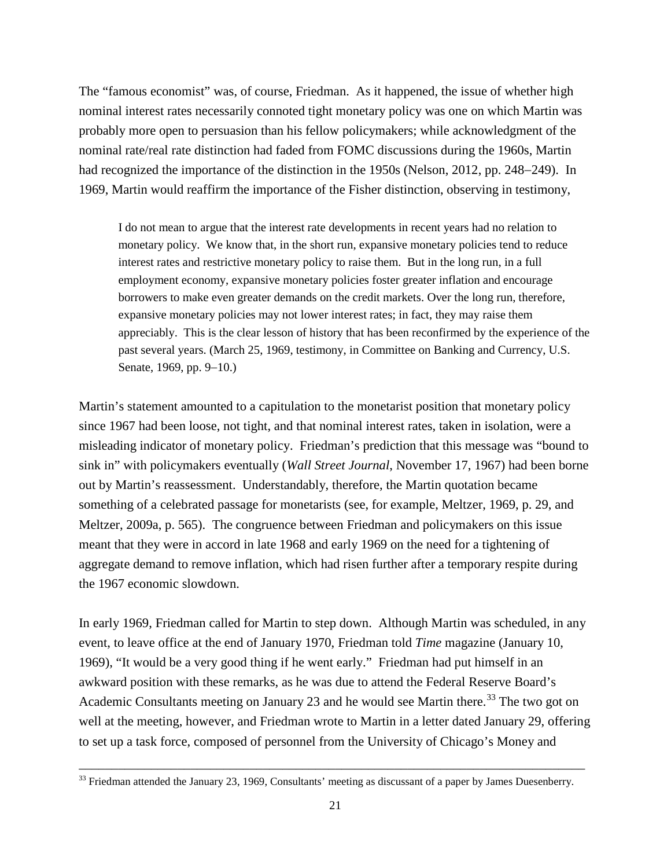The "famous economist" was, of course, Friedman. As it happened, the issue of whether high nominal interest rates necessarily connoted tight monetary policy was one on which Martin was probably more open to persuasion than his fellow policymakers; while acknowledgment of the nominal rate/real rate distinction had faded from FOMC discussions during the 1960s, Martin had recognized the importance of the distinction in the 1950s (Nelson, 2012, pp. 248−249). In 1969, Martin would reaffirm the importance of the Fisher distinction, observing in testimony,

I do not mean to argue that the interest rate developments in recent years had no relation to monetary policy. We know that, in the short run, expansive monetary policies tend to reduce interest rates and restrictive monetary policy to raise them. But in the long run, in a full employment economy, expansive monetary policies foster greater inflation and encourage borrowers to make even greater demands on the credit markets. Over the long run, therefore, expansive monetary policies may not lower interest rates; in fact, they may raise them appreciably. This is the clear lesson of history that has been reconfirmed by the experience of the past several years. (March 25, 1969, testimony, in Committee on Banking and Currency, U.S. Senate, 1969, pp. 9−10.)

Martin's statement amounted to a capitulation to the monetarist position that monetary policy since 1967 had been loose, not tight, and that nominal interest rates, taken in isolation, were a misleading indicator of monetary policy. Friedman's prediction that this message was "bound to sink in" with policymakers eventually (*Wall Street Journal*, November 17, 1967) had been borne out by Martin's reassessment. Understandably, therefore, the Martin quotation became something of a celebrated passage for monetarists (see, for example, Meltzer, 1969, p. 29, and Meltzer, 2009a, p. 565). The congruence between Friedman and policymakers on this issue meant that they were in accord in late 1968 and early 1969 on the need for a tightening of aggregate demand to remove inflation, which had risen further after a temporary respite during the 1967 economic slowdown.

In early 1969, Friedman called for Martin to step down. Although Martin was scheduled, in any event, to leave office at the end of January 1970, Friedman told *Time* magazine (January 10, 1969), "It would be a very good thing if he went early." Friedman had put himself in an awkward position with these remarks, as he was due to attend the Federal Reserve Board's Academic Consultants meeting on January 23 and he would see Martin there.<sup>[33](#page-21-0)</sup> The two got on well at the meeting, however, and Friedman wrote to Martin in a letter dated January 29, offering to set up a task force, composed of personnel from the University of Chicago's Money and

<span id="page-21-0"></span><sup>–––––––––––––––––––––––––––––––––––––––––––––––––––––––––––––––––––––––––––––</sup> <sup>33</sup> Friedman attended the January 23, 1969, Consultants' meeting as discussant of a paper by James Duesenberry.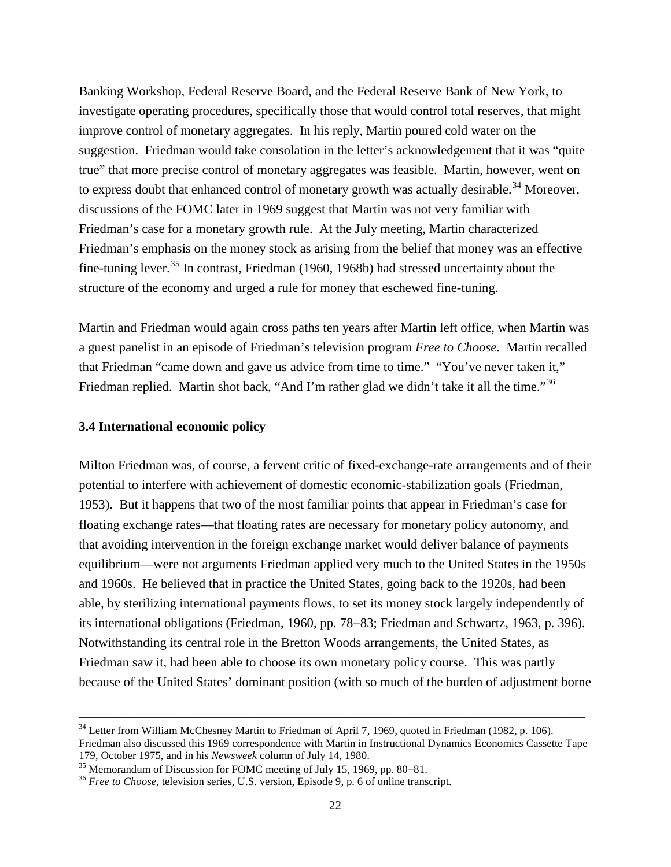Banking Workshop, Federal Reserve Board, and the Federal Reserve Bank of New York, to investigate operating procedures, specifically those that would control total reserves, that might improve control of monetary aggregates. In his reply, Martin poured cold water on the suggestion. Friedman would take consolation in the letter's acknowledgement that it was "quite true" that more precise control of monetary aggregates was feasible. Martin, however, went on to express doubt that enhanced control of monetary growth was actually desirable.<sup>[34](#page-22-0)</sup> Moreover, discussions of the FOMC later in 1969 suggest that Martin was not very familiar with Friedman's case for a monetary growth rule. At the July meeting, Martin characterized Friedman's emphasis on the money stock as arising from the belief that money was an effective fine-tuning lever.<sup>[35](#page-22-1)</sup> In contrast, Friedman (1960, 1968b) had stressed uncertainty about the structure of the economy and urged a rule for money that eschewed fine-tuning.

Martin and Friedman would again cross paths ten years after Martin left office, when Martin was a guest panelist in an episode of Friedman's television program *Free to Choose*. Martin recalled that Friedman "came down and gave us advice from time to time." "You've never taken it," Friedman replied. Martin shot back, "And I'm rather glad we didn't take it all the time."<sup>[36](#page-22-2)</sup>

## **3.4 International economic policy**

Milton Friedman was, of course, a fervent critic of fixed-exchange-rate arrangements and of their potential to interfere with achievement of domestic economic-stabilization goals (Friedman, 1953). But it happens that two of the most familiar points that appear in Friedman's case for floating exchange rates—that floating rates are necessary for monetary policy autonomy, and that avoiding intervention in the foreign exchange market would deliver balance of payments equilibrium—were not arguments Friedman applied very much to the United States in the 1950s and 1960s. He believed that in practice the United States, going back to the 1920s, had been able, by sterilizing international payments flows, to set its money stock largely independently of its international obligations (Friedman, 1960, pp. 78−83; Friedman and Schwartz, 1963, p. 396). Notwithstanding its central role in the Bretton Woods arrangements, the United States, as Friedman saw it, had been able to choose its own monetary policy course. This was partly because of the United States' dominant position (with so much of the burden of adjustment borne

<span id="page-22-0"></span><sup>&</sup>lt;sup>34</sup> Letter from William McChesney Martin to Friedman of April 7, 1969, quoted in Friedman (1982, p. 106). Friedman also discussed this 1969 correspondence with Martin in Instructional Dynamics Economics Cassette Tape 179, October 1975, and in his *Newsweek* column of July 14, 1980.

<span id="page-22-2"></span><span id="page-22-1"></span><sup>&</sup>lt;sup>36</sup> Free to Choose, television series, U.S. version, Episode 9, p. 6 of online transcript.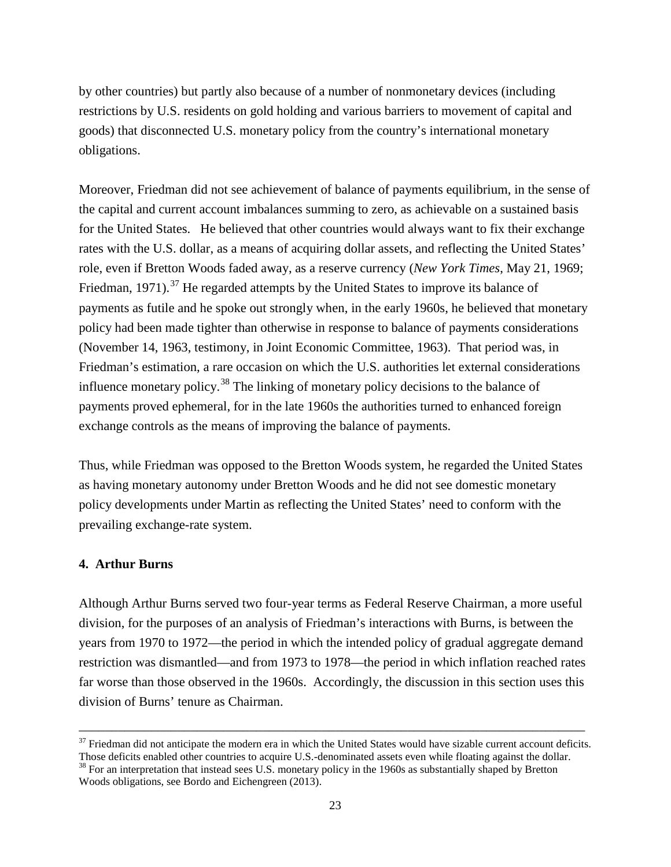by other countries) but partly also because of a number of nonmonetary devices (including restrictions by U.S. residents on gold holding and various barriers to movement of capital and goods) that disconnected U.S. monetary policy from the country's international monetary obligations.

Moreover, Friedman did not see achievement of balance of payments equilibrium, in the sense of the capital and current account imbalances summing to zero, as achievable on a sustained basis for the United States. He believed that other countries would always want to fix their exchange rates with the U.S. dollar, as a means of acquiring dollar assets, and reflecting the United States' role, even if Bretton Woods faded away, as a reserve currency (*New York Times*, May 21, 1969; Friedman, 1971).<sup>[37](#page-23-0)</sup> He regarded attempts by the United States to improve its balance of payments as futile and he spoke out strongly when, in the early 1960s, he believed that monetary policy had been made tighter than otherwise in response to balance of payments considerations (November 14, 1963, testimony, in Joint Economic Committee, 1963). That period was, in Friedman's estimation, a rare occasion on which the U.S. authorities let external considerations influence monetary policy.<sup>[38](#page-23-1)</sup> The linking of monetary policy decisions to the balance of payments proved ephemeral, for in the late 1960s the authorities turned to enhanced foreign exchange controls as the means of improving the balance of payments.

Thus, while Friedman was opposed to the Bretton Woods system, he regarded the United States as having monetary autonomy under Bretton Woods and he did not see domestic monetary policy developments under Martin as reflecting the United States' need to conform with the prevailing exchange-rate system.

## **4. Arthur Burns**

Although Arthur Burns served two four-year terms as Federal Reserve Chairman, a more useful division, for the purposes of an analysis of Friedman's interactions with Burns, is between the years from 1970 to 1972—the period in which the intended policy of gradual aggregate demand restriction was dismantled—and from 1973 to 1978—the period in which inflation reached rates far worse than those observed in the 1960s. Accordingly, the discussion in this section uses this division of Burns' tenure as Chairman.

<span id="page-23-0"></span><sup>–––––––––––––––––––––––––––––––––––––––––––––––––––––––––––––––––––––––––––––</sup>  $37$  Friedman did not anticipate the modern era in which the United States would have sizable current account deficits. Those deficits enabled other countries to acquire U.S.-denominated assets even while floating against the dollar.<br><sup>38</sup> For an interpretation that instead sees U.S. monetary policy in the 1960s as substantially shaped by Br

<span id="page-23-1"></span>Woods obligations, see Bordo and Eichengreen (2013).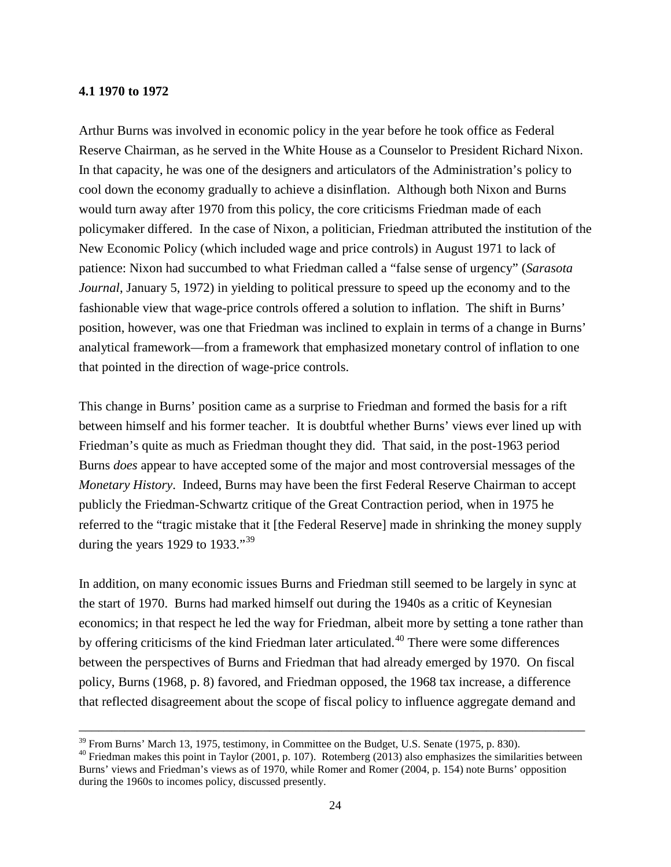# **4.1 1970 to 1972**

Arthur Burns was involved in economic policy in the year before he took office as Federal Reserve Chairman, as he served in the White House as a Counselor to President Richard Nixon. In that capacity, he was one of the designers and articulators of the Administration's policy to cool down the economy gradually to achieve a disinflation. Although both Nixon and Burns would turn away after 1970 from this policy, the core criticisms Friedman made of each policymaker differed. In the case of Nixon, a politician, Friedman attributed the institution of the New Economic Policy (which included wage and price controls) in August 1971 to lack of patience: Nixon had succumbed to what Friedman called a "false sense of urgency" (*Sarasota Journal*, January 5, 1972) in yielding to political pressure to speed up the economy and to the fashionable view that wage-price controls offered a solution to inflation. The shift in Burns' position, however, was one that Friedman was inclined to explain in terms of a change in Burns' analytical framework—from a framework that emphasized monetary control of inflation to one that pointed in the direction of wage-price controls.

This change in Burns' position came as a surprise to Friedman and formed the basis for a rift between himself and his former teacher. It is doubtful whether Burns' views ever lined up with Friedman's quite as much as Friedman thought they did. That said, in the post-1963 period Burns *does* appear to have accepted some of the major and most controversial messages of the *Monetary History*. Indeed, Burns may have been the first Federal Reserve Chairman to accept publicly the Friedman-Schwartz critique of the Great Contraction period, when in 1975 he referred to the "tragic mistake that it [the Federal Reserve] made in shrinking the money supply during the years 1929 to 1933."  $39$ 

In addition, on many economic issues Burns and Friedman still seemed to be largely in sync at the start of 1970. Burns had marked himself out during the 1940s as a critic of Keynesian economics; in that respect he led the way for Friedman, albeit more by setting a tone rather than by offering criticisms of the kind Friedman later articulated.<sup>[40](#page-24-1)</sup> There were some differences between the perspectives of Burns and Friedman that had already emerged by 1970. On fiscal policy, Burns (1968, p. 8) favored, and Friedman opposed, the 1968 tax increase, a difference that reflected disagreement about the scope of fiscal policy to influence aggregate demand and

<span id="page-24-0"></span> $^{39}$  From Burns' March 13, 1975, testimony, in Committee on the Budget, U.S. Senate (1975, p. 830).

<span id="page-24-1"></span> $30$  Friedman makes this point in Taylor (2001, p. 107). Rotemberg (2013) also emphasizes the similarities between Burns' views and Friedman's views as of 1970, while Romer and Romer (2004, p. 154) note Burns' opposition during the 1960s to incomes policy, discussed presently.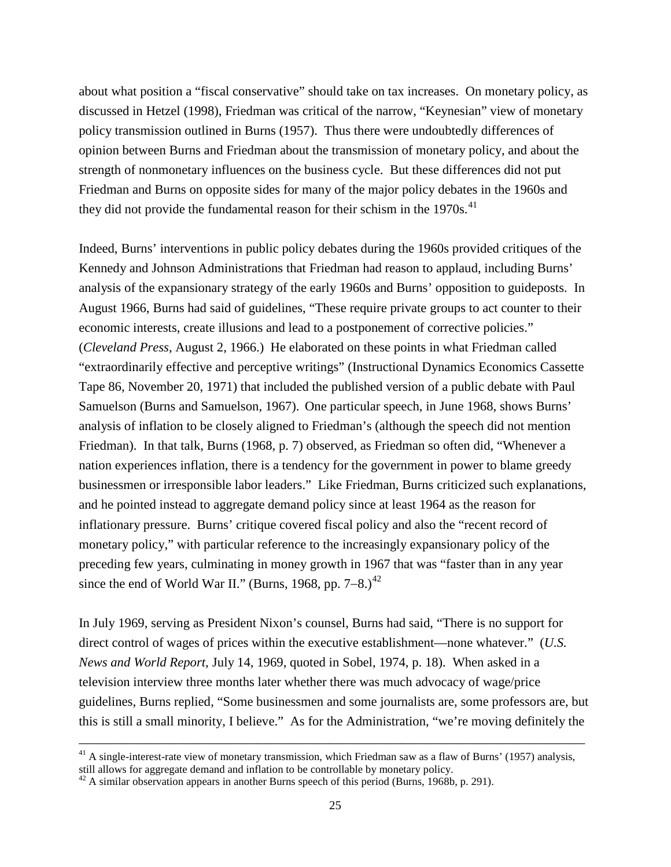about what position a "fiscal conservative" should take on tax increases. On monetary policy, as discussed in Hetzel (1998), Friedman was critical of the narrow, "Keynesian" view of monetary policy transmission outlined in Burns (1957). Thus there were undoubtedly differences of opinion between Burns and Friedman about the transmission of monetary policy, and about the strength of nonmonetary influences on the business cycle. But these differences did not put Friedman and Burns on opposite sides for many of the major policy debates in the 1960s and they did not provide the fundamental reason for their schism in the  $1970s$ .<sup>[41](#page-25-0)</sup>

Indeed, Burns' interventions in public policy debates during the 1960s provided critiques of the Kennedy and Johnson Administrations that Friedman had reason to applaud, including Burns' analysis of the expansionary strategy of the early 1960s and Burns' opposition to guideposts. In August 1966, Burns had said of guidelines, "These require private groups to act counter to their economic interests, create illusions and lead to a postponement of corrective policies." (*Cleveland Press*, August 2, 1966.) He elaborated on these points in what Friedman called "extraordinarily effective and perceptive writings" (Instructional Dynamics Economics Cassette Tape 86, November 20, 1971) that included the published version of a public debate with Paul Samuelson (Burns and Samuelson, 1967). One particular speech, in June 1968, shows Burns' analysis of inflation to be closely aligned to Friedman's (although the speech did not mention Friedman). In that talk, Burns (1968, p. 7) observed, as Friedman so often did, "Whenever a nation experiences inflation, there is a tendency for the government in power to blame greedy businessmen or irresponsible labor leaders." Like Friedman, Burns criticized such explanations, and he pointed instead to aggregate demand policy since at least 1964 as the reason for inflationary pressure. Burns' critique covered fiscal policy and also the "recent record of monetary policy," with particular reference to the increasingly expansionary policy of the preceding few years, culminating in money growth in 1967 that was "faster than in any year since the end of World War II." (Burns, 1968, pp. 7–8.)<sup>[42](#page-25-1)</sup>

In July 1969, serving as President Nixon's counsel, Burns had said, "There is no support for direct control of wages of prices within the executive establishment—none whatever." (*U.S. News and World Report*, July 14, 1969, quoted in Sobel, 1974, p. 18). When asked in a television interview three months later whether there was much advocacy of wage/price guidelines, Burns replied, "Some businessmen and some journalists are, some professors are, but this is still a small minority, I believe." As for the Administration, "we're moving definitely the

<span id="page-25-0"></span> $41$  A single-interest-rate view of monetary transmission, which Friedman saw as a flaw of Burns' (1957) analysis, still allows for aggregate demand and inflation to be controllable by monetary policy.

<span id="page-25-1"></span> $42$  A similar observation appears in another Burns speech of this period (Burns, 1968b, p. 291).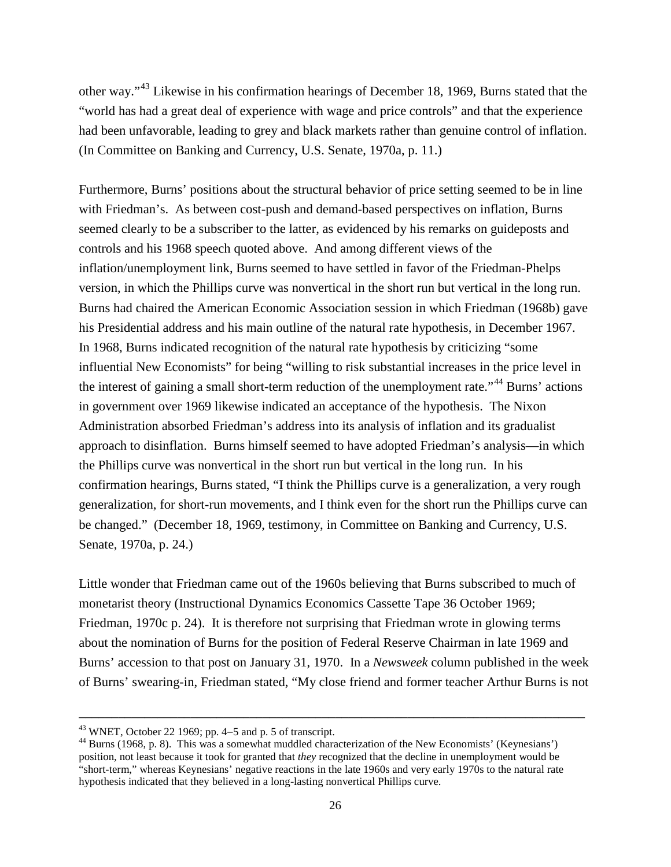other way."[43](#page-26-0) Likewise in his confirmation hearings of December 18, 1969, Burns stated that the "world has had a great deal of experience with wage and price controls" and that the experience had been unfavorable, leading to grey and black markets rather than genuine control of inflation. (In Committee on Banking and Currency, U.S. Senate, 1970a, p. 11.)

Furthermore, Burns' positions about the structural behavior of price setting seemed to be in line with Friedman's. As between cost-push and demand-based perspectives on inflation, Burns seemed clearly to be a subscriber to the latter, as evidenced by his remarks on guideposts and controls and his 1968 speech quoted above. And among different views of the inflation/unemployment link, Burns seemed to have settled in favor of the Friedman-Phelps version, in which the Phillips curve was nonvertical in the short run but vertical in the long run. Burns had chaired the American Economic Association session in which Friedman (1968b) gave his Presidential address and his main outline of the natural rate hypothesis, in December 1967. In 1968, Burns indicated recognition of the natural rate hypothesis by criticizing "some influential New Economists" for being "willing to risk substantial increases in the price level in the interest of gaining a small short-term reduction of the unemployment rate."<sup>[44](#page-26-1)</sup> Burns' actions in government over 1969 likewise indicated an acceptance of the hypothesis. The Nixon Administration absorbed Friedman's address into its analysis of inflation and its gradualist approach to disinflation. Burns himself seemed to have adopted Friedman's analysis—in which the Phillips curve was nonvertical in the short run but vertical in the long run. In his confirmation hearings, Burns stated, "I think the Phillips curve is a generalization, a very rough generalization, for short-run movements, and I think even for the short run the Phillips curve can be changed." (December 18, 1969, testimony, in Committee on Banking and Currency, U.S. Senate, 1970a, p. 24.)

Little wonder that Friedman came out of the 1960s believing that Burns subscribed to much of monetarist theory (Instructional Dynamics Economics Cassette Tape 36 October 1969; Friedman, 1970c p. 24). It is therefore not surprising that Friedman wrote in glowing terms about the nomination of Burns for the position of Federal Reserve Chairman in late 1969 and Burns' accession to that post on January 31, 1970. In a *Newsweek* column published in the week of Burns' swearing-in, Friedman stated, "My close friend and former teacher Arthur Burns is not

<span id="page-26-1"></span>

<span id="page-26-0"></span><sup>&</sup>lt;sup>43</sup> WNET, October 22 1969; pp. 4–5 and p. 5 of transcript.<br><sup>44</sup> Burns (1968, p. 8). This was a somewhat muddled characterization of the New Economists' (Keynesians') position, not least because it took for granted that *they* recognized that the decline in unemployment would be "short-term," whereas Keynesians' negative reactions in the late 1960s and very early 1970s to the natural rate hypothesis indicated that they believed in a long-lasting nonvertical Phillips curve.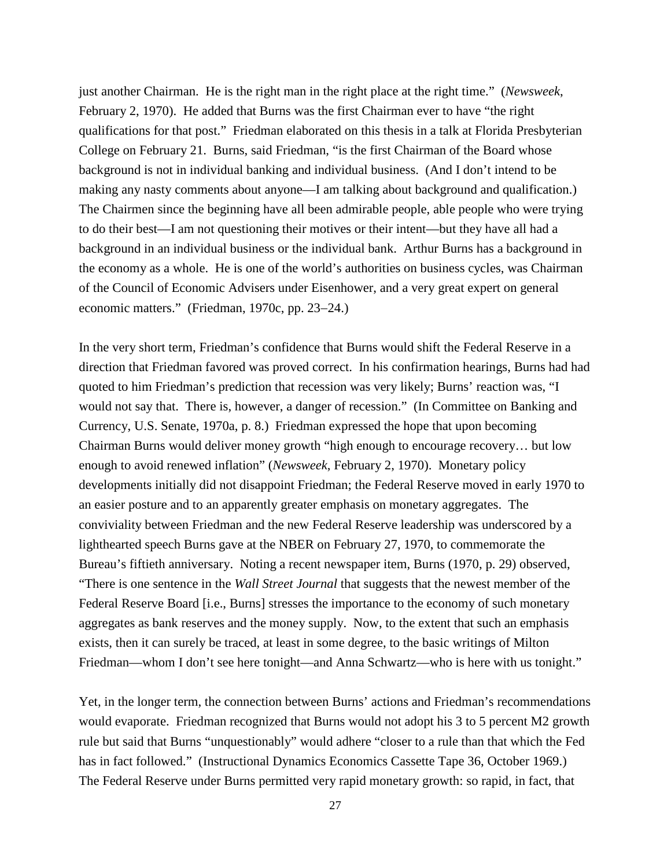just another Chairman. He is the right man in the right place at the right time." (*Newsweek*, February 2, 1970). He added that Burns was the first Chairman ever to have "the right qualifications for that post." Friedman elaborated on this thesis in a talk at Florida Presbyterian College on February 21. Burns, said Friedman, "is the first Chairman of the Board whose background is not in individual banking and individual business. (And I don't intend to be making any nasty comments about anyone—I am talking about background and qualification.) The Chairmen since the beginning have all been admirable people, able people who were trying to do their best—I am not questioning their motives or their intent—but they have all had a background in an individual business or the individual bank. Arthur Burns has a background in the economy as a whole. He is one of the world's authorities on business cycles, was Chairman of the Council of Economic Advisers under Eisenhower, and a very great expert on general economic matters." (Friedman, 1970c, pp. 23−24.)

In the very short term, Friedman's confidence that Burns would shift the Federal Reserve in a direction that Friedman favored was proved correct. In his confirmation hearings, Burns had had quoted to him Friedman's prediction that recession was very likely; Burns' reaction was, "I would not say that. There is, however, a danger of recession." (In Committee on Banking and Currency, U.S. Senate, 1970a, p. 8.) Friedman expressed the hope that upon becoming Chairman Burns would deliver money growth "high enough to encourage recovery… but low enough to avoid renewed inflation" (*Newsweek*, February 2, 1970). Monetary policy developments initially did not disappoint Friedman; the Federal Reserve moved in early 1970 to an easier posture and to an apparently greater emphasis on monetary aggregates. The conviviality between Friedman and the new Federal Reserve leadership was underscored by a lighthearted speech Burns gave at the NBER on February 27, 1970, to commemorate the Bureau's fiftieth anniversary. Noting a recent newspaper item, Burns (1970, p. 29) observed, "There is one sentence in the *Wall Street Journal* that suggests that the newest member of the Federal Reserve Board [i.e., Burns] stresses the importance to the economy of such monetary aggregates as bank reserves and the money supply. Now, to the extent that such an emphasis exists, then it can surely be traced, at least in some degree, to the basic writings of Milton Friedman—whom I don't see here tonight—and Anna Schwartz—who is here with us tonight."

Yet, in the longer term, the connection between Burns' actions and Friedman's recommendations would evaporate. Friedman recognized that Burns would not adopt his 3 to 5 percent M2 growth rule but said that Burns "unquestionably" would adhere "closer to a rule than that which the Fed has in fact followed." (Instructional Dynamics Economics Cassette Tape 36, October 1969.) The Federal Reserve under Burns permitted very rapid monetary growth: so rapid, in fact, that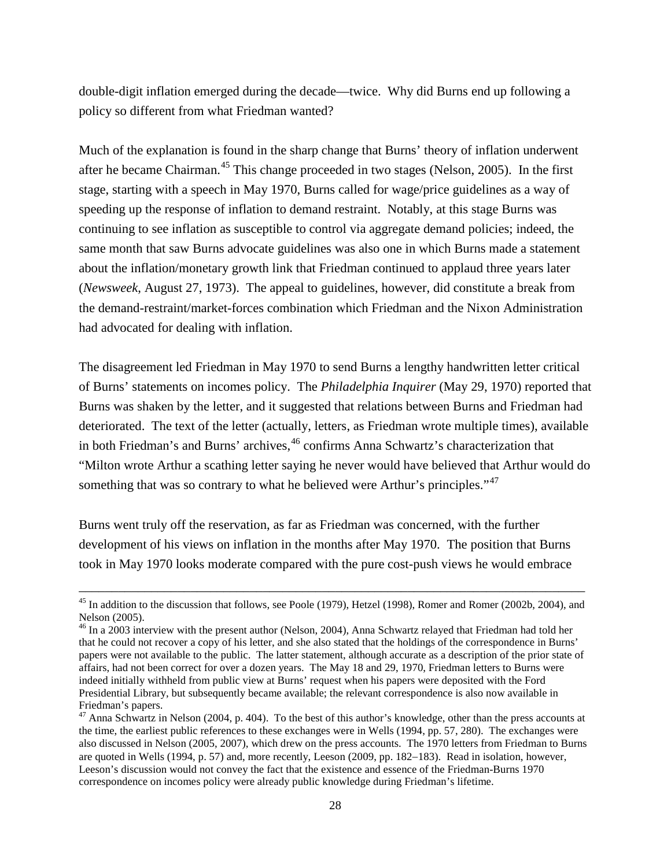double-digit inflation emerged during the decade—twice. Why did Burns end up following a policy so different from what Friedman wanted?

Much of the explanation is found in the sharp change that Burns' theory of inflation underwent after he became Chairman.<sup>[45](#page-28-0)</sup> This change proceeded in two stages (Nelson, 2005). In the first stage, starting with a speech in May 1970, Burns called for wage/price guidelines as a way of speeding up the response of inflation to demand restraint. Notably, at this stage Burns was continuing to see inflation as susceptible to control via aggregate demand policies; indeed, the same month that saw Burns advocate guidelines was also one in which Burns made a statement about the inflation/monetary growth link that Friedman continued to applaud three years later (*Newsweek*, August 27, 1973). The appeal to guidelines, however, did constitute a break from the demand-restraint/market-forces combination which Friedman and the Nixon Administration had advocated for dealing with inflation.

The disagreement led Friedman in May 1970 to send Burns a lengthy handwritten letter critical of Burns' statements on incomes policy. The *Philadelphia Inquirer* (May 29, 1970) reported that Burns was shaken by the letter, and it suggested that relations between Burns and Friedman had deteriorated. The text of the letter (actually, letters, as Friedman wrote multiple times), available in both Friedman's and Burns' archives, <sup>[46](#page-28-1)</sup> confirms Anna Schwartz's characterization that "Milton wrote Arthur a scathing letter saying he never would have believed that Arthur would do something that was so contrary to what he believed were Arthur's principles."<sup>[47](#page-28-2)</sup>

Burns went truly off the reservation, as far as Friedman was concerned, with the further development of his views on inflation in the months after May 1970. The position that Burns took in May 1970 looks moderate compared with the pure cost-push views he would embrace

<span id="page-28-0"></span><sup>–––––––––––––––––––––––––––––––––––––––––––––––––––––––––––––––––––––––––––––</sup> <sup>45</sup> In addition to the discussion that follows, see Poole (1979), Hetzel (1998), Romer and Romer (2002b, 2004), and Nelson (2005).

<span id="page-28-1"></span><sup>&</sup>lt;sup>46</sup> In a 2003 interview with the present author (Nelson, 2004), Anna Schwartz relayed that Friedman had told her that he could not recover a copy of his letter, and she also stated that the holdings of the correspondence in Burns' papers were not available to the public. The latter statement, although accurate as a description of the prior state of affairs, had not been correct for over a dozen years. The May 18 and 29, 1970, Friedman letters to Burns were indeed initially withheld from public view at Burns' request when his papers were deposited with the Ford Presidential Library, but subsequently became available; the relevant correspondence is also now available in Friedman's papers.

<span id="page-28-2"></span><sup>&</sup>lt;sup>47</sup> Anna Schwartz in Nelson (2004, p. 404). To the best of this author's knowledge, other than the press accounts at the time, the earliest public references to these exchanges were in Wells (1994, pp. 57, 280). The exchanges were also discussed in Nelson (2005, 2007), which drew on the press accounts. The 1970 letters from Friedman to Burns are quoted in Wells (1994, p. 57) and, more recently, Leeson (2009, pp. 182−183). Read in isolation, however, Leeson's discussion would not convey the fact that the existence and essence of the Friedman-Burns 1970 correspondence on incomes policy were already public knowledge during Friedman's lifetime.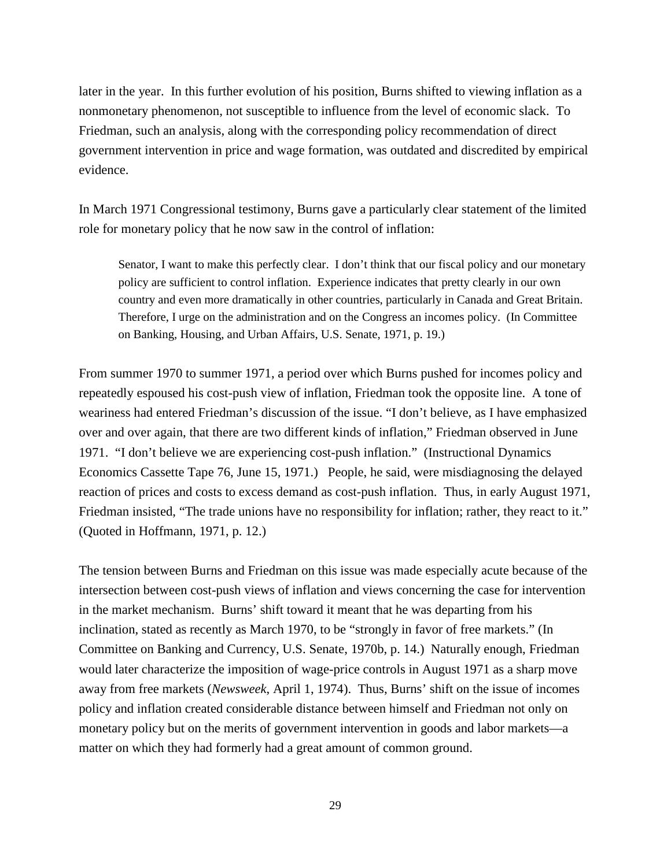later in the year. In this further evolution of his position, Burns shifted to viewing inflation as a nonmonetary phenomenon, not susceptible to influence from the level of economic slack. To Friedman, such an analysis, along with the corresponding policy recommendation of direct government intervention in price and wage formation, was outdated and discredited by empirical evidence.

In March 1971 Congressional testimony, Burns gave a particularly clear statement of the limited role for monetary policy that he now saw in the control of inflation:

Senator, I want to make this perfectly clear. I don't think that our fiscal policy and our monetary policy are sufficient to control inflation. Experience indicates that pretty clearly in our own country and even more dramatically in other countries, particularly in Canada and Great Britain. Therefore, I urge on the administration and on the Congress an incomes policy. (In Committee on Banking, Housing, and Urban Affairs, U.S. Senate, 1971, p. 19.)

From summer 1970 to summer 1971, a period over which Burns pushed for incomes policy and repeatedly espoused his cost-push view of inflation, Friedman took the opposite line. A tone of weariness had entered Friedman's discussion of the issue. "I don't believe, as I have emphasized over and over again, that there are two different kinds of inflation," Friedman observed in June 1971. "I don't believe we are experiencing cost-push inflation." (Instructional Dynamics Economics Cassette Tape 76, June 15, 1971.) People, he said, were misdiagnosing the delayed reaction of prices and costs to excess demand as cost-push inflation. Thus, in early August 1971, Friedman insisted, "The trade unions have no responsibility for inflation; rather, they react to it." (Quoted in Hoffmann, 1971, p. 12.)

The tension between Burns and Friedman on this issue was made especially acute because of the intersection between cost-push views of inflation and views concerning the case for intervention in the market mechanism. Burns' shift toward it meant that he was departing from his inclination, stated as recently as March 1970, to be "strongly in favor of free markets." (In Committee on Banking and Currency, U.S. Senate, 1970b, p. 14.) Naturally enough, Friedman would later characterize the imposition of wage-price controls in August 1971 as a sharp move away from free markets (*Newsweek*, April 1, 1974). Thus, Burns' shift on the issue of incomes policy and inflation created considerable distance between himself and Friedman not only on monetary policy but on the merits of government intervention in goods and labor markets—a matter on which they had formerly had a great amount of common ground.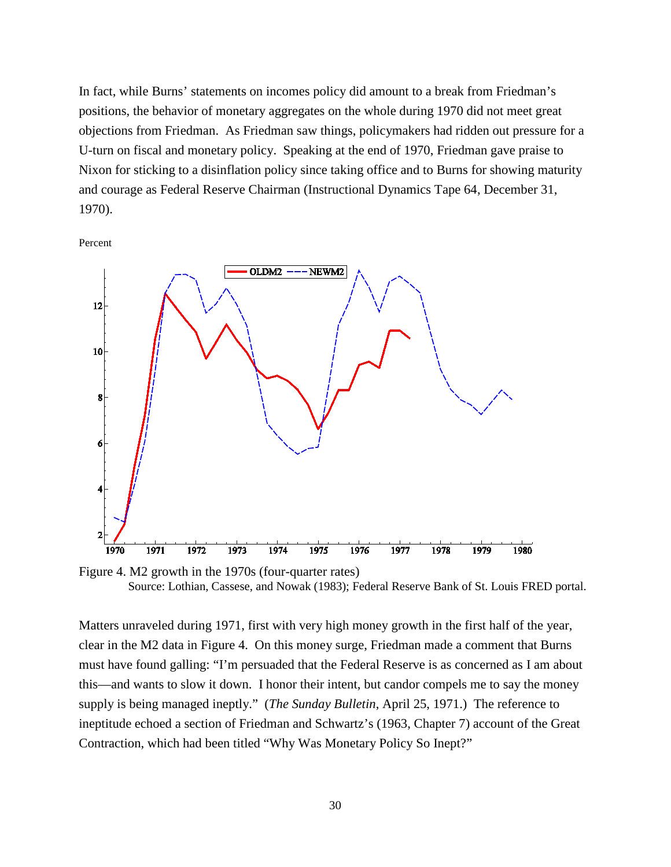In fact, while Burns' statements on incomes policy did amount to a break from Friedman's positions, the behavior of monetary aggregates on the whole during 1970 did not meet great objections from Friedman. As Friedman saw things, policymakers had ridden out pressure for a U-turn on fiscal and monetary policy. Speaking at the end of 1970, Friedman gave praise to Nixon for sticking to a disinflation policy since taking office and to Burns for showing maturity and courage as Federal Reserve Chairman (Instructional Dynamics Tape 64, December 31, 1970).

Percent



Figure 4. M2 growth in the 1970s (four-quarter rates) Source: Lothian, Cassese, and Nowak (1983); Federal Reserve Bank of St. Louis FRED portal.

Matters unraveled during 1971, first with very high money growth in the first half of the year, clear in the M2 data in Figure 4. On this money surge, Friedman made a comment that Burns must have found galling: "I'm persuaded that the Federal Reserve is as concerned as I am about this—and wants to slow it down. I honor their intent, but candor compels me to say the money supply is being managed ineptly." (*The Sunday Bulletin*, April 25, 1971.) The reference to ineptitude echoed a section of Friedman and Schwartz's (1963, Chapter 7) account of the Great Contraction, which had been titled "Why Was Monetary Policy So Inept?"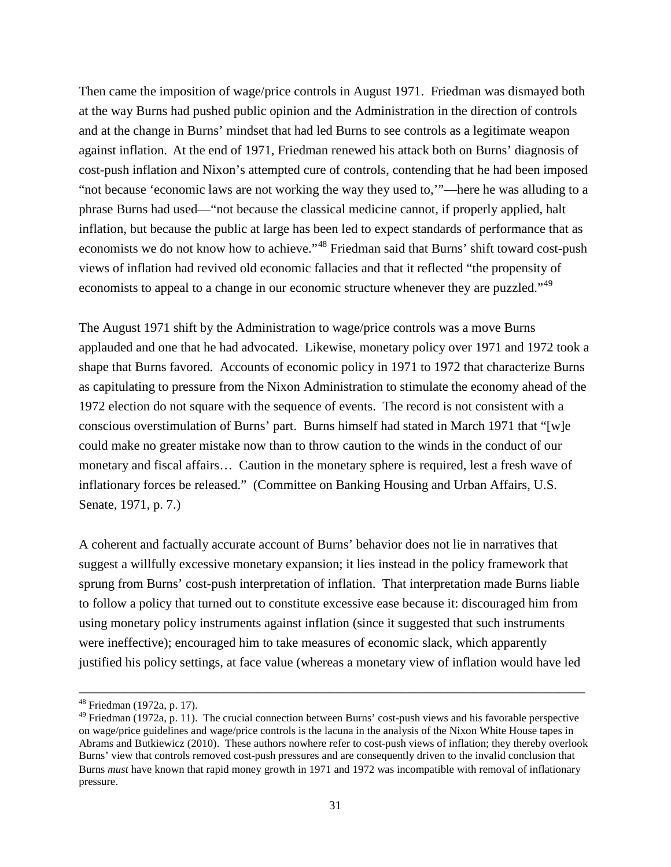Then came the imposition of wage/price controls in August 1971. Friedman was dismayed both at the way Burns had pushed public opinion and the Administration in the direction of controls and at the change in Burns' mindset that had led Burns to see controls as a legitimate weapon against inflation. At the end of 1971, Friedman renewed his attack both on Burns' diagnosis of cost-push inflation and Nixon's attempted cure of controls, contending that he had been imposed "not because 'economic laws are not working the way they used to,'"—here he was alluding to a phrase Burns had used—"not because the classical medicine cannot, if properly applied, halt inflation, but because the public at large has been led to expect standards of performance that as economists we do not know how to achieve."[48](#page-31-0) Friedman said that Burns' shift toward cost-push views of inflation had revived old economic fallacies and that it reflected "the propensity of economists to appeal to a change in our economic structure whenever they are puzzled."<sup>[49](#page-31-1)</sup>

The August 1971 shift by the Administration to wage/price controls was a move Burns applauded and one that he had advocated. Likewise, monetary policy over 1971 and 1972 took a shape that Burns favored. Accounts of economic policy in 1971 to 1972 that characterize Burns as capitulating to pressure from the Nixon Administration to stimulate the economy ahead of the 1972 election do not square with the sequence of events. The record is not consistent with a conscious overstimulation of Burns' part. Burns himself had stated in March 1971 that "[w]e could make no greater mistake now than to throw caution to the winds in the conduct of our monetary and fiscal affairs… Caution in the monetary sphere is required, lest a fresh wave of inflationary forces be released." (Committee on Banking Housing and Urban Affairs, U.S. Senate, 1971, p. 7.)

A coherent and factually accurate account of Burns' behavior does not lie in narratives that suggest a willfully excessive monetary expansion; it lies instead in the policy framework that sprung from Burns' cost-push interpretation of inflation. That interpretation made Burns liable to follow a policy that turned out to constitute excessive ease because it: discouraged him from using monetary policy instruments against inflation (since it suggested that such instruments were ineffective); encouraged him to take measures of economic slack, which apparently justified his policy settings, at face value (whereas a monetary view of inflation would have led

<span id="page-31-0"></span><sup>48</sup> Friedman (1972a, p. 17).

<span id="page-31-1"></span><sup>&</sup>lt;sup>49</sup> Friedman (1972a, p. 11). The crucial connection between Burns' cost-push views and his favorable perspective on wage/price guidelines and wage/price controls is the lacuna in the analysis of the Nixon White House tapes in Abrams and Butkiewicz (2010). These authors nowhere refer to cost-push views of inflation; they thereby overlook Burns' view that controls removed cost-push pressures and are consequently driven to the invalid conclusion that Burns *must* have known that rapid money growth in 1971 and 1972 was incompatible with removal of inflationary pressure.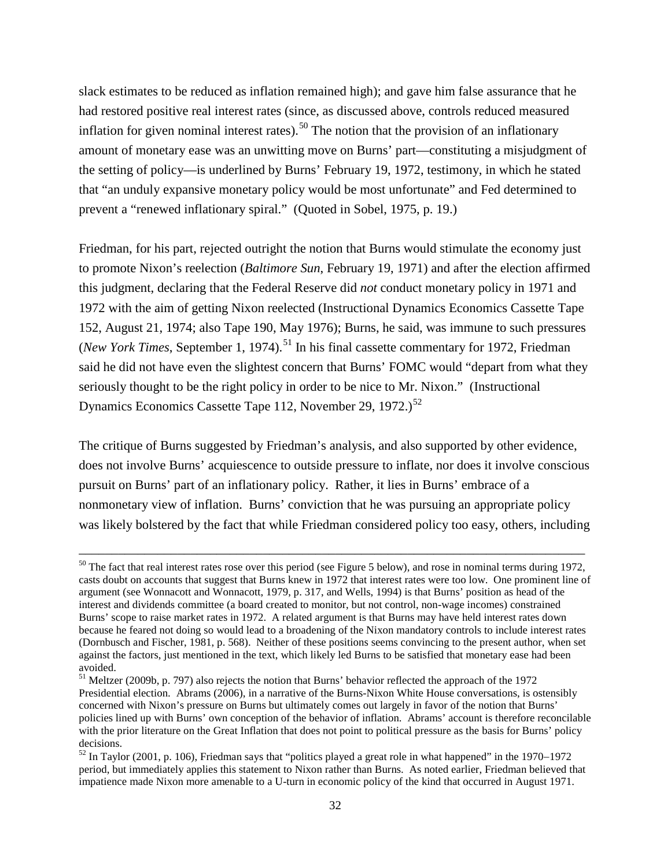slack estimates to be reduced as inflation remained high); and gave him false assurance that he had restored positive real interest rates (since, as discussed above, controls reduced measured inflation for given nominal interest rates).<sup>[50](#page-32-0)</sup> The notion that the provision of an inflationary amount of monetary ease was an unwitting move on Burns' part—constituting a misjudgment of the setting of policy—is underlined by Burns' February 19, 1972, testimony, in which he stated that "an unduly expansive monetary policy would be most unfortunate" and Fed determined to prevent a "renewed inflationary spiral." (Quoted in Sobel, 1975, p. 19.)

Friedman, for his part, rejected outright the notion that Burns would stimulate the economy just to promote Nixon's reelection (*Baltimore Sun*, February 19, 1971) and after the election affirmed this judgment, declaring that the Federal Reserve did *not* conduct monetary policy in 1971 and 1972 with the aim of getting Nixon reelected (Instructional Dynamics Economics Cassette Tape 152, August 21, 1974; also Tape 190, May 1976); Burns, he said, was immune to such pressures (*New York Times*, September 1, 1974).<sup>[51](#page-32-1)</sup> In his final cassette commentary for 1972, Friedman said he did not have even the slightest concern that Burns' FOMC would "depart from what they seriously thought to be the right policy in order to be nice to Mr. Nixon." (Instructional Dynamics Economics Cassette Tape 112, November 29, 1972.)<sup>[52](#page-32-2)</sup>

The critique of Burns suggested by Friedman's analysis, and also supported by other evidence, does not involve Burns' acquiescence to outside pressure to inflate, nor does it involve conscious pursuit on Burns' part of an inflationary policy. Rather, it lies in Burns' embrace of a nonmonetary view of inflation. Burns' conviction that he was pursuing an appropriate policy was likely bolstered by the fact that while Friedman considered policy too easy, others, including

<span id="page-32-0"></span> $50$  The fact that real interest rates rose over this period (see Figure 5 below), and rose in nominal terms during 1972, casts doubt on accounts that suggest that Burns knew in 1972 that interest rates were too low. One prominent line of argument (see Wonnacott and Wonnacott, 1979, p. 317, and Wells, 1994) is that Burns' position as head of the interest and dividends committee (a board created to monitor, but not control, non-wage incomes) constrained Burns' scope to raise market rates in 1972. A related argument is that Burns may have held interest rates down because he feared not doing so would lead to a broadening of the Nixon mandatory controls to include interest rates (Dornbusch and Fischer, 1981, p. 568). Neither of these positions seems convincing to the present author, when set against the factors, just mentioned in the text, which likely led Burns to be satisfied that monetary ease had been avoided.

<span id="page-32-1"></span><sup>&</sup>lt;sup>51</sup> Meltzer (2009b, p. 797) also rejects the notion that Burns' behavior reflected the approach of the 1972 Presidential election. Abrams (2006), in a narrative of the Burns-Nixon White House conversations, is ostensibly concerned with Nixon's pressure on Burns but ultimately comes out largely in favor of the notion that Burns' policies lined up with Burns' own conception of the behavior of inflation. Abrams' account is therefore reconcilable with the prior literature on the Great Inflation that does not point to political pressure as the basis for Burns' policy decisions.

<span id="page-32-2"></span><sup>52</sup> In Taylor (2001, p. 106), Friedman says that "politics played a great role in what happened" in the 1970−1972 period, but immediately applies this statement to Nixon rather than Burns. As noted earlier, Friedman believed that impatience made Nixon more amenable to a U-turn in economic policy of the kind that occurred in August 1971.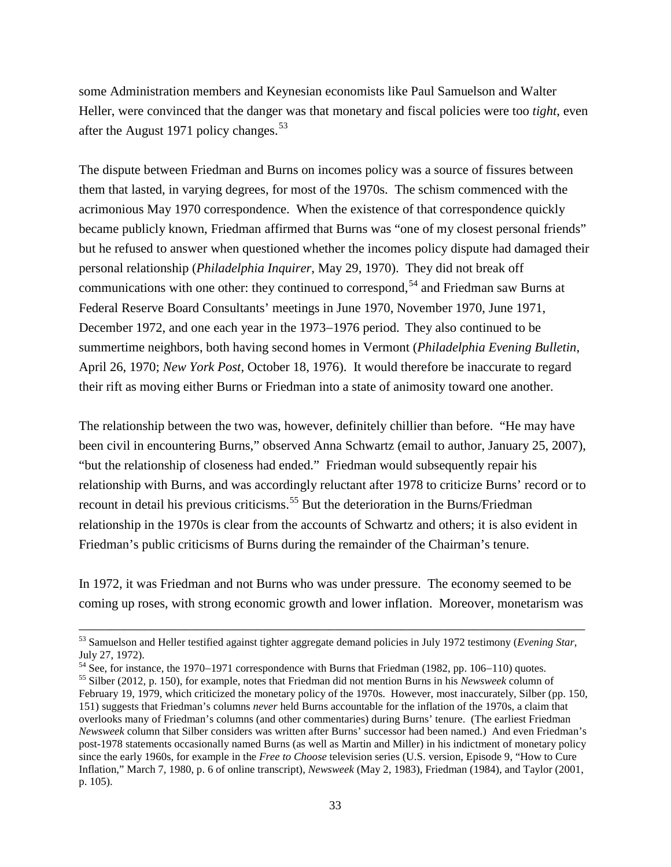some Administration members and Keynesian economists like Paul Samuelson and Walter Heller, were convinced that the danger was that monetary and fiscal policies were too *tight*, even after the August 1971 policy changes.<sup>[53](#page-33-0)</sup>

The dispute between Friedman and Burns on incomes policy was a source of fissures between them that lasted, in varying degrees, for most of the 1970s. The schism commenced with the acrimonious May 1970 correspondence. When the existence of that correspondence quickly became publicly known, Friedman affirmed that Burns was "one of my closest personal friends" but he refused to answer when questioned whether the incomes policy dispute had damaged their personal relationship (*Philadelphia Inquirer*, May 29, 1970). They did not break off communications with one other: they continued to correspond,<sup>[54](#page-33-1)</sup> and Friedman saw Burns at Federal Reserve Board Consultants' meetings in June 1970, November 1970, June 1971, December 1972, and one each year in the 1973−1976 period. They also continued to be summertime neighbors, both having second homes in Vermont (*Philadelphia Evening Bulletin*, April 26, 1970; *New York Post*, October 18, 1976). It would therefore be inaccurate to regard their rift as moving either Burns or Friedman into a state of animosity toward one another.

The relationship between the two was, however, definitely chillier than before. "He may have been civil in encountering Burns," observed Anna Schwartz (email to author, January 25, 2007), "but the relationship of closeness had ended." Friedman would subsequently repair his relationship with Burns, and was accordingly reluctant after 1978 to criticize Burns' record or to recount in detail his previous criticisms. [55](#page-33-2) But the deterioration in the Burns/Friedman relationship in the 1970s is clear from the accounts of Schwartz and others; it is also evident in Friedman's public criticisms of Burns during the remainder of the Chairman's tenure.

In 1972, it was Friedman and not Burns who was under pressure. The economy seemed to be coming up roses, with strong economic growth and lower inflation. Moreover, monetarism was

<span id="page-33-0"></span><sup>–––––––––––––––––––––––––––––––––––––––––––––––––––––––––––––––––––––––––––––</sup> <sup>53</sup> Samuelson and Heller testified against tighter aggregate demand policies in July 1972 testimony (*Evening Star*, July 27, 1972).<br><sup>54</sup> See, for instance, the 1970–1971 correspondence with Burns that Friedman (1982, pp. 106–110) quotes.

<span id="page-33-1"></span>

<span id="page-33-2"></span><sup>&</sup>lt;sup>55</sup> Silber (2012, p. 150), for example, notes that Friedman did not mention Burns in his *Newsweek* column of February 19, 1979, which criticized the monetary policy of the 1970s. However, most inaccurately, Silber (pp. 150, 151) suggests that Friedman's columns *never* held Burns accountable for the inflation of the 1970s, a claim that overlooks many of Friedman's columns (and other commentaries) during Burns' tenure. (The earliest Friedman *Newsweek* column that Silber considers was written after Burns' successor had been named.) And even Friedman's post-1978 statements occasionally named Burns (as well as Martin and Miller) in his indictment of monetary policy since the early 1960s, for example in the *Free to Choose* television series (U.S. version, Episode 9, "How to Cure Inflation," March 7, 1980, p. 6 of online transcript), *Newsweek* (May 2, 1983), Friedman (1984), and Taylor (2001, p. 105).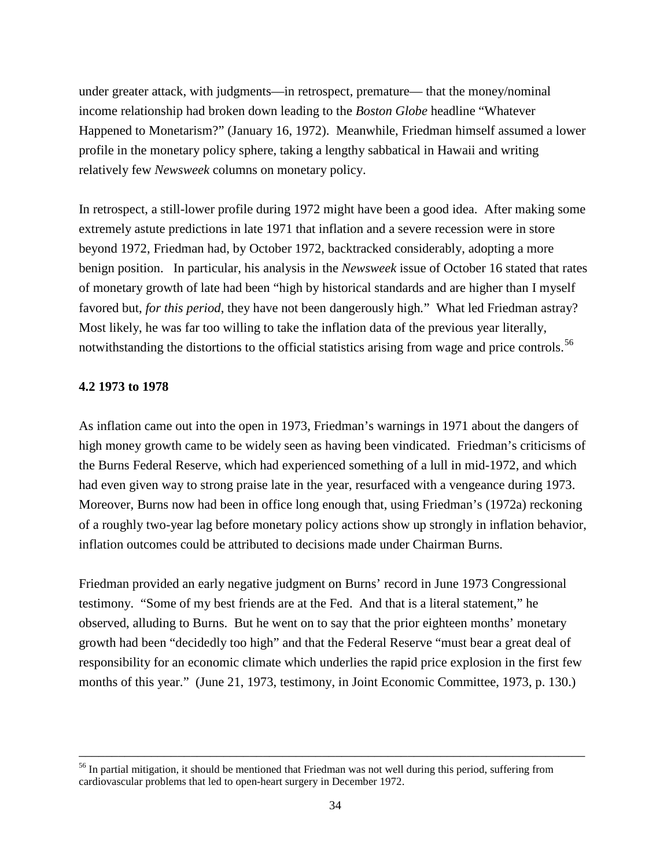under greater attack, with judgments—in retrospect, premature— that the money/nominal income relationship had broken down leading to the *Boston Globe* headline "Whatever Happened to Monetarism?" (January 16, 1972). Meanwhile, Friedman himself assumed a lower profile in the monetary policy sphere, taking a lengthy sabbatical in Hawaii and writing relatively few *Newsweek* columns on monetary policy.

In retrospect, a still-lower profile during 1972 might have been a good idea. After making some extremely astute predictions in late 1971 that inflation and a severe recession were in store beyond 1972, Friedman had, by October 1972, backtracked considerably, adopting a more benign position. In particular, his analysis in the *Newsweek* issue of October 16 stated that rates of monetary growth of late had been "high by historical standards and are higher than I myself favored but, *for this period*, they have not been dangerously high*.*" What led Friedman astray? Most likely, he was far too willing to take the inflation data of the previous year literally, notwithstanding the distortions to the official statistics arising from wage and price controls.<sup>56</sup>

# **4.2 1973 to 1978**

As inflation came out into the open in 1973, Friedman's warnings in 1971 about the dangers of high money growth came to be widely seen as having been vindicated. Friedman's criticisms of the Burns Federal Reserve, which had experienced something of a lull in mid-1972, and which had even given way to strong praise late in the year, resurfaced with a vengeance during 1973. Moreover, Burns now had been in office long enough that, using Friedman's (1972a) reckoning of a roughly two-year lag before monetary policy actions show up strongly in inflation behavior, inflation outcomes could be attributed to decisions made under Chairman Burns.

Friedman provided an early negative judgment on Burns' record in June 1973 Congressional testimony. "Some of my best friends are at the Fed. And that is a literal statement," he observed, alluding to Burns. But he went on to say that the prior eighteen months' monetary growth had been "decidedly too high" and that the Federal Reserve "must bear a great deal of responsibility for an economic climate which underlies the rapid price explosion in the first few months of this year." (June 21, 1973, testimony, in Joint Economic Committee, 1973, p. 130.)

<span id="page-34-0"></span><sup>&</sup>lt;sup>56</sup> In partial mitigation, it should be mentioned that Friedman was not well during this period, suffering from cardiovascular problems that led to open-heart surgery in December 1972.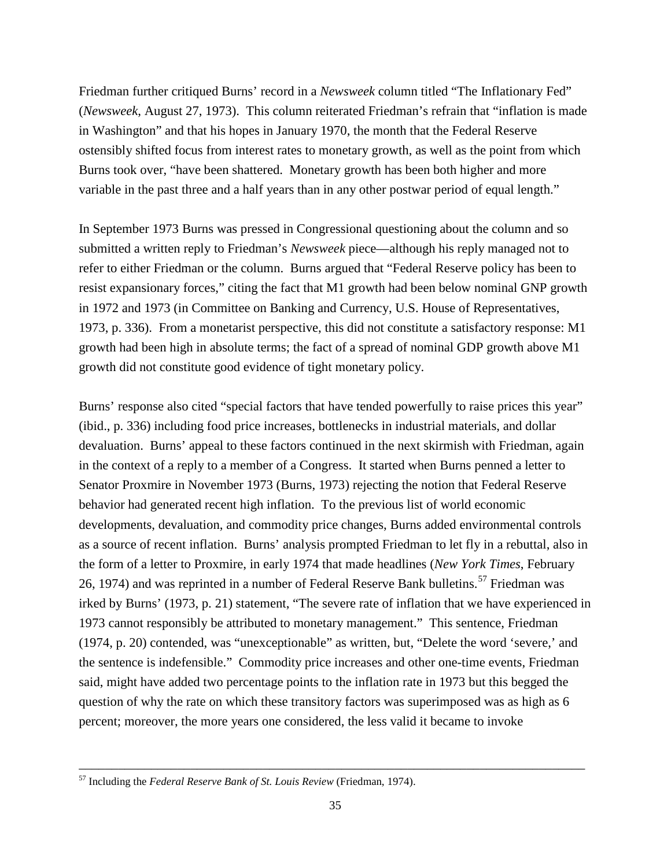Friedman further critiqued Burns' record in a *Newsweek* column titled "The Inflationary Fed" (*Newsweek*, August 27, 1973). This column reiterated Friedman's refrain that "inflation is made in Washington" and that his hopes in January 1970, the month that the Federal Reserve ostensibly shifted focus from interest rates to monetary growth, as well as the point from which Burns took over, "have been shattered. Monetary growth has been both higher and more variable in the past three and a half years than in any other postwar period of equal length."

In September 1973 Burns was pressed in Congressional questioning about the column and so submitted a written reply to Friedman's *Newsweek* piece—although his reply managed not to refer to either Friedman or the column. Burns argued that "Federal Reserve policy has been to resist expansionary forces," citing the fact that M1 growth had been below nominal GNP growth in 1972 and 1973 (in Committee on Banking and Currency, U.S. House of Representatives, 1973, p. 336). From a monetarist perspective, this did not constitute a satisfactory response: M1 growth had been high in absolute terms; the fact of a spread of nominal GDP growth above M1 growth did not constitute good evidence of tight monetary policy.

Burns' response also cited "special factors that have tended powerfully to raise prices this year" (ibid., p. 336) including food price increases, bottlenecks in industrial materials, and dollar devaluation. Burns' appeal to these factors continued in the next skirmish with Friedman, again in the context of a reply to a member of a Congress. It started when Burns penned a letter to Senator Proxmire in November 1973 (Burns, 1973) rejecting the notion that Federal Reserve behavior had generated recent high inflation. To the previous list of world economic developments, devaluation, and commodity price changes, Burns added environmental controls as a source of recent inflation. Burns' analysis prompted Friedman to let fly in a rebuttal, also in the form of a letter to Proxmire, in early 1974 that made headlines (*New York Times*, February 26, 1974) and was reprinted in a number of Federal Reserve Bank bulletins.<sup>[57](#page-35-0)</sup> Friedman was irked by Burns' (1973, p. 21) statement, "The severe rate of inflation that we have experienced in 1973 cannot responsibly be attributed to monetary management." This sentence, Friedman (1974, p. 20) contended, was "unexceptionable" as written, but, "Delete the word 'severe,' and the sentence is indefensible." Commodity price increases and other one-time events, Friedman said, might have added two percentage points to the inflation rate in 1973 but this begged the question of why the rate on which these transitory factors was superimposed was as high as 6 percent; moreover, the more years one considered, the less valid it became to invoke

<span id="page-35-0"></span><sup>57</sup> Including the *Federal Reserve Bank of St. Louis Review* (Friedman, 1974).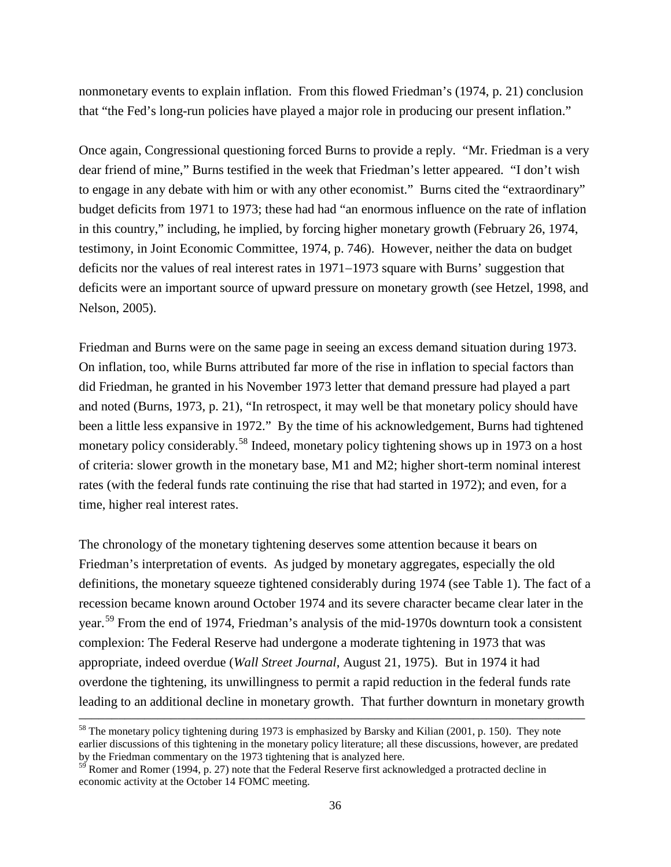nonmonetary events to explain inflation. From this flowed Friedman's (1974, p. 21) conclusion that "the Fed's long-run policies have played a major role in producing our present inflation."

Once again, Congressional questioning forced Burns to provide a reply. "Mr. Friedman is a very dear friend of mine," Burns testified in the week that Friedman's letter appeared. "I don't wish to engage in any debate with him or with any other economist." Burns cited the "extraordinary" budget deficits from 1971 to 1973; these had had "an enormous influence on the rate of inflation in this country," including, he implied, by forcing higher monetary growth (February 26, 1974, testimony, in Joint Economic Committee, 1974, p. 746). However, neither the data on budget deficits nor the values of real interest rates in 1971−1973 square with Burns' suggestion that deficits were an important source of upward pressure on monetary growth (see Hetzel, 1998, and Nelson, 2005).

Friedman and Burns were on the same page in seeing an excess demand situation during 1973. On inflation, too, while Burns attributed far more of the rise in inflation to special factors than did Friedman, he granted in his November 1973 letter that demand pressure had played a part and noted (Burns, 1973, p. 21), "In retrospect, it may well be that monetary policy should have been a little less expansive in 1972." By the time of his acknowledgement, Burns had tightened monetary policy considerably.<sup>[58](#page-36-0)</sup> Indeed, monetary policy tightening shows up in 1973 on a host of criteria: slower growth in the monetary base, M1 and M2; higher short-term nominal interest rates (with the federal funds rate continuing the rise that had started in 1972); and even, for a time, higher real interest rates.

The chronology of the monetary tightening deserves some attention because it bears on Friedman's interpretation of events. As judged by monetary aggregates, especially the old definitions, the monetary squeeze tightened considerably during 1974 (see Table 1). The fact of a recession became known around October 1974 and its severe character became clear later in the year.[59](#page-36-1) From the end of 1974, Friedman's analysis of the mid-1970s downturn took a consistent complexion: The Federal Reserve had undergone a moderate tightening in 1973 that was appropriate, indeed overdue (*Wall Street Journal*, August 21, 1975). But in 1974 it had overdone the tightening, its unwillingness to permit a rapid reduction in the federal funds rate leading to an additional decline in monetary growth. That further downturn in monetary growth

<span id="page-36-0"></span><sup>&</sup>lt;sup>58</sup> The monetary policy tightening during 1973 is emphasized by Barsky and Kilian (2001, p. 150). They note earlier discussions of this tightening in the monetary policy literature; all these discussions, however, are predated by the Friedman commentary on the 1973 tightening that is analyzed here.

<span id="page-36-1"></span> $59$  Romer and Romer (1994, p. 27) note that the Federal Reserve first acknowledged a protracted decline in economic activity at the October 14 FOMC meeting.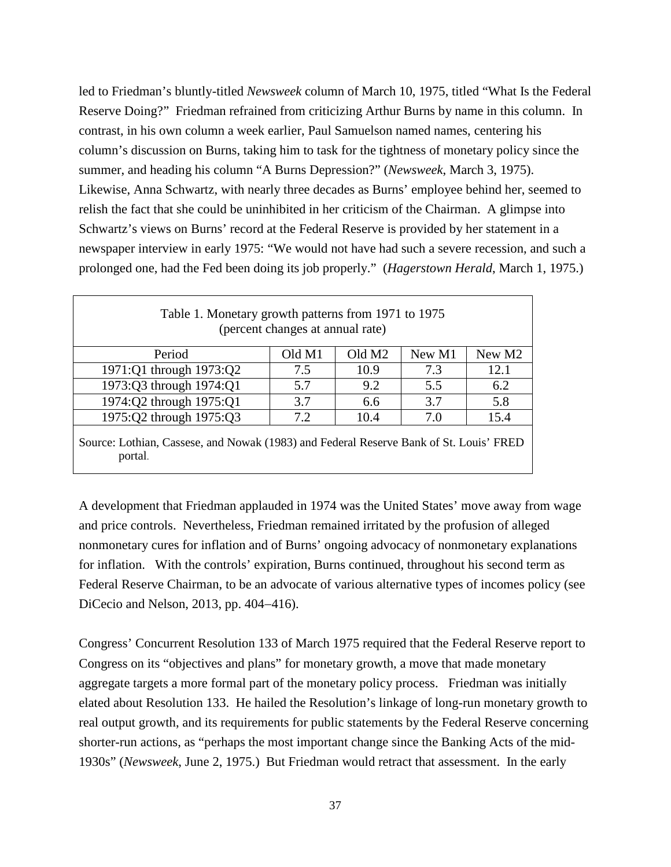led to Friedman's bluntly-titled *Newsweek* column of March 10, 1975, titled "What Is the Federal Reserve Doing?" Friedman refrained from criticizing Arthur Burns by name in this column. In contrast, in his own column a week earlier, Paul Samuelson named names, centering his column's discussion on Burns, taking him to task for the tightness of monetary policy since the summer, and heading his column "A Burns Depression?" (*Newsweek*, March 3, 1975). Likewise, Anna Schwartz, with nearly three decades as Burns' employee behind her, seemed to relish the fact that she could be uninhibited in her criticism of the Chairman. A glimpse into Schwartz's views on Burns' record at the Federal Reserve is provided by her statement in a newspaper interview in early 1975: "We would not have had such a severe recession, and such a prolonged one, had the Fed been doing its job properly." (*Hagerstown Herald*, March 1, 1975.)

| Table 1. Monetary growth patterns from 1971 to 1975<br>(percent changes at annual rate) |        |                    |        |        |  |
|-----------------------------------------------------------------------------------------|--------|--------------------|--------|--------|--|
| Period                                                                                  | Old M1 | Old M <sub>2</sub> | New M1 | New M2 |  |
| 1971:Q1 through 1973:Q2                                                                 | 7.5    | 10.9               | 7.3    | 12.1   |  |
| 1973:Q3 through 1974:Q1                                                                 | 5.7    | 9.2                | 5.5    | 6.2    |  |
| 1974:Q2 through 1975:Q1                                                                 | 3.7    | 6.6                | 3.7    | 5.8    |  |
| 1975:Q2 through 1975:Q3                                                                 | 7.2    | 10.4               | 7.0    | 15.4   |  |
| Source: Lothian Cassass, and Novak (1083) and Eadaral Deserve Bank of St. Louis' EDED   |        |                    |        |        |  |

Source: Lothian, Cassese, and Nowak (1983) and Federal Reserve Bank of St. Louis' FRED portal.

A development that Friedman applauded in 1974 was the United States' move away from wage and price controls. Nevertheless, Friedman remained irritated by the profusion of alleged nonmonetary cures for inflation and of Burns' ongoing advocacy of nonmonetary explanations for inflation. With the controls' expiration, Burns continued, throughout his second term as Federal Reserve Chairman, to be an advocate of various alternative types of incomes policy (see DiCecio and Nelson, 2013, pp. 404−416).

Congress' Concurrent Resolution 133 of March 1975 required that the Federal Reserve report to Congress on its "objectives and plans" for monetary growth, a move that made monetary aggregate targets a more formal part of the monetary policy process. Friedman was initially elated about Resolution 133. He hailed the Resolution's linkage of long-run monetary growth to real output growth, and its requirements for public statements by the Federal Reserve concerning shorter-run actions, as "perhaps the most important change since the Banking Acts of the mid-1930s" (*Newsweek*, June 2, 1975.) But Friedman would retract that assessment. In the early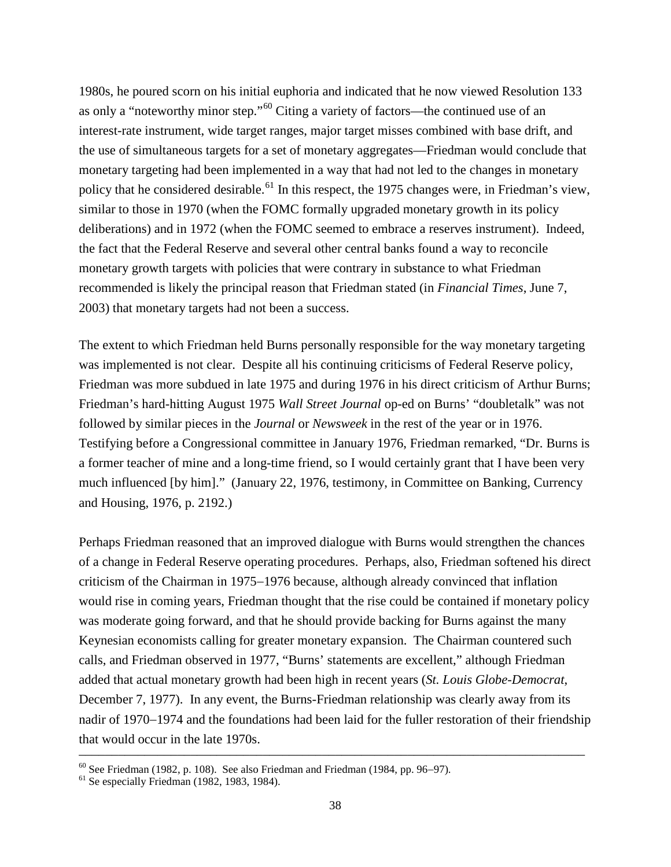1980s, he poured scorn on his initial euphoria and indicated that he now viewed Resolution 133 as only a "noteworthy minor step."[60](#page-38-0) Citing a variety of factors—the continued use of an interest-rate instrument, wide target ranges, major target misses combined with base drift, and the use of simultaneous targets for a set of monetary aggregates—Friedman would conclude that monetary targeting had been implemented in a way that had not led to the changes in monetary policy that he considered desirable.<sup>[61](#page-38-1)</sup> In this respect, the 1975 changes were, in Friedman's view, similar to those in 1970 (when the FOMC formally upgraded monetary growth in its policy deliberations) and in 1972 (when the FOMC seemed to embrace a reserves instrument). Indeed, the fact that the Federal Reserve and several other central banks found a way to reconcile monetary growth targets with policies that were contrary in substance to what Friedman recommended is likely the principal reason that Friedman stated (in *Financial Times*, June 7, 2003) that monetary targets had not been a success.

The extent to which Friedman held Burns personally responsible for the way monetary targeting was implemented is not clear. Despite all his continuing criticisms of Federal Reserve policy, Friedman was more subdued in late 1975 and during 1976 in his direct criticism of Arthur Burns; Friedman's hard-hitting August 1975 *Wall Street Journal* op-ed on Burns' "doubletalk" was not followed by similar pieces in the *Journal* or *Newsweek* in the rest of the year or in 1976. Testifying before a Congressional committee in January 1976, Friedman remarked, "Dr. Burns is a former teacher of mine and a long-time friend, so I would certainly grant that I have been very much influenced [by him]." (January 22, 1976, testimony, in Committee on Banking, Currency and Housing, 1976, p. 2192.)

Perhaps Friedman reasoned that an improved dialogue with Burns would strengthen the chances of a change in Federal Reserve operating procedures. Perhaps, also, Friedman softened his direct criticism of the Chairman in 1975−1976 because, although already convinced that inflation would rise in coming years, Friedman thought that the rise could be contained if monetary policy was moderate going forward, and that he should provide backing for Burns against the many Keynesian economists calling for greater monetary expansion. The Chairman countered such calls, and Friedman observed in 1977, "Burns' statements are excellent," although Friedman added that actual monetary growth had been high in recent years (*St. Louis Globe-Democrat*, December 7, 1977). In any event, the Burns-Friedman relationship was clearly away from its nadir of 1970−1974 and the foundations had been laid for the fuller restoration of their friendship that would occur in the late 1970s.

<span id="page-38-0"></span><sup>&</sup>lt;sup>60</sup> See Friedman (1982, p. 108). See also Friedman and Friedman (1984, pp. 96–97). <sup>61</sup> Se especially Friedman (1982, 1983, 1984).

<span id="page-38-1"></span>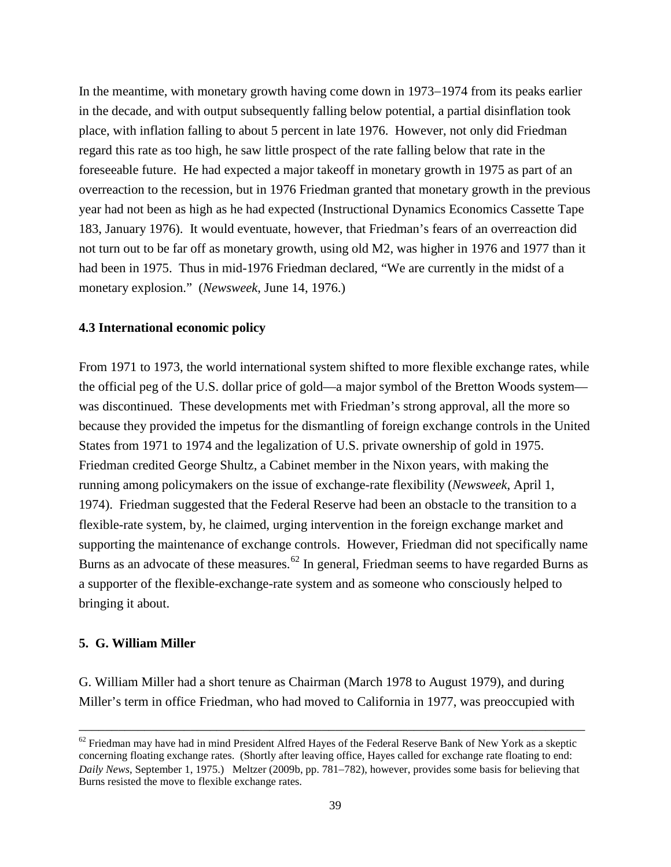In the meantime, with monetary growth having come down in 1973−1974 from its peaks earlier in the decade, and with output subsequently falling below potential, a partial disinflation took place, with inflation falling to about 5 percent in late 1976. However, not only did Friedman regard this rate as too high, he saw little prospect of the rate falling below that rate in the foreseeable future. He had expected a major takeoff in monetary growth in 1975 as part of an overreaction to the recession, but in 1976 Friedman granted that monetary growth in the previous year had not been as high as he had expected (Instructional Dynamics Economics Cassette Tape 183, January 1976). It would eventuate, however, that Friedman's fears of an overreaction did not turn out to be far off as monetary growth, using old M2, was higher in 1976 and 1977 than it had been in 1975. Thus in mid-1976 Friedman declared, "We are currently in the midst of a monetary explosion." (*Newsweek*, June 14, 1976.)

# **4.3 International economic policy**

From 1971 to 1973, the world international system shifted to more flexible exchange rates, while the official peg of the U.S. dollar price of gold—a major symbol of the Bretton Woods system was discontinued. These developments met with Friedman's strong approval, all the more so because they provided the impetus for the dismantling of foreign exchange controls in the United States from 1971 to 1974 and the legalization of U.S. private ownership of gold in 1975. Friedman credited George Shultz, a Cabinet member in the Nixon years, with making the running among policymakers on the issue of exchange-rate flexibility (*Newsweek*, April 1, 1974). Friedman suggested that the Federal Reserve had been an obstacle to the transition to a flexible-rate system, by, he claimed, urging intervention in the foreign exchange market and supporting the maintenance of exchange controls. However, Friedman did not specifically name Burns as an advocate of these measures.<sup>[62](#page-39-0)</sup> In general, Friedman seems to have regarded Burns as a supporter of the flexible-exchange-rate system and as someone who consciously helped to bringing it about.

#### **5. G. William Miller**

G. William Miller had a short tenure as Chairman (March 1978 to August 1979), and during Miller's term in office Friedman, who had moved to California in 1977, was preoccupied with

<span id="page-39-0"></span> $62$  Friedman may have had in mind President Alfred Hayes of the Federal Reserve Bank of New York as a skeptic concerning floating exchange rates. (Shortly after leaving office, Hayes called for exchange rate floating to end: *Daily News*, September 1, 1975.) Meltzer (2009b, pp. 781−782), however, provides some basis for believing that Burns resisted the move to flexible exchange rates.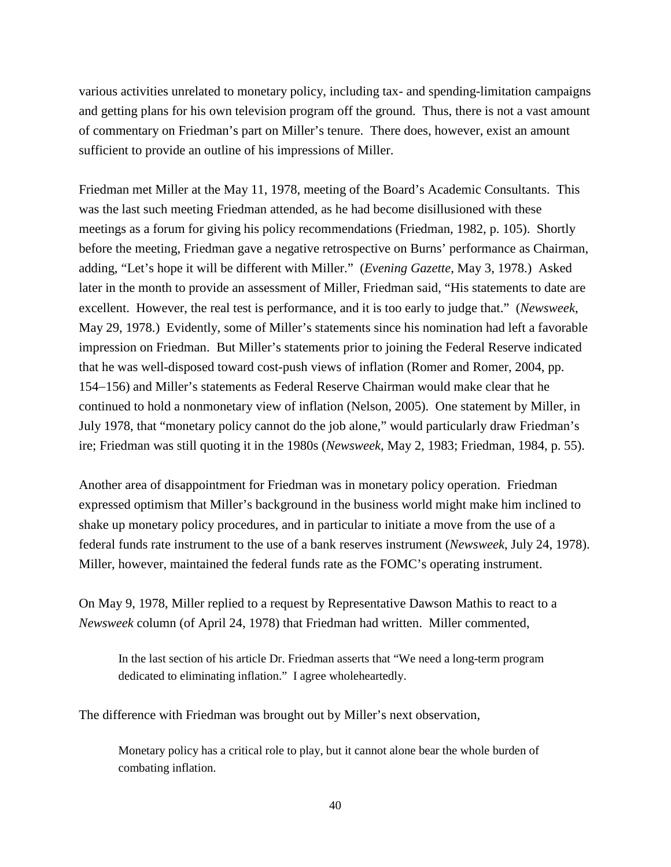various activities unrelated to monetary policy, including tax- and spending-limitation campaigns and getting plans for his own television program off the ground. Thus, there is not a vast amount of commentary on Friedman's part on Miller's tenure. There does, however, exist an amount sufficient to provide an outline of his impressions of Miller.

Friedman met Miller at the May 11, 1978, meeting of the Board's Academic Consultants. This was the last such meeting Friedman attended, as he had become disillusioned with these meetings as a forum for giving his policy recommendations (Friedman, 1982, p. 105). Shortly before the meeting, Friedman gave a negative retrospective on Burns' performance as Chairman, adding, "Let's hope it will be different with Miller." (*Evening Gazette*, May 3, 1978.) Asked later in the month to provide an assessment of Miller, Friedman said, "His statements to date are excellent. However, the real test is performance, and it is too early to judge that." (*Newsweek*, May 29, 1978.) Evidently, some of Miller's statements since his nomination had left a favorable impression on Friedman. But Miller's statements prior to joining the Federal Reserve indicated that he was well-disposed toward cost-push views of inflation (Romer and Romer, 2004, pp. 154−156) and Miller's statements as Federal Reserve Chairman would make clear that he continued to hold a nonmonetary view of inflation (Nelson, 2005). One statement by Miller, in July 1978, that "monetary policy cannot do the job alone," would particularly draw Friedman's ire; Friedman was still quoting it in the 1980s (*Newsweek*, May 2, 1983; Friedman, 1984, p. 55).

Another area of disappointment for Friedman was in monetary policy operation. Friedman expressed optimism that Miller's background in the business world might make him inclined to shake up monetary policy procedures, and in particular to initiate a move from the use of a federal funds rate instrument to the use of a bank reserves instrument (*Newsweek*, July 24, 1978). Miller, however, maintained the federal funds rate as the FOMC's operating instrument.

On May 9, 1978, Miller replied to a request by Representative Dawson Mathis to react to a *Newsweek* column (of April 24, 1978) that Friedman had written. Miller commented,

In the last section of his article Dr. Friedman asserts that "We need a long-term program dedicated to eliminating inflation." I agree wholeheartedly.

The difference with Friedman was brought out by Miller's next observation,

Monetary policy has a critical role to play, but it cannot alone bear the whole burden of combating inflation.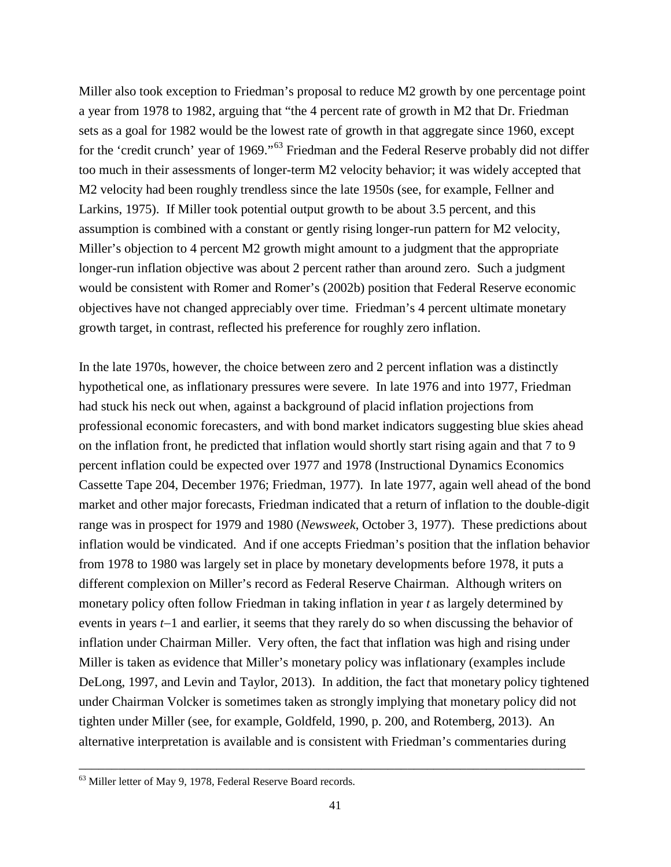Miller also took exception to Friedman's proposal to reduce M2 growth by one percentage point a year from 1978 to 1982, arguing that "the 4 percent rate of growth in M2 that Dr. Friedman sets as a goal for 1982 would be the lowest rate of growth in that aggregate since 1960, except for the 'credit crunch' year of 1969."<sup>[63](#page-41-0)</sup> Friedman and the Federal Reserve probably did not differ too much in their assessments of longer-term M2 velocity behavior; it was widely accepted that M2 velocity had been roughly trendless since the late 1950s (see, for example, Fellner and Larkins, 1975). If Miller took potential output growth to be about 3.5 percent, and this assumption is combined with a constant or gently rising longer-run pattern for M2 velocity, Miller's objection to 4 percent M2 growth might amount to a judgment that the appropriate longer-run inflation objective was about 2 percent rather than around zero. Such a judgment would be consistent with Romer and Romer's (2002b) position that Federal Reserve economic objectives have not changed appreciably over time. Friedman's 4 percent ultimate monetary growth target, in contrast, reflected his preference for roughly zero inflation.

In the late 1970s, however, the choice between zero and 2 percent inflation was a distinctly hypothetical one, as inflationary pressures were severe. In late 1976 and into 1977, Friedman had stuck his neck out when, against a background of placid inflation projections from professional economic forecasters, and with bond market indicators suggesting blue skies ahead on the inflation front, he predicted that inflation would shortly start rising again and that 7 to 9 percent inflation could be expected over 1977 and 1978 (Instructional Dynamics Economics Cassette Tape 204, December 1976; Friedman, 1977). In late 1977, again well ahead of the bond market and other major forecasts, Friedman indicated that a return of inflation to the double-digit range was in prospect for 1979 and 1980 (*Newsweek*, October 3, 1977). These predictions about inflation would be vindicated. And if one accepts Friedman's position that the inflation behavior from 1978 to 1980 was largely set in place by monetary developments before 1978, it puts a different complexion on Miller's record as Federal Reserve Chairman. Although writers on monetary policy often follow Friedman in taking inflation in year *t* as largely determined by events in years *t*−1 and earlier, it seems that they rarely do so when discussing the behavior of inflation under Chairman Miller. Very often, the fact that inflation was high and rising under Miller is taken as evidence that Miller's monetary policy was inflationary (examples include DeLong, 1997, and Levin and Taylor, 2013). In addition, the fact that monetary policy tightened under Chairman Volcker is sometimes taken as strongly implying that monetary policy did not tighten under Miller (see, for example, Goldfeld, 1990, p. 200, and Rotemberg, 2013). An alternative interpretation is available and is consistent with Friedman's commentaries during

<span id="page-41-0"></span><sup>63</sup> Miller letter of May 9, 1978, Federal Reserve Board records.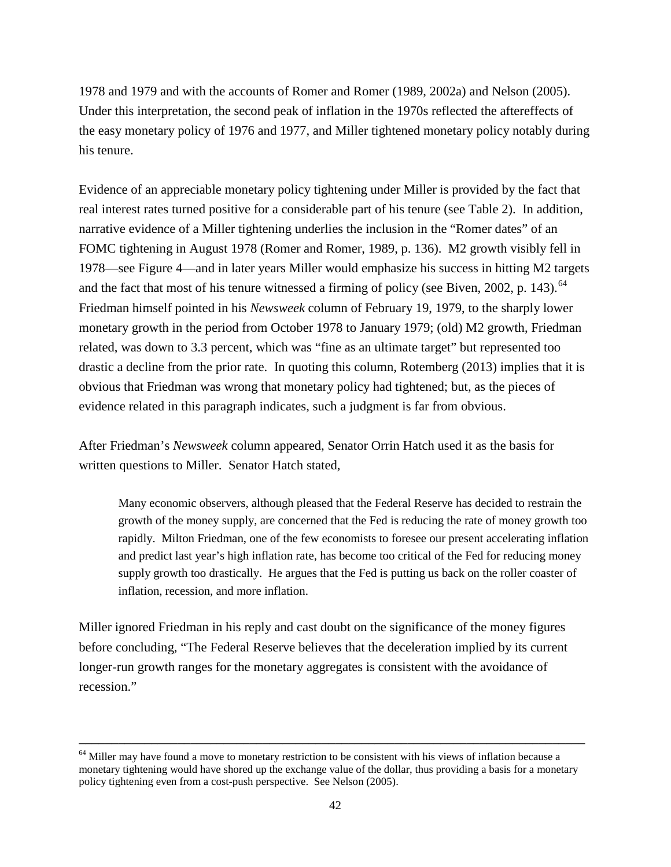1978 and 1979 and with the accounts of Romer and Romer (1989, 2002a) and Nelson (2005). Under this interpretation, the second peak of inflation in the 1970s reflected the aftereffects of the easy monetary policy of 1976 and 1977, and Miller tightened monetary policy notably during his tenure.

Evidence of an appreciable monetary policy tightening under Miller is provided by the fact that real interest rates turned positive for a considerable part of his tenure (see Table 2). In addition, narrative evidence of a Miller tightening underlies the inclusion in the "Romer dates" of an FOMC tightening in August 1978 (Romer and Romer, 1989, p. 136). M2 growth visibly fell in 1978—see Figure 4—and in later years Miller would emphasize his success in hitting M2 targets and the fact that most of his tenure witnessed a firming of policy (see Biven, 2002, p. 143).<sup>[64](#page-42-0)</sup> Friedman himself pointed in his *Newsweek* column of February 19, 1979, to the sharply lower monetary growth in the period from October 1978 to January 1979; (old) M2 growth, Friedman related, was down to 3.3 percent, which was "fine as an ultimate target" but represented too drastic a decline from the prior rate. In quoting this column, Rotemberg (2013) implies that it is obvious that Friedman was wrong that monetary policy had tightened; but, as the pieces of evidence related in this paragraph indicates, such a judgment is far from obvious.

After Friedman's *Newsweek* column appeared, Senator Orrin Hatch used it as the basis for written questions to Miller. Senator Hatch stated,

Many economic observers, although pleased that the Federal Reserve has decided to restrain the growth of the money supply, are concerned that the Fed is reducing the rate of money growth too rapidly. Milton Friedman, one of the few economists to foresee our present accelerating inflation and predict last year's high inflation rate, has become too critical of the Fed for reducing money supply growth too drastically. He argues that the Fed is putting us back on the roller coaster of inflation, recession, and more inflation.

Miller ignored Friedman in his reply and cast doubt on the significance of the money figures before concluding, "The Federal Reserve believes that the deceleration implied by its current longer-run growth ranges for the monetary aggregates is consistent with the avoidance of recession."

<span id="page-42-0"></span><sup>&</sup>lt;sup>64</sup> Miller may have found a move to monetary restriction to be consistent with his views of inflation because a monetary tightening would have shored up the exchange value of the dollar, thus providing a basis for a monetary policy tightening even from a cost-push perspective. See Nelson (2005).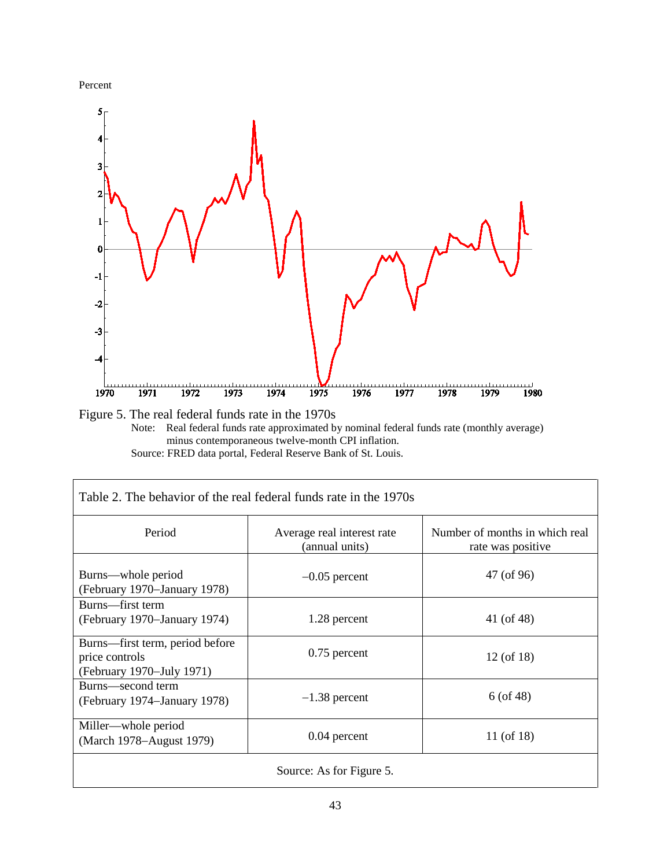

 $\overline{\phantom{a}}$ 



Figure 5. The real federal funds rate in the 1970s Note: Real federal funds rate approximated by nominal federal funds rate (monthly average) minus contemporaneous twelve-month CPI inflation. Source: FRED data portal, Federal Reserve Bank of St. Louis.

| Table 2. The behavior of the real federal funds rate in the 1970s              |                                              |                                                     |  |  |
|--------------------------------------------------------------------------------|----------------------------------------------|-----------------------------------------------------|--|--|
| Period                                                                         | Average real interest rate<br>(annual units) | Number of months in which real<br>rate was positive |  |  |
| Burns—whole period<br>(February 1970–January 1978)                             | $-0.05$ percent                              | 47 (of 96)                                          |  |  |
| Burns—first term<br>(February 1970–January 1974)                               | 1.28 percent                                 | 41 (of 48)                                          |  |  |
| Burns—first term, period before<br>price controls<br>(February 1970–July 1971) | $0.75$ percent                               | 12 (of 18)                                          |  |  |
| Burns—second term<br>(February 1974–January 1978)                              | $-1.38$ percent                              | $6($ of 48)                                         |  |  |
| Miller—whole period<br>(March 1978–August 1979)                                | $0.04$ percent                               | 11 (of 18)                                          |  |  |
| Source: As for Figure 5.                                                       |                                              |                                                     |  |  |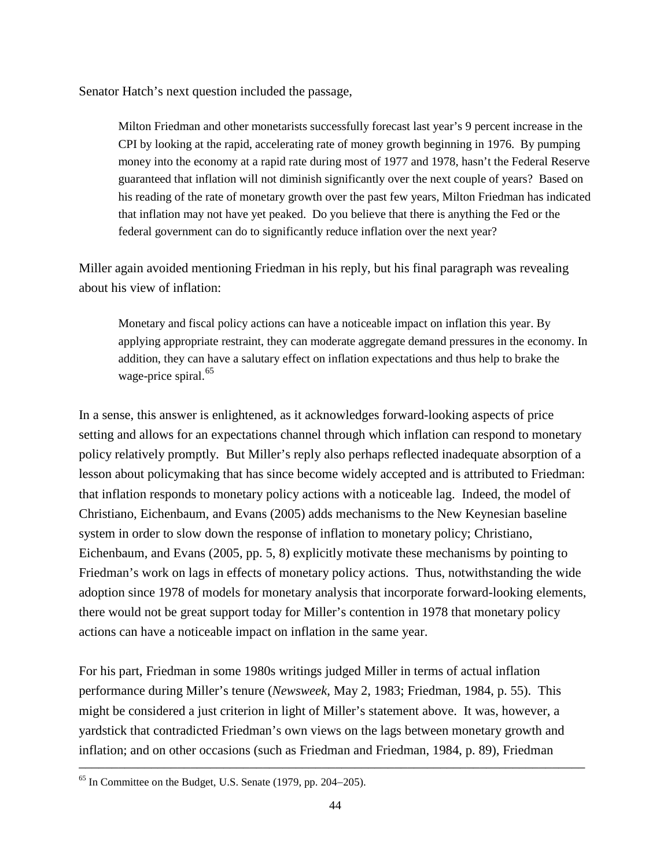Senator Hatch's next question included the passage,

Milton Friedman and other monetarists successfully forecast last year's 9 percent increase in the CPI by looking at the rapid, accelerating rate of money growth beginning in 1976. By pumping money into the economy at a rapid rate during most of 1977 and 1978, hasn't the Federal Reserve guaranteed that inflation will not diminish significantly over the next couple of years? Based on his reading of the rate of monetary growth over the past few years, Milton Friedman has indicated that inflation may not have yet peaked. Do you believe that there is anything the Fed or the federal government can do to significantly reduce inflation over the next year?

Miller again avoided mentioning Friedman in his reply, but his final paragraph was revealing about his view of inflation:

Monetary and fiscal policy actions can have a noticeable impact on inflation this year. By applying appropriate restraint, they can moderate aggregate demand pressures in the economy. In addition, they can have a salutary effect on inflation expectations and thus help to brake the wage-price spiral.<sup>[65](#page-44-0)</sup>

In a sense, this answer is enlightened, as it acknowledges forward-looking aspects of price setting and allows for an expectations channel through which inflation can respond to monetary policy relatively promptly. But Miller's reply also perhaps reflected inadequate absorption of a lesson about policymaking that has since become widely accepted and is attributed to Friedman: that inflation responds to monetary policy actions with a noticeable lag. Indeed, the model of Christiano, Eichenbaum, and Evans (2005) adds mechanisms to the New Keynesian baseline system in order to slow down the response of inflation to monetary policy; Christiano, Eichenbaum, and Evans (2005, pp. 5, 8) explicitly motivate these mechanisms by pointing to Friedman's work on lags in effects of monetary policy actions. Thus, notwithstanding the wide adoption since 1978 of models for monetary analysis that incorporate forward-looking elements, there would not be great support today for Miller's contention in 1978 that monetary policy actions can have a noticeable impact on inflation in the same year.

For his part, Friedman in some 1980s writings judged Miller in terms of actual inflation performance during Miller's tenure (*Newsweek*, May 2, 1983; Friedman, 1984, p. 55). This might be considered a just criterion in light of Miller's statement above. It was, however, a yardstick that contradicted Friedman's own views on the lags between monetary growth and inflation; and on other occasions (such as Friedman and Friedman, 1984, p. 89), Friedman

<span id="page-44-0"></span><sup>65</sup> In Committee on the Budget, U.S. Senate (1979, pp. 204−205).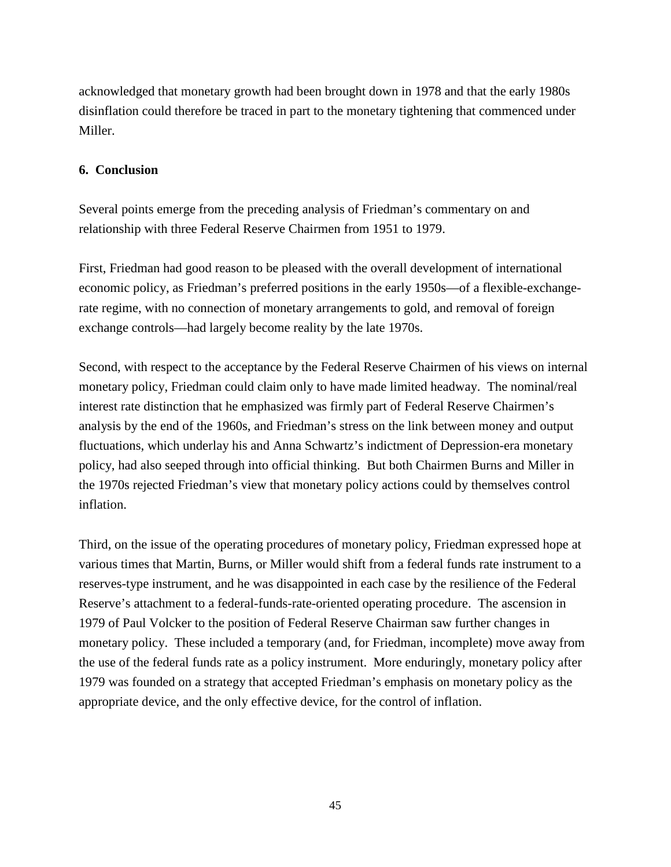acknowledged that monetary growth had been brought down in 1978 and that the early 1980s disinflation could therefore be traced in part to the monetary tightening that commenced under Miller.

# **6. Conclusion**

Several points emerge from the preceding analysis of Friedman's commentary on and relationship with three Federal Reserve Chairmen from 1951 to 1979.

First, Friedman had good reason to be pleased with the overall development of international economic policy, as Friedman's preferred positions in the early 1950s—of a flexible-exchangerate regime, with no connection of monetary arrangements to gold, and removal of foreign exchange controls—had largely become reality by the late 1970s.

Second, with respect to the acceptance by the Federal Reserve Chairmen of his views on internal monetary policy, Friedman could claim only to have made limited headway. The nominal/real interest rate distinction that he emphasized was firmly part of Federal Reserve Chairmen's analysis by the end of the 1960s, and Friedman's stress on the link between money and output fluctuations, which underlay his and Anna Schwartz's indictment of Depression-era monetary policy, had also seeped through into official thinking. But both Chairmen Burns and Miller in the 1970s rejected Friedman's view that monetary policy actions could by themselves control inflation.

Third, on the issue of the operating procedures of monetary policy, Friedman expressed hope at various times that Martin, Burns, or Miller would shift from a federal funds rate instrument to a reserves-type instrument, and he was disappointed in each case by the resilience of the Federal Reserve's attachment to a federal-funds-rate-oriented operating procedure. The ascension in 1979 of Paul Volcker to the position of Federal Reserve Chairman saw further changes in monetary policy. These included a temporary (and, for Friedman, incomplete) move away from the use of the federal funds rate as a policy instrument. More enduringly, monetary policy after 1979 was founded on a strategy that accepted Friedman's emphasis on monetary policy as the appropriate device, and the only effective device, for the control of inflation.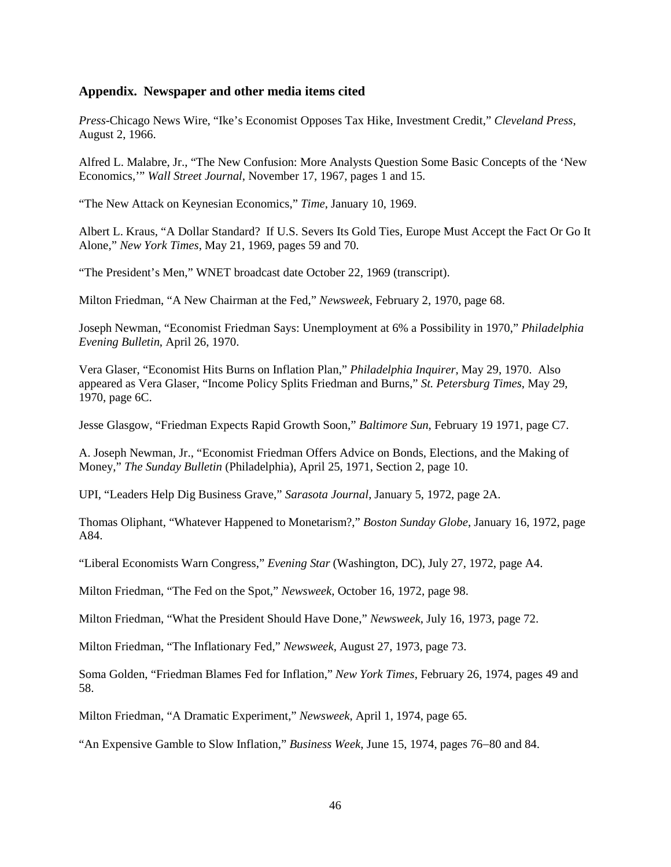# **Appendix. Newspaper and other media items cited**

*Press*-Chicago News Wire, "Ike's Economist Opposes Tax Hike, Investment Credit," *Cleveland Press*, August 2, 1966.

Alfred L. Malabre, Jr., "The New Confusion: More Analysts Question Some Basic Concepts of the 'New Economics,'" *Wall Street Journal*, November 17, 1967, pages 1 and 15.

"The New Attack on Keynesian Economics," *Time*, January 10, 1969.

Albert L. Kraus, "A Dollar Standard? If U.S. Severs Its Gold Ties, Europe Must Accept the Fact Or Go It Alone," *New York Times*, May 21, 1969, pages 59 and 70.

"The President's Men," WNET broadcast date October 22, 1969 (transcript).

Milton Friedman, "A New Chairman at the Fed," *Newsweek*, February 2, 1970, page 68.

Joseph Newman, "Economist Friedman Says: Unemployment at 6% a Possibility in 1970," *Philadelphia Evening Bulletin*, April 26, 1970.

Vera Glaser, "Economist Hits Burns on Inflation Plan," *Philadelphia Inquirer*, May 29, 1970. Also appeared as Vera Glaser, "Income Policy Splits Friedman and Burns," *St. Petersburg Times*, May 29, 1970, page 6C.

Jesse Glasgow, "Friedman Expects Rapid Growth Soon," *Baltimore Sun*, February 19 1971, page C7.

A. Joseph Newman, Jr., "Economist Friedman Offers Advice on Bonds, Elections, and the Making of Money," *The Sunday Bulletin* (Philadelphia), April 25, 1971, Section 2, page 10.

UPI, "Leaders Help Dig Business Grave," *Sarasota Journal*, January 5, 1972, page 2A.

Thomas Oliphant, "Whatever Happened to Monetarism?," *Boston Sunday Globe*, January 16, 1972, page A84.

"Liberal Economists Warn Congress," *Evening Star* (Washington, DC), July 27, 1972, page A4.

Milton Friedman, "The Fed on the Spot," *Newsweek*, October 16, 1972, page 98.

Milton Friedman, "What the President Should Have Done," *Newsweek*, July 16, 1973, page 72.

Milton Friedman, "The Inflationary Fed," *Newsweek*, August 27, 1973, page 73.

Soma Golden, "Friedman Blames Fed for Inflation," *New York Times*, February 26, 1974, pages 49 and 58.

Milton Friedman, "A Dramatic Experiment," *Newsweek*, April 1, 1974, page 65.

"An Expensive Gamble to Slow Inflation," *Business Week*, June 15, 1974, pages 76−80 and 84.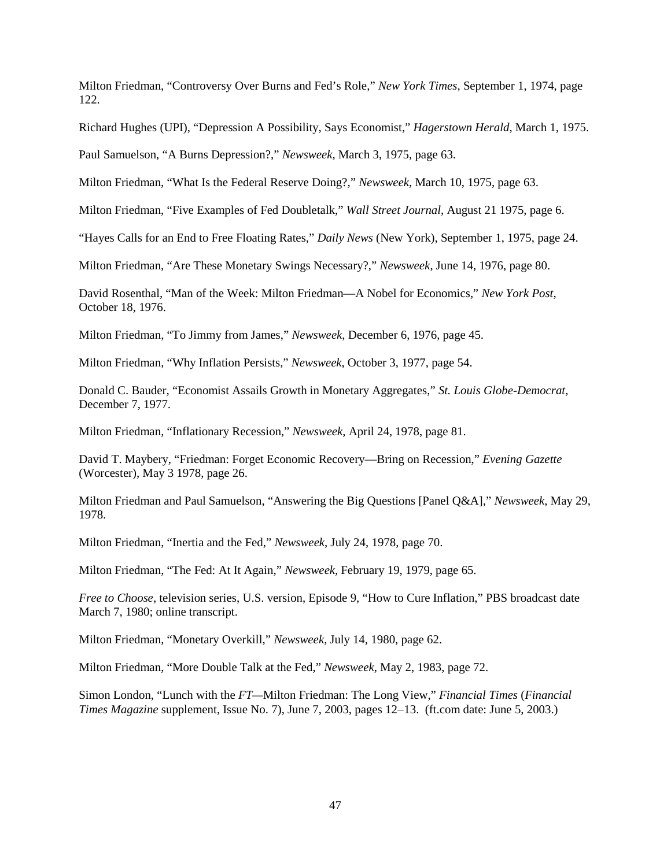Milton Friedman, "Controversy Over Burns and Fed's Role," *New York Times*, September 1, 1974, page 122.

Richard Hughes (UPI), "Depression A Possibility, Says Economist," *Hagerstown Herald*, March 1, 1975.

Paul Samuelson, "A Burns Depression?," *Newsweek*, March 3, 1975, page 63.

Milton Friedman, "What Is the Federal Reserve Doing?," *Newsweek*, March 10, 1975, page 63.

Milton Friedman, "Five Examples of Fed Doubletalk," *Wall Street Journal*, August 21 1975, page 6.

"Hayes Calls for an End to Free Floating Rates," *Daily News* (New York), September 1, 1975, page 24.

Milton Friedman, "Are These Monetary Swings Necessary?," *Newsweek*, June 14, 1976, page 80.

David Rosenthal, "Man of the Week: Milton Friedman—A Nobel for Economics," *New York Post*, October 18, 1976.

Milton Friedman, "To Jimmy from James," *Newsweek*, December 6, 1976, page 45.

Milton Friedman, "Why Inflation Persists," *Newsweek*, October 3, 1977, page 54.

Donald C. Bauder, "Economist Assails Growth in Monetary Aggregates," *St. Louis Globe-Democrat*, December 7, 1977.

Milton Friedman, "Inflationary Recession," *Newsweek*, April 24, 1978, page 81.

David T. Maybery, "Friedman: Forget Economic Recovery—Bring on Recession," *Evening Gazette* (Worcester), May 3 1978, page 26.

Milton Friedman and Paul Samuelson, "Answering the Big Questions [Panel Q&A]," *Newsweek*, May 29, 1978.

Milton Friedman, "Inertia and the Fed," *Newsweek*, July 24, 1978, page 70.

Milton Friedman, "The Fed: At It Again," *Newsweek*, February 19, 1979, page 65.

*Free to Choose*, television series, U.S. version, Episode 9, "How to Cure Inflation," PBS broadcast date March 7, 1980; online transcript.

Milton Friedman, "Monetary Overkill," *Newsweek*, July 14, 1980, page 62.

Milton Friedman, "More Double Talk at the Fed," *Newsweek*, May 2, 1983, page 72.

Simon London, "Lunch with the *FT—*Milton Friedman: The Long View," *Financial Times* (*Financial Times Magazine* supplement, Issue No. 7), June 7, 2003, pages 12−13. (ft.com date: June 5, 2003.)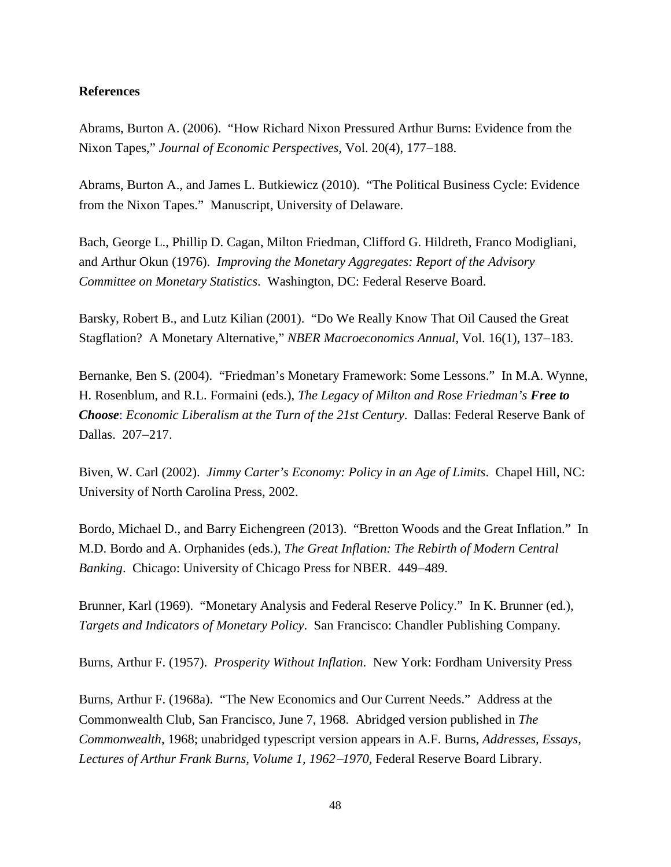# **References**

Abrams, Burton A. (2006). "How Richard Nixon Pressured Arthur Burns: Evidence from the Nixon Tapes," *Journal of Economic Perspectives*, Vol. 20(4), 177−188.

Abrams, Burton A., and James L. Butkiewicz (2010). "The Political Business Cycle: Evidence from the Nixon Tapes." Manuscript, University of Delaware.

Bach, George L., Phillip D. Cagan, Milton Friedman, Clifford G. Hildreth, Franco Modigliani, and Arthur Okun (1976). *Improving the Monetary Aggregates: Report of the Advisory Committee on Monetary Statistics*. Washington, DC: Federal Reserve Board.

Barsky, Robert B., and Lutz Kilian (2001). "Do We Really Know That Oil Caused the Great Stagflation? A Monetary Alternative," *NBER Macroeconomics Annual*, Vol. 16(1), 137−183.

Bernanke, Ben S. (2004). "Friedman's Monetary Framework: Some Lessons." In M.A. Wynne, H. Rosenblum, and R.L. Formaini (eds.), *The Legacy of Milton and Rose Friedman's Free to Choose*: *Economic Liberalism at the Turn of the 21st Century*. Dallas: Federal Reserve Bank of Dallas. 207−217.

Biven, W. Carl (2002). *Jimmy Carter's Economy: Policy in an Age of Limits*. Chapel Hill, NC: University of North Carolina Press, 2002.

Bordo, Michael D., and Barry Eichengreen (2013). "Bretton Woods and the Great Inflation." In M.D. Bordo and A. Orphanides (eds.), *The Great Inflation: The Rebirth of Modern Central Banking*. Chicago: University of Chicago Press for NBER. 449−489.

Brunner, Karl (1969). "Monetary Analysis and Federal Reserve Policy." In K. Brunner (ed.), *Targets and Indicators of Monetary Policy*. San Francisco: Chandler Publishing Company.

Burns, Arthur F. (1957). *Prosperity Without Inflation*. New York: Fordham University Press

Burns, Arthur F. (1968a). "The New Economics and Our Current Needs." Address at the Commonwealth Club, San Francisco, June 7, 1968. Abridged version published in *The Commonwealth*, 1968; unabridged typescript version appears in A.F. Burns, *Addresses, Essays, Lectures of Arthur Frank Burns, Volume 1, 1962*−*1970*, Federal Reserve Board Library.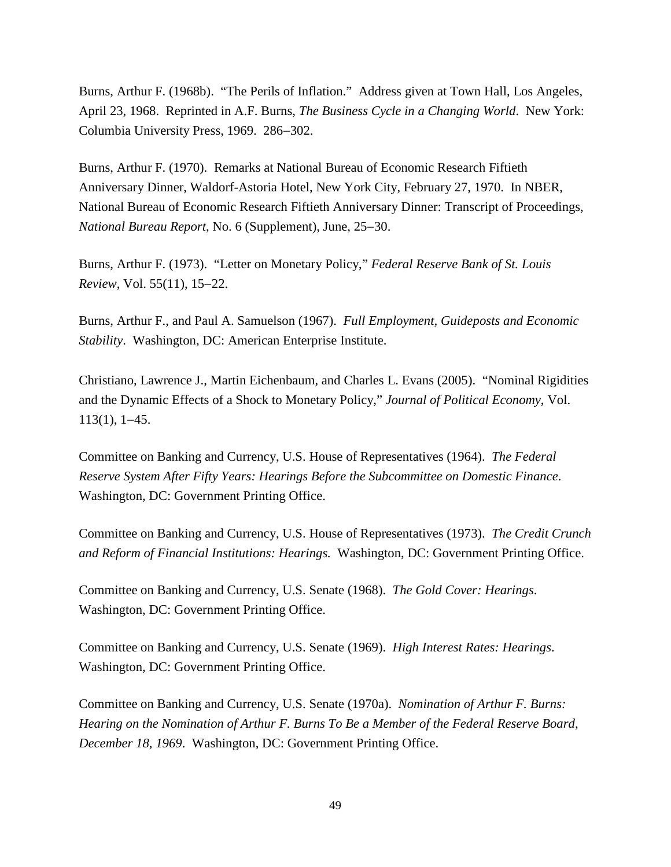Burns, Arthur F. (1968b). "The Perils of Inflation." Address given at Town Hall, Los Angeles, April 23, 1968. Reprinted in A.F. Burns, *The Business Cycle in a Changing World*. New York: Columbia University Press, 1969. 286−302.

Burns, Arthur F. (1970). Remarks at National Bureau of Economic Research Fiftieth Anniversary Dinner, Waldorf-Astoria Hotel, New York City, February 27, 1970. In NBER, National Bureau of Economic Research Fiftieth Anniversary Dinner: Transcript of Proceedings, *National Bureau Report*, No. 6 (Supplement), June, 25−30.

Burns, Arthur F. (1973). "Letter on Monetary Policy," *Federal Reserve Bank of St. Louis Review*, Vol. 55(11), 15−22.

Burns, Arthur F., and Paul A. Samuelson (1967). *Full Employment, Guideposts and Economic Stability*. Washington, DC: American Enterprise Institute.

Christiano, Lawrence J., Martin Eichenbaum, and Charles L. Evans (2005). "Nominal Rigidities and the Dynamic Effects of a Shock to Monetary Policy," *Journal of Political Economy*, Vol. 113(1), 1−45.

Committee on Banking and Currency, U.S. House of Representatives (1964). *The Federal Reserve System After Fifty Years: Hearings Before the Subcommittee on Domestic Finance*. Washington, DC: Government Printing Office.

Committee on Banking and Currency, U.S. House of Representatives (1973). *The Credit Crunch and Reform of Financial Institutions: Hearings.* Washington, DC: Government Printing Office.

Committee on Banking and Currency, U.S. Senate (1968). *The Gold Cover: Hearings*. Washington, DC: Government Printing Office.

Committee on Banking and Currency, U.S. Senate (1969). *High Interest Rates: Hearings*. Washington, DC: Government Printing Office.

Committee on Banking and Currency, U.S. Senate (1970a). *Nomination of Arthur F. Burns: Hearing on the Nomination of Arthur F. Burns To Be a Member of the Federal Reserve Board, December 18, 1969*. Washington, DC: Government Printing Office.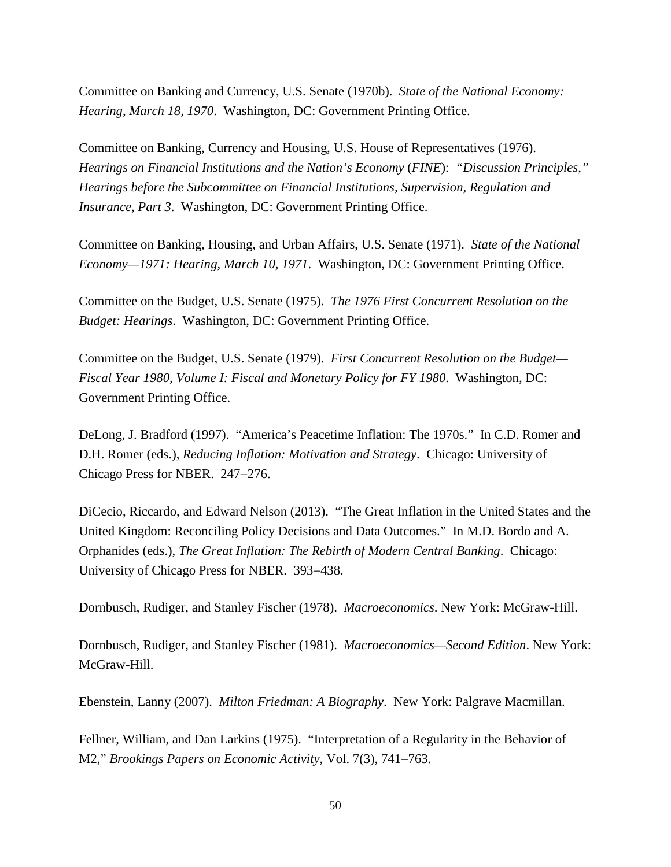Committee on Banking and Currency, U.S. Senate (1970b). *State of the National Economy: Hearing*, *March 18, 1970*. Washington, DC: Government Printing Office.

Committee on Banking, Currency and Housing, U.S. House of Representatives (1976). *Hearings on Financial Institutions and the Nation's Economy* (*FINE*): *"Discussion Principles*,*" Hearings before the Subcommittee on Financial Institutions, Supervision, Regulation and Insurance, Part 3*. Washington, DC: Government Printing Office.

Committee on Banking, Housing, and Urban Affairs, U.S. Senate (1971). *State of the National Economy—1971: Hearing, March 10, 1971*. Washington, DC: Government Printing Office.

Committee on the Budget, U.S. Senate (1975). *The 1976 First Concurrent Resolution on the Budget: Hearings*. Washington, DC: Government Printing Office.

Committee on the Budget, U.S. Senate (1979). *First Concurrent Resolution on the Budget— Fiscal Year 1980, Volume I: Fiscal and Monetary Policy for FY 1980*. Washington, DC: Government Printing Office.

DeLong, J. Bradford (1997). "America's Peacetime Inflation: The 1970s." In C.D. Romer and D.H. Romer (eds.), *Reducing Inflation: Motivation and Strategy*. Chicago: University of Chicago Press for NBER. 247−276.

DiCecio, Riccardo, and Edward Nelson (2013). "The Great Inflation in the United States and the United Kingdom: Reconciling Policy Decisions and Data Outcomes." In M.D. Bordo and A. Orphanides (eds.), *The Great Inflation: The Rebirth of Modern Central Banking*. Chicago: University of Chicago Press for NBER. 393−438.

Dornbusch, Rudiger, and Stanley Fischer (1978). *Macroeconomics*. New York: McGraw-Hill.

Dornbusch, Rudiger, and Stanley Fischer (1981). *Macroeconomics—Second Edition*. New York: McGraw-Hill.

Ebenstein, Lanny (2007). *Milton Friedman: A Biography*. New York: Palgrave Macmillan.

Fellner, William, and Dan Larkins (1975). "Interpretation of a Regularity in the Behavior of M2," *Brookings Papers on Economic Activity*, Vol. 7(3), 741−763.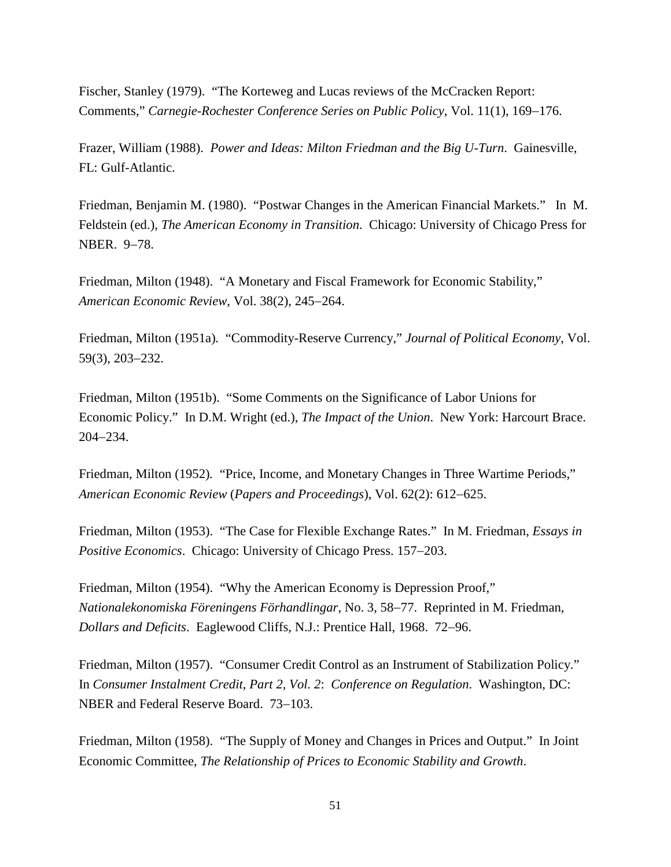Fischer, Stanley (1979). ["The Korteweg and Lucas reviews of the McCracken Report:](http://www.sciencedirect.com/science/article/pii/016722317990040X)  [Comments,](http://www.sciencedirect.com/science/article/pii/016722317990040X)" *Carnegie-Rochester Conference Series on Public Policy*, Vol. 11(1), 169−176.

Frazer, William (1988). *Power and Ideas: Milton Friedman and the Big U-Turn*. Gainesville, FL: Gulf-Atlantic.

Friedman, Benjamin M. (1980). "Postwar Changes in the American Financial Markets." In M. Feldstein (ed.), *The American Economy in Transition*. Chicago: University of Chicago Press for NBER. 9−78.

Friedman, Milton (1948). "A Monetary and Fiscal Framework for Economic Stability," *American Economic Review*, Vol. 38(2), 245−264.

Friedman, Milton (1951a)*.* "Commodity-Reserve Currency," *Journal of Political Economy*, Vol. 59(3), 203−232.

Friedman, Milton (1951b). "Some Comments on the Significance of Labor Unions for Economic Policy." In D.M. Wright (ed.), *The Impact of the Union*. New York: Harcourt Brace. 204−234.

Friedman, Milton (1952)*.* "Price, Income, and Monetary Changes in Three Wartime Periods," *American Economic Review* (*Papers and Proceedings*), Vol. 62(2): 612−625.

Friedman, Milton (1953). "The Case for Flexible Exchange Rates." In M. Friedman, *Essays in Positive Economics*. Chicago: University of Chicago Press. 157−203.

Friedman, Milton (1954). "Why the American Economy is Depression Proof," *Nationalekonomiska Föreningens Förhandlingar*, No. 3, 58−77. Reprinted in M. Friedman, *Dollars and Deficits*. Eaglewood Cliffs, N.J.: Prentice Hall, 1968. 72−96.

Friedman, Milton (1957). "Consumer Credit Control as an Instrument of Stabilization Policy." In *Consumer Instalment Credit*, *Part 2, Vol. 2*: *Conference on Regulation*. Washington, DC: NBER and Federal Reserve Board. 73−103.

Friedman, Milton (1958). "The Supply of Money and Changes in Prices and Output." In Joint Economic Committee, *The Relationship of Prices to Economic Stability and Growth*.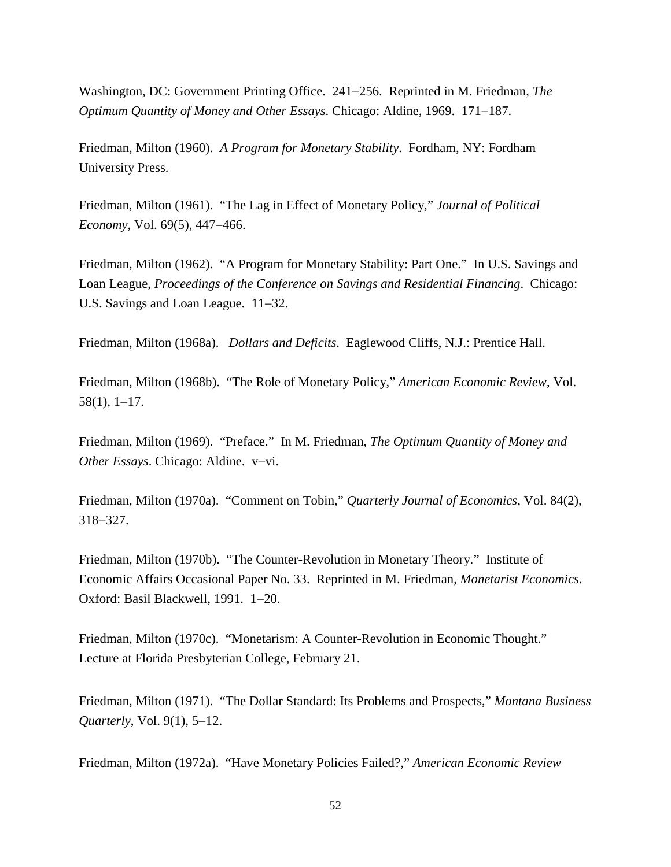Washington, DC: Government Printing Office. 241−256. Reprinted in M. Friedman, *The Optimum Quantity of Money and Other Essays*. Chicago: Aldine, 1969. 171−187.

Friedman, Milton (1960). *A Program for Monetary Stability*. Fordham, NY: Fordham University Press.

Friedman, Milton (1961). "The Lag in Effect of Monetary Policy," *Journal of Political Economy*, Vol. 69(5), 447−466.

Friedman, Milton (1962). "A Program for Monetary Stability: Part One." In U.S. Savings and Loan League, *Proceedings of the Conference on Savings and Residential Financing*. Chicago: U.S. Savings and Loan League. 11−32.

Friedman, Milton (1968a). *Dollars and Deficits*. Eaglewood Cliffs, N.J.: Prentice Hall.

Friedman, Milton (1968b). "The Role of Monetary Policy," *American Economic Review*, Vol. 58(1), 1−17.

Friedman, Milton (1969). "Preface." In M. Friedman, *The Optimum Quantity of Money and Other Essays*. Chicago: Aldine. v−vi.

Friedman, Milton (1970a). "Comment on Tobin," *Quarterly Journal of Economics*, Vol. 84(2), 318−327.

Friedman, Milton (1970b). "The Counter-Revolution in Monetary Theory." Institute of Economic Affairs Occasional Paper No. 33. Reprinted in M. Friedman, *Monetarist Economics*. Oxford: Basil Blackwell, 1991. 1−20.

Friedman, Milton (1970c). "Monetarism: A Counter-Revolution in Economic Thought." Lecture at Florida Presbyterian College, February 21.

Friedman, Milton (1971). "The Dollar Standard: Its Problems and Prospects," *Montana Business Quarterly*, Vol. 9(1), 5−12.

Friedman, Milton (1972a). "Have Monetary Policies Failed?," *American Economic Review*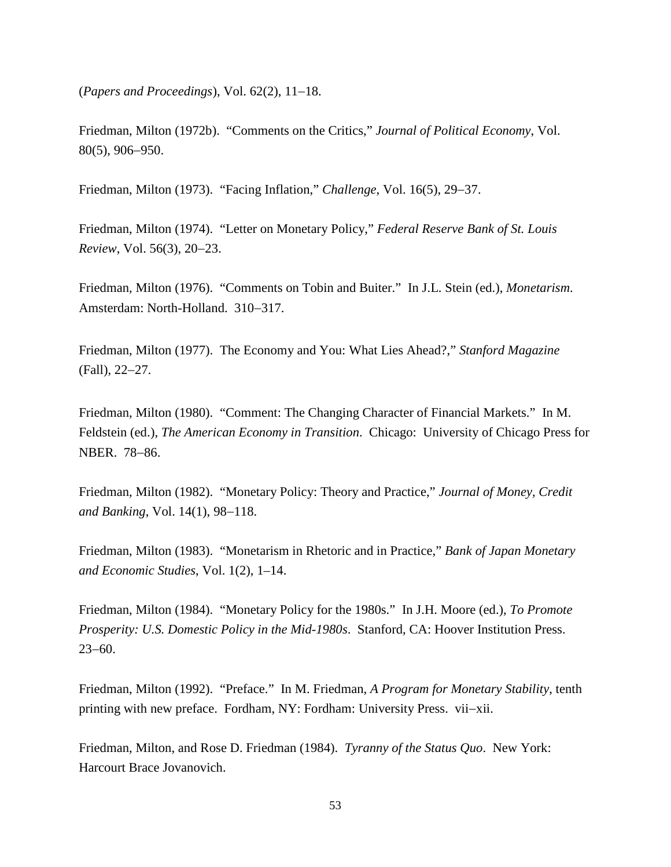(*Papers and Proceedings*), Vol. 62(2), 11−18.

Friedman, Milton (1972b). "Comments on the Critics," *Journal of Political Economy*, Vol. 80(5), 906−950.

Friedman, Milton (1973). "Facing Inflation," *Challenge*, Vol. 16(5), 29−37.

Friedman, Milton (1974). "Letter on Monetary Policy," *Federal Reserve Bank of St. Louis Review*, Vol. 56(3), 20−23.

Friedman*,* Milton (1976). "Comments on Tobin and Buiter." In J.L. Stein (ed.), *Monetarism*. Amsterdam: North-Holland. 310−317.

Friedman, Milton (1977). The Economy and You: What Lies Ahead?," *Stanford Magazine* (Fall), 22−27.

Friedman, Milton (1980). "Comment: The Changing Character of Financial Markets." In M. Feldstein (ed.), *The American Economy in Transition*. Chicago: University of Chicago Press for NBER. 78−86.

Friedman, Milton (1982). "Monetary Policy: Theory and Practice," *Journal of Money, Credit and Banking*, Vol. 14(1), 98−118.

Friedman, Milton (1983). "Monetarism in Rhetoric and in Practice," *Bank of Japan Monetary and Economic Studies*, Vol. 1(2), 1–14.

Friedman, Milton (1984). "Monetary Policy for the 1980s." In J.H. Moore (ed.), *To Promote Prosperity: U.S. Domestic Policy in the Mid-1980s*. Stanford, CA: Hoover Institution Press. 23−60.

Friedman, Milton (1992). "Preface." In M. Friedman, *A Program for Monetary Stability*, tenth printing with new preface. Fordham, NY: Fordham: University Press. vii−xii.

Friedman, Milton, and Rose D. Friedman (1984). *Tyranny of the Status Quo*. New York: Harcourt Brace Jovanovich.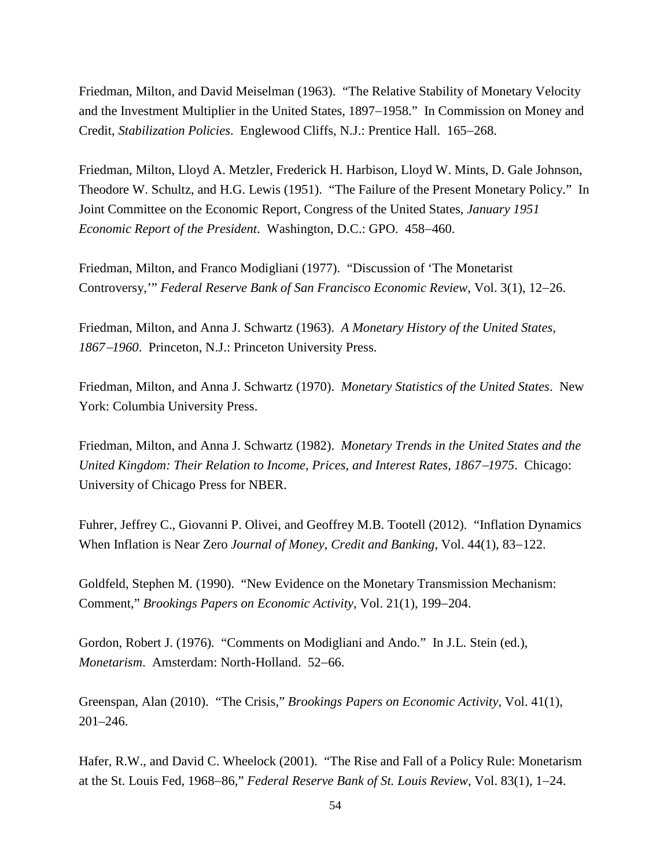Friedman, Milton, and David Meiselman (1963). "The Relative Stability of Monetary Velocity and the Investment Multiplier in the United States, 1897−1958." In Commission on Money and Credit, *Stabilization Policies*. Englewood Cliffs, N.J.: Prentice Hall. 165−268.

Friedman, Milton, Lloyd A. Metzler, Frederick H. Harbison, Lloyd W. Mints, D. Gale Johnson, Theodore W. Schultz, and H.G. Lewis (1951). "The Failure of the Present Monetary Policy." In Joint Committee on the Economic Report, Congress of the United States, *January 1951 Economic Report of the President*. Washington, D.C.: GPO. 458−460.

Friedman, Milton, and Franco Modigliani (1977). "Discussion of 'The Monetarist Controversy,'" *Federal Reserve Bank of San Francisco Economic Review*, Vol. 3(1), 12−26.

Friedman, Milton, and Anna J. Schwartz (1963). *A Monetary History of the United States, 1867*−*1960*. Princeton, N.J.: Princeton University Press.

Friedman, Milton, and Anna J. Schwartz (1970). *Monetary Statistics of the United States*. New York: Columbia University Press.

Friedman, Milton, and Anna J. Schwartz (1982). *Monetary Trends in the United States and the United Kingdom: Their Relation to Income, Prices, and Interest Rates, 1867*−*1975*. Chicago: University of Chicago Press for NBER.

Fuhrer, Jeffrey C., Giovanni P. Olivei, and Geoffrey M.B. Tootell (2012). "Inflation Dynamics When Inflation is Near Zero *Journal of Money, Credit and Banking*, Vol. 44(1), 83−122.

Goldfeld, Stephen M. (1990). "New Evidence on the Monetary Transmission Mechanism: Comment," *Brookings Papers on Economic Activity*, Vol. 21(1), 199−204.

Gordon, Robert J. (1976)*.* "Comments on Modigliani and Ando." In J.L. Stein (ed.), *Monetarism*. Amsterdam: North-Holland. 52−66.

Greenspan, Alan (2010). "The Crisis," *Brookings Papers on Economic Activity*, Vol. 41(1), 201–246.

Hafer, R.W., and David C. Wheelock (2001). "The Rise and Fall of a Policy Rule: Monetarism at the St. Louis Fed, 1968−86," *Federal Reserve Bank of St. Louis Review*, Vol. 83(1), 1−24.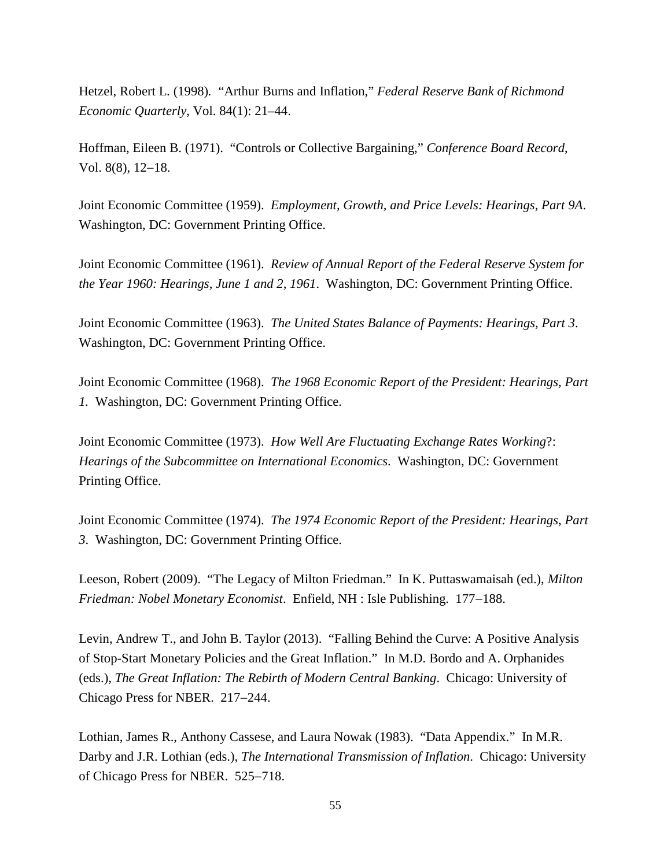Hetzel, Robert L. (1998)*.* "Arthur Burns and Inflation," *Federal Reserve Bank of Richmond Economic Quarterly*, Vol. 84(1): 21–44.

Hoffman, Eileen B. (1971). "Controls or Collective Bargaining," *Conference Board Record*, Vol. 8(8), 12−18.

Joint Economic Committee (1959). *Employment, Growth, and Price Levels: Hearings, Part 9A*. Washington, DC: Government Printing Office.

Joint Economic Committee (1961). *Review of Annual Report of the Federal Reserve System for the Year 1960: Hearings, June 1 and 2, 1961*. Washington, DC: Government Printing Office.

Joint Economic Committee (1963). *The United States Balance of Payments: Hearings, Part 3*. Washington, DC: Government Printing Office.

Joint Economic Committee (1968). *The 1968 Economic Report of the President: Hearings, Part 1.* Washington, DC: Government Printing Office.

Joint Economic Committee (1973). *How Well Are Fluctuating Exchange Rates Working*?: *Hearings of the Subcommittee on International Economics*. Washington, DC: Government Printing Office.

Joint Economic Committee (1974). *The 1974 Economic Report of the President: Hearings, Part 3*. Washington, DC: Government Printing Office.

Leeson, Robert (2009). "The Legacy of Milton Friedman." In K. Puttaswamaisah (ed.), *Milton Friedman: Nobel Monetary Economist*. Enfield, NH : Isle Publishing. 177−188.

Levin, Andrew T., and John B. Taylor (2013). "Falling Behind the Curve: A Positive Analysis of Stop-Start Monetary Policies and the Great Inflation." In M.D. Bordo and A. Orphanides (eds.), *The Great Inflation: The Rebirth of Modern Central Banking*. Chicago: University of Chicago Press for NBER. 217−244.

Lothian, James R., Anthony Cassese, and Laura Nowak (1983). "Data Appendix." In M.R. Darby and J.R. Lothian (eds.), *The International Transmission of Inflation*. Chicago: University of Chicago Press for NBER. 525−718.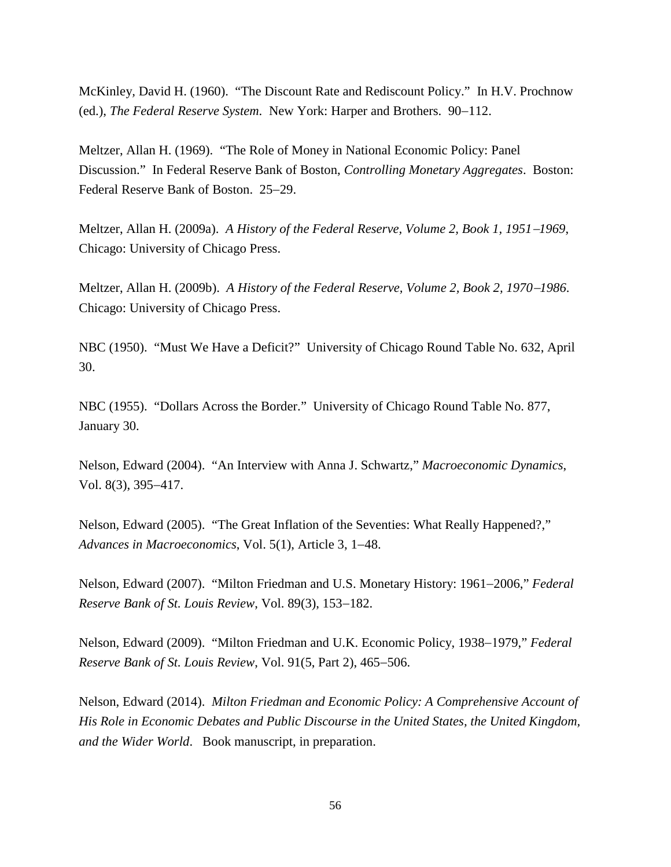McKinley*,* David H. (1960). "The Discount Rate and Rediscount Policy." In H.V. Prochnow (ed.), *The Federal Reserve System*. New York: Harper and Brothers. 90−112.

Meltzer, Allan H. (1969). "The Role of Money in National Economic Policy: Panel Discussion." In Federal Reserve Bank of Boston, *Controlling Monetary Aggregates*. Boston: Federal Reserve Bank of Boston. 25−29.

Meltzer, Allan H. (2009a). *A History of the Federal Reserve, Volume 2, Book 1, 1951*−*1969*, Chicago: University of Chicago Press.

Meltzer, Allan H. (2009b). *A History of the Federal Reserve, Volume 2, Book 2, 1970*−*1986*. Chicago: University of Chicago Press.

NBC (1950). "Must We Have a Deficit?" University of Chicago Round Table No. 632, April 30.

NBC (1955). "Dollars Across the Border." University of Chicago Round Table No. 877, January 30.

Nelson, Edward (2004). "An Interview with Anna J. Schwartz," *Macroeconomic Dynamics*, Vol. 8(3), 395−417.

Nelson, Edward (2005). "The Great Inflation of the Seventies: What Really Happened?," *Advances in Macroeconomics*, Vol. 5(1), Article 3, 1−48.

Nelson, Edward (2007). "Milton Friedman and U.S. Monetary History: 1961−2006," *Federal Reserve Bank of St. Louis Review*, Vol. 89(3), 153−182.

Nelson, Edward (2009). "Milton Friedman and U.K. Economic Policy, 1938−1979," *Federal Reserve Bank of St. Louis Review*, Vol. 91(5, Part 2), 465−506.

Nelson, Edward (2014). *Milton Friedman and Economic Policy: A Comprehensive Account of His Role in Economic Debates and Public Discourse in the United States, the United Kingdom, and the Wider World*. Book manuscript, in preparation.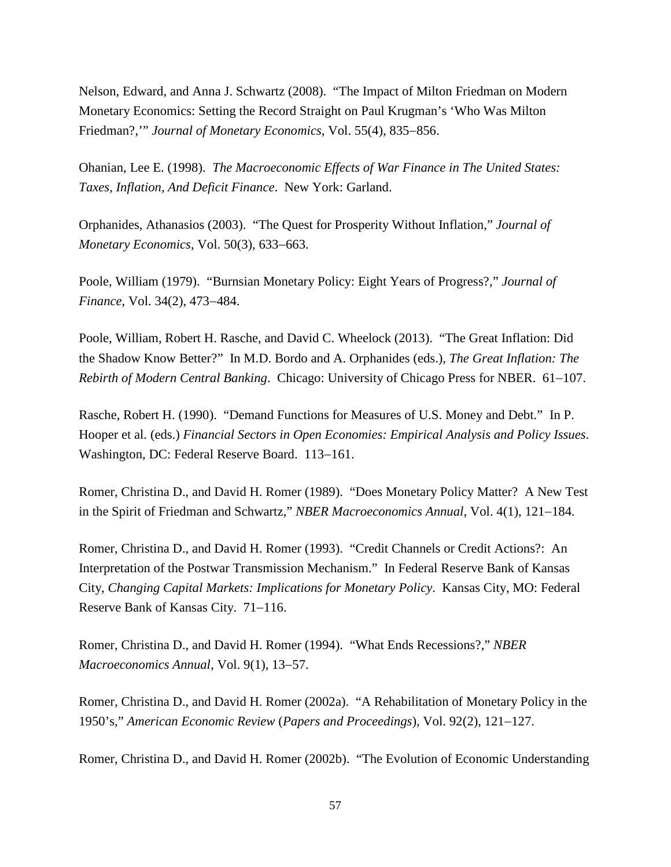Nelson, Edward, and Anna J. Schwartz (2008). "The Impact of Milton Friedman on Modern Monetary Economics: Setting the Record Straight on Paul Krugman's 'Who Was Milton Friedman?,'" *Journal of Monetary Economics*, Vol. 55(4), 835−856.

Ohanian, Lee E. (1998). *[The Macroeconomic Effects of War Finance in The United States:](http://www.worldcat.org/title/macroeconomic-effects-of-war-finance-in-the-united-states-taxes-inflation-and-deficit-finance/oclc/39633933&referer=brief_results)  [Taxes, Inflation, And Deficit Finance](http://www.worldcat.org/title/macroeconomic-effects-of-war-finance-in-the-united-states-taxes-inflation-and-deficit-finance/oclc/39633933&referer=brief_results)*. New York: Garland.

Orphanides, Athanasios (2003). "The Quest for Prosperity Without Inflation," *Journal of Monetary Economics*, Vol. 50(3), 633−663.

Poole, William (1979). "Burnsian Monetary Policy: Eight Years of Progress?," *Journal of Finance*, Vol. 34(2), 473−484.

Poole, William, Robert H. Rasche, and David C. Wheelock (2013). "The Great Inflation: Did the Shadow Know Better?"In M.D. Bordo and A. Orphanides (eds.), *The Great Inflation: The Rebirth of Modern Central Banking*. Chicago: University of Chicago Press for NBER. 61−107.

Rasche, Robert H. (1990). "Demand Functions for Measures of U.S. Money and Debt." In P. Hooper et al. (eds.) *Financial Sectors in Open Economies: Empirical Analysis and Policy Issues*. Washington, DC: Federal Reserve Board. 113−161.

Romer, Christina D., and David H. Romer (1989). ["Does Monetary Policy Matter? A New Test](http://ideas.repec.org/h/nbr/nberch/10964.html)  [in the Spirit of Friedman and Schwartz,](http://ideas.repec.org/h/nbr/nberch/10964.html)" *NBER Macroeconomics Annual*, Vol. 4(1), 121−184.

Romer, Christina D., and David H. Romer (1993). "Credit Channels or Credit Actions?: An Interpretation of the Postwar Transmission Mechanism." In Federal Reserve Bank of Kansas City, *Changing Capital Markets: Implications for Monetary Policy*. Kansas City, MO: Federal Reserve Bank of Kansas City. 71−116.

Romer, Christina D., and David H. Romer (1994). "What Ends Recessions?," *NBER Macroeconomics Annual*, Vol. 9(1), 13−57.

Romer, Christina D., and David H. Romer (2002a). ["A Rehabilitation of Monetary Policy in the](http://ideas.repec.org/a/aea/aecrev/v92y2002i2p121-127.html)  [1950's,](http://ideas.repec.org/a/aea/aecrev/v92y2002i2p121-127.html)" *[American Economic Review](http://ideas.repec.org/s/aea/aecrev.html)* (*Papers and Proceedings*), Vol. 92(2), 121−127.

Romer, Christina D., and David H. Romer (2002b). ["The Evolution of Economic Understanding](http://ideas.repec.org/a/fip/fedkpr/y2002p11-78.html)